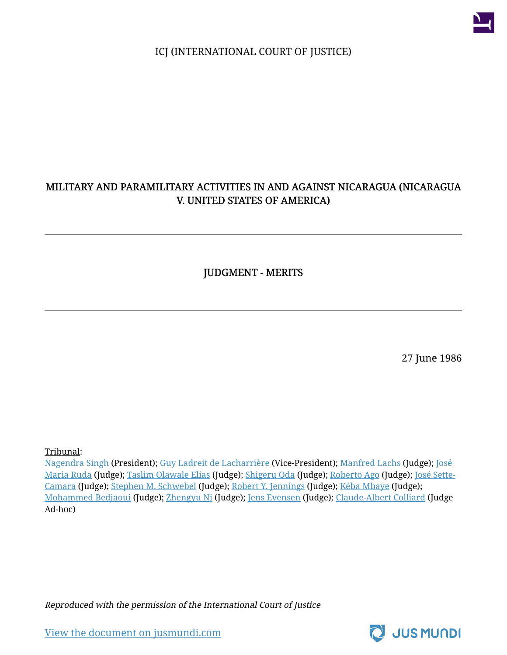ICJ (INTERNATIONAL COURT OF JUSTICE)

## MILITARY AND PARAMILITARY ACTIVITIES IN AND AGAINST NICARAGUA (NICARAGUA V. UNITED STATES OF AMERICA)

#### JUDGMENT - MERITS

27 June 1986

Tribunal:

[Nagendra Singh](https://jusmundi.com/p/nagendra-singh) (President); [Guy Ladreit de Lacharrière](https://jusmundi.com/p/guy-ladreit-de-lacharriere) (Vice-President); [Manfred Lachs](https://jusmundi.com/p/manfred-lachs) (Judge); [José](https://jusmundi.com/p/jose-maria-ruda) [Maria Ruda](https://jusmundi.com/p/jose-maria-ruda) (Judge); [Taslim Olawale Elias](https://jusmundi.com/p/taslim-olawale-elias) (Judge); [Shigeru Oda](https://jusmundi.com/p/shigeru-oda) (Judge); [Roberto Ago](https://jusmundi.com/p/roberto-ago) (Judge); [José Sette-](https://jusmundi.com/p/jose-sette-camara)[Camara](https://jusmundi.com/p/jose-sette-camara) (Judge); [Stephen M. Schwebel](https://jusmundi.com/p/stephen-m-schwebel) (Judge); [Robert Y. Jennings](https://jusmundi.com/p/robert-y-jennings) (Judge); [Kéba Mbaye](https://jusmundi.com/p/keba-mbaye) (Judge); [Mohammed Bedjaoui](https://jusmundi.com/p/mohammed-bedjaoui) (Judge); [Zhengyu Ni](https://jusmundi.com/p/zhengyu-ni) (Judge); [Jens Evensen](https://jusmundi.com/p/jens-evensen) (Judge); [Claude-Albert Colliard](https://jusmundi.com/p/claude-albert-colliard) (Judge Ad-hoc)

Reproduced with the permission of the International Court of Justice



[View the document on jusmundi.com](https://jusmundi.com/en/document/decision/en-military-and-paramilitary-activities-in-and-against-nicaragua-nicaragua-v-united-states-of-america-judgment-merits-friday-27th-june-1986)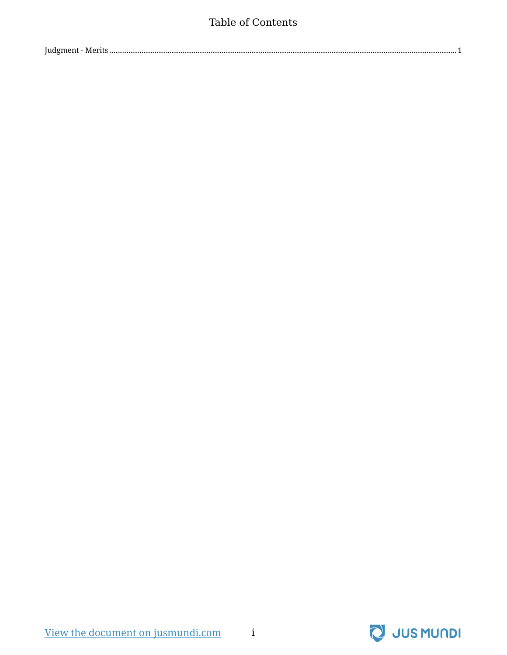### Table of Contents

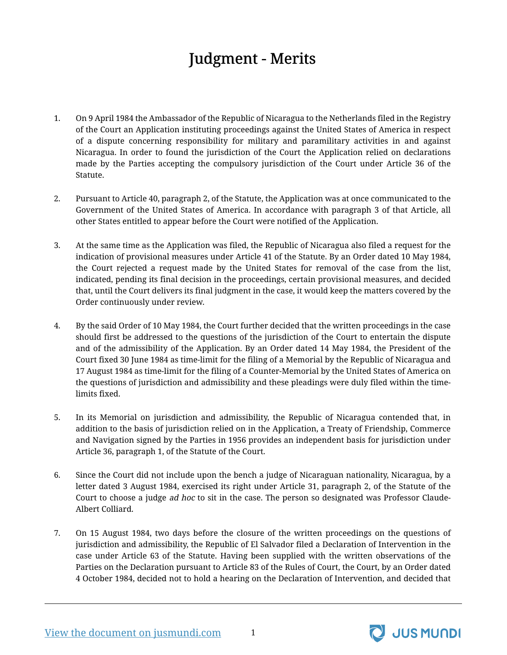# Judgment - Merits

- <span id="page-2-0"></span>1. On 9 April 1984 the Ambassador of the Republic of Nicaragua to the Netherlands filed in the Registry of the Court an Application instituting proceedings against the United States of America in respect of a dispute concerning responsibility for military and paramilitary activities in and against Nicaragua. In order to found the jurisdiction of the Court the Application relied on declarations made by the Parties accepting the compulsory jurisdiction of the Court under Article 36 of the Statute.
- 2. Pursuant to Article 40, paragraph 2, of the Statute, the Application was at once communicated to the Government of the United States of America. In accordance with paragraph 3 of that Article, all other States entitled to appear before the Court were notified of the Application.
- 3. At the same time as the Application was filed, the Republic of Nicaragua also filed a request for the indication of provisional measures under Article 41 of the Statute. By an Order dated 10 May 1984, the Court rejected a request made by the United States for removal of the case from the list, indicated, pending its final decision in the proceedings, certain provisional measures, and decided that, until the Court delivers its final judgment in the case, it would keep the matters covered by the Order continuously under review.
- 4. By the said Order of 10 May 1984, the Court further decided that the written proceedings in the case should first be addressed to the questions of the jurisdiction of the Court to entertain the dispute and of the admissibility of the Application. By an Order dated 14 May 1984, the President of the Court fixed 30 June 1984 as time-limit for the filing of a Memorial by the Republic of Nicaragua and 17 August 1984 as time-limit for the filing of a Counter-Memorial by the United States of America on the questions of jurisdiction and admissibility and these pleadings were duly filed within the timelimits fixed.
- 5. In its Memorial on jurisdiction and admissibility, the Republic of Nicaragua contended that, in addition to the basis of jurisdiction relied on in the Application, a Treaty of Friendship, Commerce and Navigation signed by the Parties in 1956 provides an independent basis for jurisdiction under Article 36, paragraph 1, of the Statute of the Court.
- 6. Since the Court did not include upon the bench a judge of Nicaraguan nationality, Nicaragua, by a letter dated 3 August 1984, exercised its right under Article 31, paragraph 2, of the Statute of the Court to choose a judge *ad hoc* to sit in the case. The person so designated was Professor Claude-Albert Colliard.
- 7. On 15 August 1984, two days before the closure of the written proceedings on the questions of jurisdiction and admissibility, the Republic of El Salvador filed a Declaration of Intervention in the case under Article 63 of the Statute. Having been supplied with the written observations of the Parties on the Declaration pursuant to Article 83 of the Rules of Court, the Court, by an Order dated 4 October 1984, decided not to hold a hearing on the Declaration of Intervention, and decided that

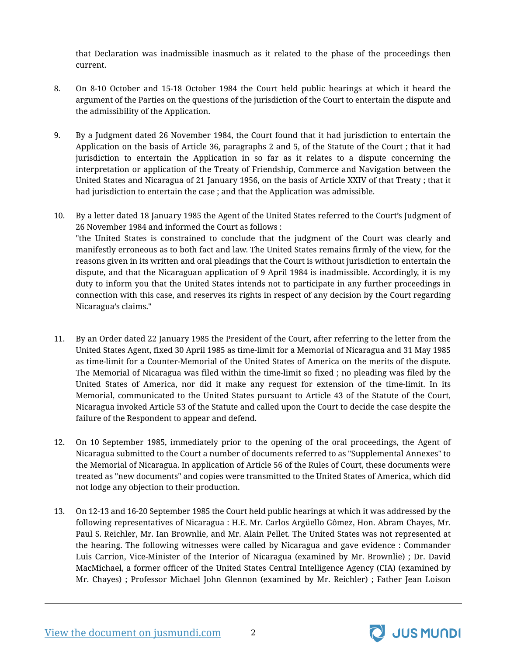that Declaration was inadmissible inasmuch as it related to the phase of the proceedings then current.

- 8. On 8-10 October and 15-18 October 1984 the Court held public hearings at which it heard the argument of the Parties on the questions of the jurisdiction of the Court to entertain the dispute and the admissibility of the Application.
- 9. By a Judgment dated 26 November 1984, the Court found that it had jurisdiction to entertain the Application on the basis of Article 36, paragraphs 2 and 5, of the Statute of the Court ; that it had jurisdiction to entertain the Application in so far as it relates to a dispute concerning the interpretation or application of the Treaty of Friendship, Commerce and Navigation between the United States and Nicaragua of 21 January 1956, on the basis of Article XXIV of that Treaty ; that it had jurisdiction to entertain the case ; and that the Application was admissible.
- 10. By a letter dated 18 January 1985 the Agent of the United States referred to the Court's Judgment of 26 November 1984 and informed the Court as follows : "the United States is constrained to conclude that the judgment of the Court was clearly and manifestly erroneous as to both fact and law. The United States remains firmly of the view, for the reasons given in its written and oral pleadings that the Court is without jurisdiction to entertain the dispute, and that the Nicaraguan application of 9 April 1984 is inadmissible. Accordingly, it is my duty to inform you that the United States intends not to participate in any further proceedings in connection with this case, and reserves its rights in respect of any decision by the Court regarding Nicaragua's claims."
- 11. By an Order dated 22 January 1985 the President of the Court, after referring to the letter from the United States Agent, fixed 30 April 1985 as time-limit for a Memorial of Nicaragua and 31 May 1985 as time-limit for a Counter-Memorial of the United States of America on the merits of the dispute. The Memorial of Nicaragua was filed within the time-limit so fixed ; no pleading was filed by the United States of America, nor did it make any request for extension of the time-limit. In its Memorial, communicated to the United States pursuant to Article 43 of the Statute of the Court, Nicaragua invoked Article 53 of the Statute and called upon the Court to decide the case despite the failure of the Respondent to appear and defend.
- 12. On 10 September 1985, immediately prior to the opening of the oral proceedings, the Agent of Nicaragua submitted to the Court a number of documents referred to as "Supplemental Annexes" to the Memorial of Nicaragua. In application of Article 56 of the Rules of Court, these documents were treated as "new documents" and copies were transmitted to the United States of America, which did not lodge any objection to their production.
- 13. On 12-13 and 16-20 September 1985 the Court held public hearings at which it was addressed by the following representatives of Nicaragua : H.E. Mr. Carlos Argüello Gômez, Hon. Abram Chayes, Mr. Paul S. Reichler, Mr. Ian Brownlie, and Mr. Alain Pellet. The United States was not represented at the hearing. The following witnesses were called by Nicaragua and gave evidence : Commander Luis Carrion, Vice-Minister of the Interior of Nicaragua (examined by Mr. Brownlie) ; Dr. David MacMichael, a former officer of the United States Central Intelligence Agency (CIA) (examined by Mr. Chayes) ; Professor Michael John Glennon (examined by Mr. Reichler) ; Father Jean Loison

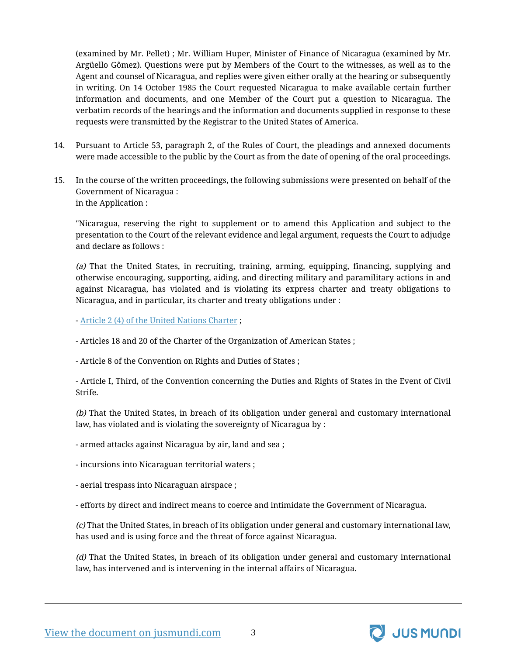(examined by Mr. Pellet) ; Mr. William Huper, Minister of Finance of Nicaragua (examined by Mr. Argüello Gômez). Questions were put by Members of the Court to the witnesses, as well as to the Agent and counsel of Nicaragua, and replies were given either orally at the hearing or subsequently in writing. On 14 October 1985 the Court requested Nicaragua to make available certain further information and documents, and one Member of the Court put a question to Nicaragua. The verbatim records of the hearings and the information and documents supplied in response to these requests were transmitted by the Registrar to the United States of America.

- 14. Pursuant to Article 53, paragraph 2, of the Rules of Court, the pleadings and annexed documents were made accessible to the public by the Court as from the date of opening of the oral proceedings.
- 15. In the course of the written proceedings, the following submissions were presented on behalf of the Government of Nicaragua : in the Application :

"Nicaragua, reserving the right to supplement or to amend this Application and subject to the presentation to the Court of the relevant evidence and legal argument, requests the Court to adjudge and declare as follows :

(a) That the United States, in recruiting, training, arming, equipping, financing, supplying and otherwise encouraging, supporting, aiding, and directing military and paramilitary actions in and against Nicaragua, has violated and is violating its express charter and treaty obligations to Nicaragua, and in particular, its charter and treaty obligations under :

- [Article 2 \(4\) of the United Nations Charter](https://jusmundi.com/en/document/h/QU40cHZUZkJRUURFNUNJWUNndHJFcWhNYjU4bjZhdUJzZHFrbFNOL1J5WEVMalpaUjBGY2dOWWJ3TDlBVndvL014ZVg4SXpoektzUSsyaUl4bS9nbWo5NU9TZm1SWlZGUE9RM3MzcmpuOGVJdHNsMlR6Nm1NTk5EaTE2TzJtZDk=) ;

- Articles 18 and 20 of the Charter of the Organization of American States ;

- Article 8 of the Convention on Rights and Duties of States ;

- Article I, Third, of the Convention concerning the Duties and Rights of States in the Event of Civil Strife.

(b) That the United States, in breach of its obligation under general and customary international law, has violated and is violating the sovereignty of Nicaragua by :

- armed attacks against Nicaragua by air, land and sea ;

- incursions into Nicaraguan territorial waters ;

- aerial trespass into Nicaraguan airspace ;

- efforts by direct and indirect means to coerce and intimidate the Government of Nicaragua.

(c) That the United States, in breach of its obligation under general and customary international law, has used and is using force and the threat of force against Nicaragua.

(d) That the United States, in breach of its obligation under general and customary international law, has intervened and is intervening in the internal affairs of Nicaragua.

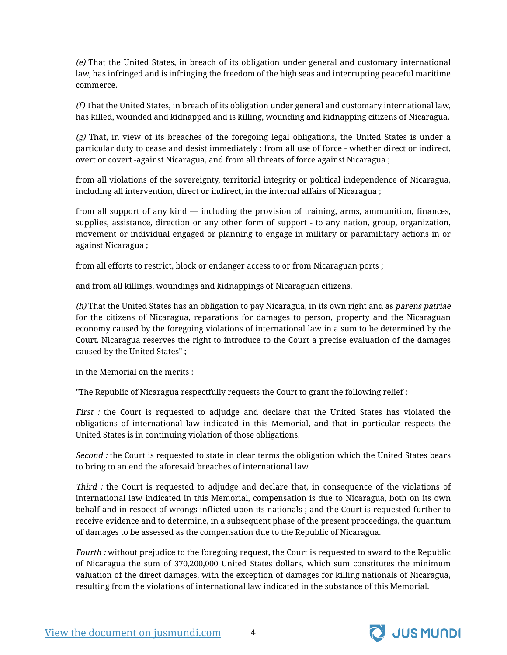(e) That the United States, in breach of its obligation under general and customary international law, has infringed and is infringing the freedom of the high seas and interrupting peaceful maritime commerce.

 $(f)$  That the United States, in breach of its obligation under general and customary international law, has killed, wounded and kidnapped and is killing, wounding and kidnapping citizens of Nicaragua.

 $(g)$  That, in view of its breaches of the foregoing legal obligations, the United States is under a particular duty to cease and desist immediately : from all use of force - whether direct or indirect, overt or covert -against Nicaragua, and from all threats of force against Nicaragua ;

from all violations of the sovereignty, territorial integrity or political independence of Nicaragua, including all intervention, direct or indirect, in the internal affairs of Nicaragua ;

from all support of any kind — including the provision of training, arms, ammunition, finances, supplies, assistance, direction or any other form of support - to any nation, group, organization, movement or individual engaged or planning to engage in military or paramilitary actions in or against Nicaragua ;

from all efforts to restrict, block or endanger access to or from Nicaraguan ports ;

and from all killings, woundings and kidnappings of Nicaraguan citizens.

 $(h)$  That the United States has an obligation to pay Nicaragua, in its own right and as *parens patriae* for the citizens of Nicaragua, reparations for damages to person, property and the Nicaraguan economy caused by the foregoing violations of international law in a sum to be determined by the Court. Nicaragua reserves the right to introduce to the Court a precise evaluation of the damages caused by the United States" ;

in the Memorial on the merits :

"The Republic of Nicaragua respectfully requests the Court to grant the following relief :

First : the Court is requested to adjudge and declare that the United States has violated the obligations of international law indicated in this Memorial, and that in particular respects the United States is in continuing violation of those obligations.

Second : the Court is requested to state in clear terms the obligation which the United States bears to bring to an end the aforesaid breaches of international law.

Third : the Court is requested to adjudge and declare that, in consequence of the violations of international law indicated in this Memorial, compensation is due to Nicaragua, both on its own behalf and in respect of wrongs inflicted upon its nationals ; and the Court is requested further to receive evidence and to determine, in a subsequent phase of the present proceedings, the quantum of damages to be assessed as the compensation due to the Republic of Nicaragua.

Fourth : without prejudice to the foregoing request, the Court is requested to award to the Republic of Nicaragua the sum of 370,200,000 United States dollars, which sum constitutes the minimum valuation of the direct damages, with the exception of damages for killing nationals of Nicaragua, resulting from the violations of international law indicated in the substance of this Memorial.

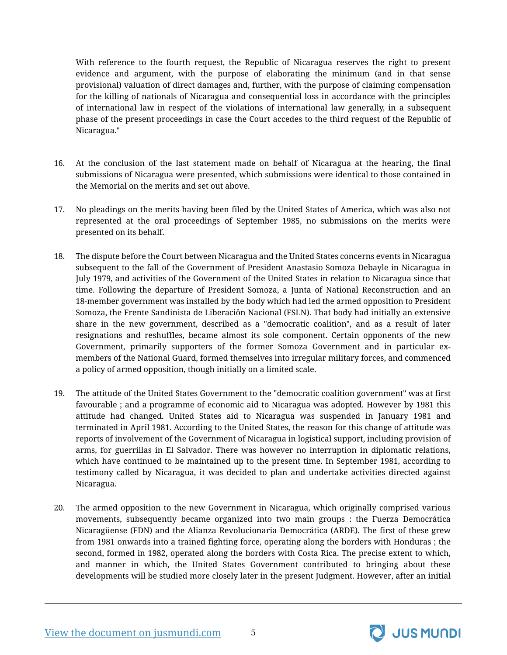With reference to the fourth request, the Republic of Nicaragua reserves the right to present evidence and argument, with the purpose of elaborating the minimum (and in that sense provisional) valuation of direct damages and, further, with the purpose of claiming compensation for the killing of nationals of Nicaragua and consequential loss in accordance with the principles of international law in respect of the violations of international law generally, in a subsequent phase of the present proceedings in case the Court accedes to the third request of the Republic of Nicaragua."

- 16. At the conclusion of the last statement made on behalf of Nicaragua at the hearing, the final submissions of Nicaragua were presented, which submissions were identical to those contained in the Memorial on the merits and set out above.
- 17. No pleadings on the merits having been filed by the United States of America, which was also not represented at the oral proceedings of September 1985, no submissions on the merits were presented on its behalf.
- 18. The dispute before the Court between Nicaragua and the United States concerns events in Nicaragua subsequent to the fall of the Government of President Anastasio Somoza Debayle in Nicaragua in July 1979, and activities of the Government of the United States in relation to Nicaragua since that time. Following the departure of President Somoza, a Junta of National Reconstruction and an 18-member government was installed by the body which had led the armed opposition to President Somoza, the Frente Sandinista de Liberaciôn Nacional (FSLN). That body had initially an extensive share in the new government, described as a "democratic coalition", and as a result of later resignations and reshuffles, became almost its sole component. Certain opponents of the new Government, primarily supporters of the former Somoza Government and in particular exmembers of the National Guard, formed themselves into irregular military forces, and commenced a policy of armed opposition, though initially on a limited scale.
- 19. The attitude of the United States Government to the "democratic coalition government" was at first favourable ; and a programme of economic aid to Nicaragua was adopted. However by 1981 this attitude had changed. United States aid to Nicaragua was suspended in January 1981 and terminated in April 1981. According to the United States, the reason for this change of attitude was reports of involvement of the Government of Nicaragua in logistical support, including provision of arms, for guerrillas in El Salvador. There was however no interruption in diplomatic relations, which have continued to be maintained up to the present time. In September 1981, according to testimony called by Nicaragua, it was decided to plan and undertake activities directed against Nicaragua.
- 20. The armed opposition to the new Government in Nicaragua, which originally comprised various movements, subsequently became organized into two main groups : the Fuerza Democrática Nicaragüense (FDN) and the Alianza Revolucionaria Democrática (ARDE). The first of these grew from 1981 onwards into a trained fighting force, operating along the borders with Honduras ; the second, formed in 1982, operated along the borders with Costa Rica. The precise extent to which, and manner in which, the United States Government contributed to bringing about these developments will be studied more closely later in the present Judgment. However, after an initial



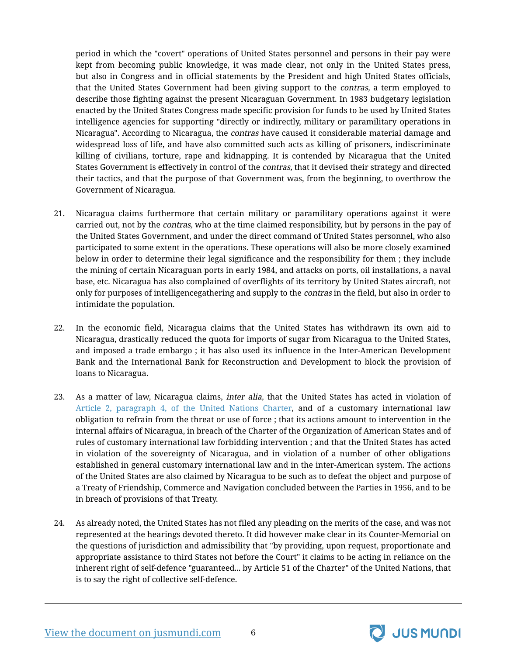period in which the "covert" operations of United States personnel and persons in their pay were kept from becoming public knowledge, it was made clear, not only in the United States press, but also in Congress and in official statements by the President and high United States officials, that the United States Government had been giving support to the *contras*, a term employed to describe those fighting against the present Nicaraguan Government. In 1983 budgetary legislation enacted by the United States Congress made specific provision for funds to be used by United States intelligence agencies for supporting "directly or indirectly, military or paramilitary operations in Nicaragua". According to Nicaragua, the *contras* have caused it considerable material damage and widespread loss of life, and have also committed such acts as killing of prisoners, indiscriminate killing of civilians, torture, rape and kidnapping. It is contended by Nicaragua that the United States Government is effectively in control of the *contras*, that it devised their strategy and directed their tactics, and that the purpose of that Government was, from the beginning, to overthrow the Government of Nicaragua.

- 21. Nicaragua claims furthermore that certain military or paramilitary operations against it were carried out, not by the contras, who at the time claimed responsibility, but by persons in the pay of the United States Government, and under the direct command of United States personnel, who also participated to some extent in the operations. These operations will also be more closely examined below in order to determine their legal significance and the responsibility for them ; they include the mining of certain Nicaraguan ports in early 1984, and attacks on ports, oil installations, a naval base, etc. Nicaragua has also complained of overflights of its territory by United States aircraft, not only for purposes of intelligencegathering and supply to the *contras* in the field, but also in order to intimidate the population.
- 22. In the economic field, Nicaragua claims that the United States has withdrawn its own aid to Nicaragua, drastically reduced the quota for imports of sugar from Nicaragua to the United States, and imposed a trade embargo ; it has also used its influence in the Inter-American Development Bank and the International Bank for Reconstruction and Development to block the provision of loans to Nicaragua.
- 23. As a matter of law, Nicaragua claims, *inter alia,* that the United States has acted in violation of [Article 2, paragraph 4, of the United Nations Charter,](https://jusmundi.com/en/document/h/QU40cHZUZkJRUURFNUNJWUNndHJFcWhNYjU4bjZhdUJzZHFrbFNOL1J5WEVMalpaUjBGY2dOWWJ3TDlBVndvL014ZVg4SXpoektzUSsyaUl4bS9nbWo5NU9TZm1SWlZGUE9RM3MzcmpuOGVJdHNsMlR6Nm1NTk5EaTE2TzJtZDk=) and of a customary international law obligation to refrain from the threat or use of force ; that its actions amount to intervention in the internal affairs of Nicaragua, in breach of the Charter of the Organization of American States and of rules of customary international law forbidding intervention ; and that the United States has acted in violation of the sovereignty of Nicaragua, and in violation of a number of other obligations established in general customary international law and in the inter-American system. The actions of the United States are also claimed by Nicaragua to be such as to defeat the object and purpose of a Treaty of Friendship, Commerce and Navigation concluded between the Parties in 1956, and to be in breach of provisions of that Treaty.
- 24. As already noted, the United States has not filed any pleading on the merits of the case, and was not represented at the hearings devoted thereto. It did however make clear in its Counter-Memorial on the questions of jurisdiction and admissibility that "by providing, upon request, proportionate and appropriate assistance to third States not before the Court" it claims to be acting in reliance on the inherent right of self-defence "guaranteed... by Article 51 of the Charter" of the United Nations, that is to say the right of collective self-defence.



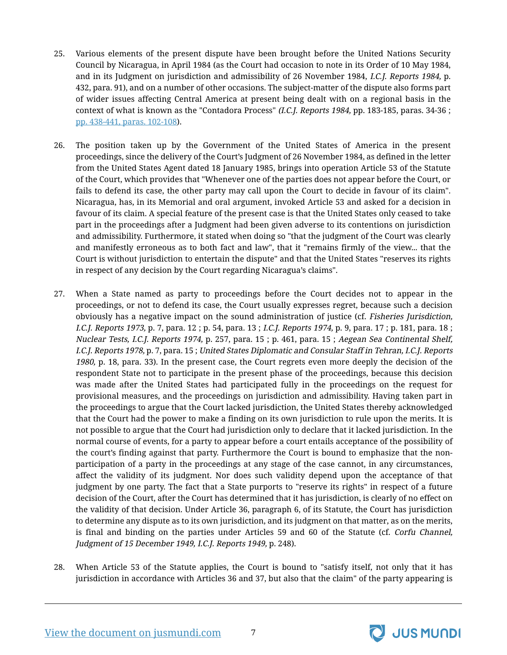- 25. Various elements of the present dispute have been brought before the United Nations Security Council by Nicaragua, in April 1984 (as the Court had occasion to note in its Order of 10 May 1984, and in its Judgment on jurisdiction and admissibility of 26 November 1984, I.C.J. Reports 1984, p. 432, para. 91), and on a number of other occasions. The subject-matter of the dispute also forms part of wider issues affecting Central America at present being dealt with on a regional basis in the context of what is known as the "Contadora Process" (I.C.J. Reports 1984, pp. 183-185, paras. 34-36 ; [pp. 438-441, paras. 102-108\)](https://jusmundi.com/en/document/h/RlNURGliOXJpbHVoVndLY0QvYUJkdG43RWlPU0RSM1ZjV3p5RzJDbXIvZ2NiNXpwZnA0VW9iR1o3NHkyYkdDWGhZYXZMQlBjREJhWmhUYktROTkrQ0tleFpjNUxXenppbU4xUHE1b1NJa3A2TlpsOENscis4SU5iTWVsbUg2QndaelpkNVhISFhoUldJeU1Zd21NRTgxNFh2Ylo5K2N6K1pxV3V6NzRvbHFKc0dJMTBRS2lxYU1ka2RicmhhT095TkFhdWZISm9QVm91aFE2b2FrQkR6NDU3R2RYYVZScy9oUlJaNXZUZUNTbEZiS1hpcEZDNEYyRUxiNEd5WXllQ1hKUExTTjlEeDY2WUVnTGdodjdZZVFnSVJVNjdJM2dpbmhCaVZzVG5kWnc9).
- 26. The position taken up by the Government of the United States of America in the present proceedings, since the delivery of the Court's Judgment of 26 November 1984, as defined in the letter from the United States Agent dated 18 January 1985, brings into operation Article 53 of the Statute of the Court, which provides that "Whenever one of the parties does not appear before the Court, or fails to defend its case, the other party may call upon the Court to decide in favour of its claim". Nicaragua, has, in its Memorial and oral argument, invoked Article 53 and asked for a decision in favour of its claim. A special feature of the present case is that the United States only ceased to take part in the proceedings after a Judgment had been given adverse to its contentions on jurisdiction and admissibility. Furthermore, it stated when doing so "that the judgment of the Court was clearly and manifestly erroneous as to both fact and law", that it "remains firmly of the view... that the Court is without jurisdiction to entertain the dispute" and that the United States "reserves its rights in respect of any decision by the Court regarding Nicaragua's claims".
- 27. When a State named as party to proceedings before the Court decides not to appear in the proceedings, or not to defend its case, the Court usually expresses regret, because such a decision obviously has a negative impact on the sound administration of justice (cf. Fisheries Jurisdiction, I.C.J. Reports 1973, p. 7, para. 12 ; p. 54, para. 13 ; I.C.J. Reports 1974, p. 9, para. 17 ; p. 181, para. 18 ; Nuclear Tests, I.C.J. Reports 1974, p. 257, para. 15 ; p. 461, para. 15 ; Aegean Sea Continental Shelf, I.C.J. Reports 1978, p. 7, para. 15 ; United States Diplomatic and Consular Staff in Tehran, I.C.J. Reports 1980, p. 18, para. 33). In the present case, the Court regrets even more deeply the decision of the respondent State not to participate in the present phase of the proceedings, because this decision was made after the United States had participated fully in the proceedings on the request for provisional measures, and the proceedings on jurisdiction and admissibility. Having taken part in the proceedings to argue that the Court lacked jurisdiction, the United States thereby acknowledged that the Court had the power to make a finding on its own jurisdiction to rule upon the merits. It is not possible to argue that the Court had jurisdiction only to declare that it lacked jurisdiction. In the normal course of events, for a party to appear before a court entails acceptance of the possibility of the court's finding against that party. Furthermore the Court is bound to emphasize that the nonparticipation of a party in the proceedings at any stage of the case cannot, in any circumstances, affect the validity of its judgment. Nor does such validity depend upon the acceptance of that judgment by one party. The fact that a State purports to "reserve its rights" in respect of a future decision of the Court, after the Court has determined that it has jurisdiction, is clearly of no effect on the validity of that decision. Under Article 36, paragraph 6, of its Statute, the Court has jurisdiction to determine any dispute as to its own jurisdiction, and its judgment on that matter, as on the merits, is final and binding on the parties under Articles 59 and 60 of the Statute (cf. Corfu Channel, Judgment of 15 December 1949, I.C.J. Reports 1949, p. 248).
- 28. When Article 53 of the Statute applies, the Court is bound to "satisfy itself, not only that it has jurisdiction in accordance with Articles 36 and 37, but also that the claim" of the party appearing is

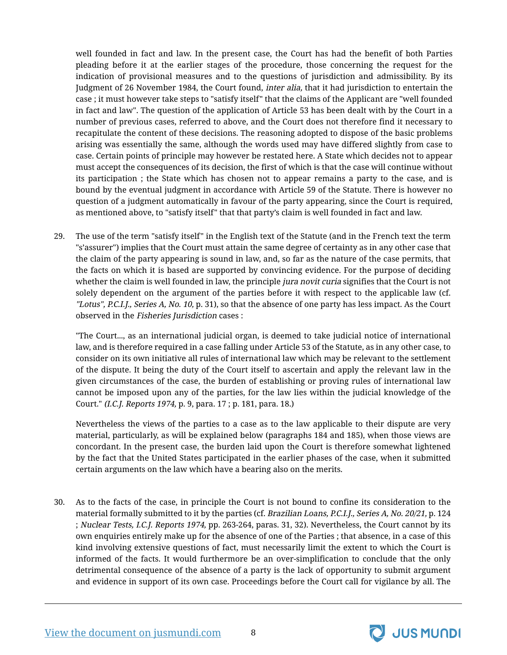well founded in fact and law. In the present case, the Court has had the benefit of both Parties pleading before it at the earlier stages of the procedure, those concerning the request for the indication of provisional measures and to the questions of jurisdiction and admissibility. By its Judgment of 26 November 1984, the Court found, inter alia, that it had jurisdiction to entertain the case ; it must however take steps to "satisfy itself" that the claims of the Applicant are "well founded in fact and law". The question of the application of Article 53 has been dealt with by the Court in a number of previous cases, referred to above, and the Court does not therefore find it necessary to recapitulate the content of these decisions. The reasoning adopted to dispose of the basic problems arising was essentially the same, although the words used may have differed slightly from case to case. Certain points of principle may however be restated here. A State which decides not to appear must accept the consequences of its decision, the first of which is that the case will continue without its participation ; the State which has chosen not to appear remains a party to the case, and is bound by the eventual judgment in accordance with Article 59 of the Statute. There is however no question of a judgment automatically in favour of the party appearing, since the Court is required, as mentioned above, to "satisfy itself" that that party's claim is well founded in fact and law.

29. The use of the term "satisfy itself" in the English text of the Statute (and in the French text the term "s'assurer") implies that the Court must attain the same degree of certainty as in any other case that the claim of the party appearing is sound in law, and, so far as the nature of the case permits, that the facts on which it is based are supported by convincing evidence. For the purpose of deciding whether the claim is well founded in law, the principle *jura novit curia* signifies that the Court is not solely dependent on the argument of the parties before it with respect to the applicable law (cf. "Lotus", P.C.I.J., Series A, No. 10, p. 31), so that the absence of one party has less impact. As the Court observed in the Fisheries Jurisdiction cases :

"The Court..., as an international judicial organ, is deemed to take judicial notice of international law, and is therefore required in a case falling under Article 53 of the Statute, as in any other case, to consider on its own initiative all rules of international law which may be relevant to the settlement of the dispute. It being the duty of the Court itself to ascertain and apply the relevant law in the given circumstances of the case, the burden of establishing or proving rules of international law cannot be imposed upon any of the parties, for the law lies within the judicial knowledge of the Court." (I.C.J. Reports 1974, p. 9, para. 17 ; p. 181, para. 18.)

Nevertheless the views of the parties to a case as to the law applicable to their dispute are very material, particularly, as will be explained below (paragraphs 184 and 185), when those views are concordant. In the present case, the burden laid upon the Court is therefore somewhat lightened by the fact that the United States participated in the earlier phases of the case, when it submitted certain arguments on the law which have a bearing also on the merits.

30. As to the facts of the case, in principle the Court is not bound to confine its consideration to the material formally submitted to it by the parties (cf. Brazilian Loans, P.C.I.J., Series A, No. 20/21, p. 124 ; Nuclear Tests, I.C.J. Reports 1974, pp. 263-264, paras. 31, 32). Nevertheless, the Court cannot by its own enquiries entirely make up for the absence of one of the Parties ; that absence, in a case of this kind involving extensive questions of fact, must necessarily limit the extent to which the Court is informed of the facts. It would furthermore be an over-simplification to conclude that the only detrimental consequence of the absence of a party is the lack of opportunity to submit argument and evidence in support of its own case. Proceedings before the Court call for vigilance by all. The

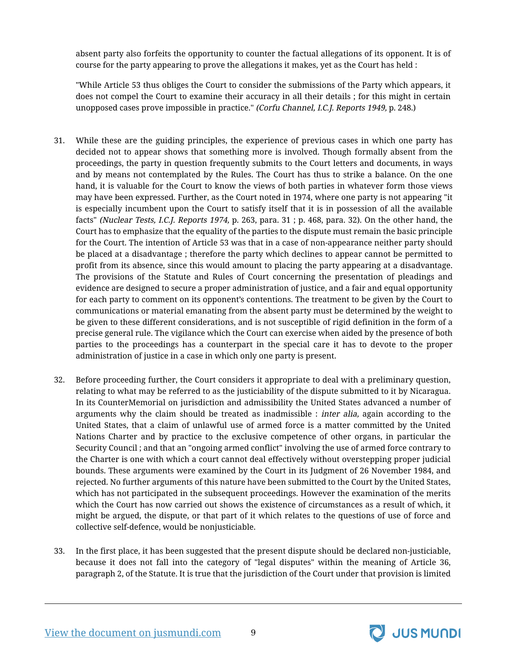absent party also forfeits the opportunity to counter the factual allegations of its opponent. It is of course for the party appearing to prove the allegations it makes, yet as the Court has held :

"While Article 53 thus obliges the Court to consider the submissions of the Party which appears, it does not compel the Court to examine their accuracy in all their details ; for this might in certain unopposed cases prove impossible in practice." (Corfu Channel, I.C.J. Reports 1949, p. 248.)

- 31. While these are the guiding principles, the experience of previous cases in which one party has decided not to appear shows that something more is involved. Though formally absent from the proceedings, the party in question frequently submits to the Court letters and documents, in ways and by means not contemplated by the Rules. The Court has thus to strike a balance. On the one hand, it is valuable for the Court to know the views of both parties in whatever form those views may have been expressed. Further, as the Court noted in 1974, where one party is not appearing "it is especially incumbent upon the Court to satisfy itself that it is in possession of all the available facts" (Nuclear Tests, I.C.J. Reports 1974, p. 263, para. 31 ; p. 468, para. 32). On the other hand, the Court has to emphasize that the equality of the parties to the dispute must remain the basic principle for the Court. The intention of Article 53 was that in a case of non-appearance neither party should be placed at a disadvantage ; therefore the party which declines to appear cannot be permitted to profit from its absence, since this would amount to placing the party appearing at a disadvantage. The provisions of the Statute and Rules of Court concerning the presentation of pleadings and evidence are designed to secure a proper administration of justice, and a fair and equal opportunity for each party to comment on its opponent's contentions. The treatment to be given by the Court to communications or material emanating from the absent party must be determined by the weight to be given to these different considerations, and is not susceptible of rigid definition in the form of a precise general rule. The vigilance which the Court can exercise when aided by the presence of both parties to the proceedings has a counterpart in the special care it has to devote to the proper administration of justice in a case in which only one party is present.
- 32. Before proceeding further, the Court considers it appropriate to deal with a preliminary question, relating to what may be referred to as the justiciability of the dispute submitted to it by Nicaragua. In its CounterMemorial on jurisdiction and admissibility the United States advanced a number of arguments why the claim should be treated as inadmissible : inter alia, again according to the United States, that a claim of unlawful use of armed force is a matter committed by the United Nations Charter and by practice to the exclusive competence of other organs, in particular the Security Council ; and that an "ongoing armed conflict" involving the use of armed force contrary to the Charter is one with which a court cannot deal effectively without overstepping proper judicial bounds. These arguments were examined by the Court in its Judgment of 26 November 1984, and rejected. No further arguments of this nature have been submitted to the Court by the United States, which has not participated in the subsequent proceedings. However the examination of the merits which the Court has now carried out shows the existence of circumstances as a result of which, it might be argued, the dispute, or that part of it which relates to the questions of use of force and collective self-defence, would be nonjusticiable.
- 33. In the first place, it has been suggested that the present dispute should be declared non-justiciable, because it does not fall into the category of "legal disputes" within the meaning of Article 36, paragraph 2, of the Statute. It is true that the jurisdiction of the Court under that provision is limited

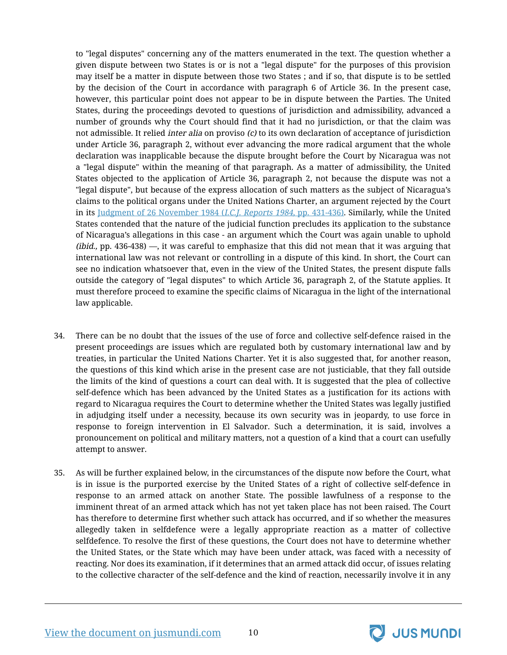to "legal disputes" concerning any of the matters enumerated in the text. The question whether a given dispute between two States is or is not a "legal dispute" for the purposes of this provision may itself be a matter in dispute between those two States ; and if so, that dispute is to be settled by the decision of the Court in accordance with paragraph 6 of Article 36. In the present case, however, this particular point does not appear to be in dispute between the Parties. The United States, during the proceedings devoted to questions of jurisdiction and admissibility, advanced a number of grounds why the Court should find that it had no jurisdiction, or that the claim was not admissible. It relied *inter alia* on proviso (c) to its own declaration of acceptance of jurisdiction under Article 36, paragraph 2, without ever advancing the more radical argument that the whole declaration was inapplicable because the dispute brought before the Court by Nicaragua was not a "legal dispute" within the meaning of that paragraph. As a matter of admissibility, the United States objected to the application of Article 36, paragraph 2, not because the dispute was not a "legal dispute", but because of the express allocation of such matters as the subject of Nicaragua's claims to the political organs under the United Nations Charter, an argument rejected by the Court in its [Judgment of 26 November 1984 \(](https://jusmundi.com/en/document/h/RlNURGliOXJpbHVoVndLY0QvYUJkdG43RWlPU0RSM1ZjV3p5RzJDbXIvZ2NiNXpwZnA0VW9iR1o3NHkyYkdDWGhZYXZMQlBjREJhWmhUYktROTkrQ0tleFpjNUxXenppbU4xUHE1b1NJa3A2TlpsOENscis4SU5iTWVsbUg2QndaelpkNVhISFhoUldJeU1Zd21NRTgxNFh2Ylo5K2N6K1pxV3V6NzRvbHFKc0dJMTBRS2lxYU1ka2RicmhhT095TkFhdWZISm9QVm91aFE2b2FrQkR6NDU3R2RYYVZScy9oUlJaNXZUZUNTbEZiS1hpcEZDNEYyRUxiNEd5WXllQ1hKUExTTjlEeDY2WUVnTGdodjdZZVphUXF3VTBORzBoeTNYVHRSb25yR0U9)I.C.J. Reports 1984, pp. 431-436). Similarly, while the United States contended that the nature of the judicial function precludes its application to the substance of Nicaragua's allegations in this case - an argument which the Court was again unable to uphold  $(ibid., pp. 436-438)$  —, it was careful to emphasize that this did not mean that it was arguing that international law was not relevant or controlling in a dispute of this kind. In short, the Court can see no indication whatsoever that, even in the view of the United States, the present dispute falls outside the category of "legal disputes" to which Article 36, paragraph 2, of the Statute applies. It must therefore proceed to examine the specific claims of Nicaragua in the light of the international law applicable.

- 34. There can be no doubt that the issues of the use of force and collective self-defence raised in the present proceedings are issues which are regulated both by customary international law and by treaties, in particular the United Nations Charter. Yet it is also suggested that, for another reason, the questions of this kind which arise in the present case are not justiciable, that they fall outside the limits of the kind of questions a court can deal with. It is suggested that the plea of collective self-defence which has been advanced by the United States as a justification for its actions with regard to Nicaragua requires the Court to determine whether the United States was legally justified in adjudging itself under a necessity, because its own security was in jeopardy, to use force in response to foreign intervention in El Salvador. Such a determination, it is said, involves a pronouncement on political and military matters, not a question of a kind that a court can usefully attempt to answer.
- 35. As will be further explained below, in the circumstances of the dispute now before the Court, what is in issue is the purported exercise by the United States of a right of collective self-defence in response to an armed attack on another State. The possible lawfulness of a response to the imminent threat of an armed attack which has not yet taken place has not been raised. The Court has therefore to determine first whether such attack has occurred, and if so whether the measures allegedly taken in selfdefence were a legally appropriate reaction as a matter of collective selfdefence. To resolve the first of these questions, the Court does not have to determine whether the United States, or the State which may have been under attack, was faced with a necessity of reacting. Nor does its examination, if it determines that an armed attack did occur, of issues relating to the collective character of the self-defence and the kind of reaction, necessarily involve it in any



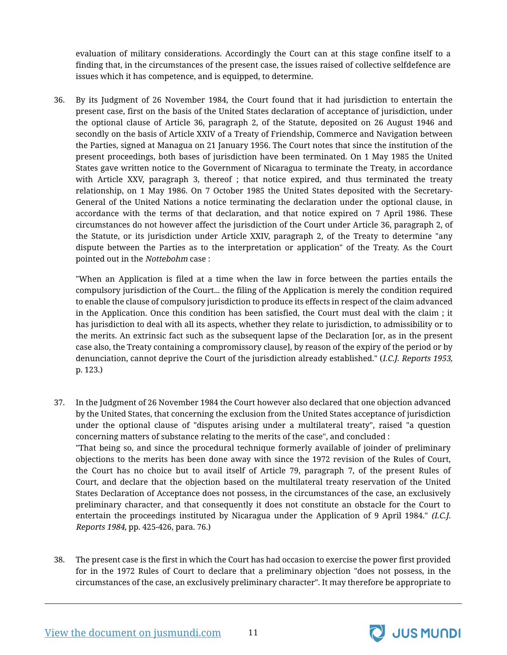evaluation of military considerations. Accordingly the Court can at this stage confine itself to a finding that, in the circumstances of the present case, the issues raised of collective selfdefence are issues which it has competence, and is equipped, to determine.

36. By its Judgment of 26 November 1984, the Court found that it had jurisdiction to entertain the present case, first on the basis of the United States declaration of acceptance of jurisdiction, under the optional clause of Article 36, paragraph 2, of the Statute, deposited on 26 August 1946 and secondly on the basis of Article XXIV of a Treaty of Friendship, Commerce and Navigation between the Parties, signed at Managua on 21 January 1956. The Court notes that since the institution of the present proceedings, both bases of jurisdiction have been terminated. On 1 May 1985 the United States gave written notice to the Government of Nicaragua to terminate the Treaty, in accordance with Article XXV, paragraph 3, thereof ; that notice expired, and thus terminated the treaty relationship, on 1 May 1986. On 7 October 1985 the United States deposited with the Secretary-General of the United Nations a notice terminating the declaration under the optional clause, in accordance with the terms of that declaration, and that notice expired on 7 April 1986. These circumstances do not however affect the jurisdiction of the Court under Article 36, paragraph 2, of the Statute, or its jurisdiction under Article XXIV, paragraph 2, of the Treaty to determine "any dispute between the Parties as to the interpretation or application" of the Treaty. As the Court pointed out in the Nottebohm case :

"When an Application is filed at a time when the law in force between the parties entails the compulsory jurisdiction of the Court... the filing of the Application is merely the condition required to enable the clause of compulsory jurisdiction to produce its effects in respect of the claim advanced in the Application. Once this condition has been satisfied, the Court must deal with the claim ; it has jurisdiction to deal with all its aspects, whether they relate to jurisdiction, to admissibility or to the merits. An extrinsic fact such as the subsequent lapse of the Declaration [or, as in the present case also, the Treaty containing a compromissory clause], by reason of the expiry of the period or by denunciation, cannot deprive the Court of the jurisdiction already established." (I.C.J. Reports 1953, p. 123.)

- 37. In the Judgment of 26 November 1984 the Court however also declared that one objection advanced by the United States, that concerning the exclusion from the United States acceptance of jurisdiction under the optional clause of "disputes arising under a multilateral treaty", raised "a question concerning matters of substance relating to the merits of the case", and concluded : "That being so, and since the procedural technique formerly available of joinder of preliminary objections to the merits has been done away with since the 1972 revision of the Rules of Court, the Court has no choice but to avail itself of Article 79, paragraph 7, of the present Rules of Court, and declare that the objection based on the multilateral treaty reservation of the United States Declaration of Acceptance does not possess, in the circumstances of the case, an exclusively preliminary character, and that consequently it does not constitute an obstacle for the Court to entertain the proceedings instituted by Nicaragua under the Application of 9 April 1984." (I.C.J. Reports 1984, pp. 425-426, para. 76.)
- 38. The present case is the first in which the Court has had occasion to exercise the power first provided for in the 1972 Rules of Court to declare that a preliminary objection "does not possess, in the circumstances of the case, an exclusively preliminary character". It may therefore be appropriate to

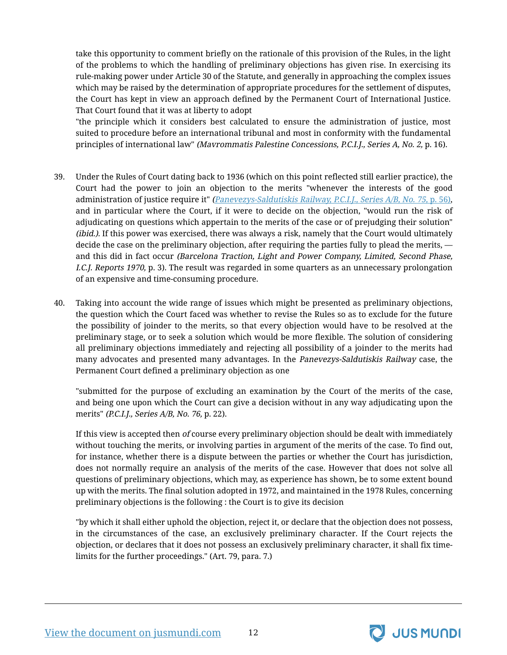take this opportunity to comment briefly on the rationale of this provision of the Rules, in the light of the problems to which the handling of preliminary objections has given rise. In exercising its rule-making power under Article 30 of the Statute, and generally in approaching the complex issues which may be raised by the determination of appropriate procedures for the settlement of disputes, the Court has kept in view an approach defined by the Permanent Court of International Justice. That Court found that it was at liberty to adopt

"the principle which it considers best calculated to ensure the administration of justice, most suited to procedure before an international tribunal and most in conformity with the fundamental principles of international law" (Mavrommatis Palestine Concessions, P.C.I.J., Series A, No. 2, p. 16).

- 39. Under the Rules of Court dating back to 1936 (which on this point reflected still earlier practice), the Court had the power to join an objection to the merits "whenever the interests of the good administration of justice require it" [\(Panevezys-Saldutiskis](https://jusmundi.com/en/document/h/UFFvZzVTV0l2elRJTkJoakVpTFdickF0T0lMWTM2QmpSWUpBanpqM0xMa2JkRXFSWHJOaVBuSEl2dXpFc2xSYUpxMkRXbmRPV2R5K0JTeXI2dWFUUmlBSERGTmp5aitnRWFjNENuKzF4T2pYNnBnUVowVmM1enY4b3JidUFWaDRBUXJnTjVZSklBa2NVWGJtd2tyVHJBPT0=) Railway, P.C.I.J., Series A/B, No. 75, p. 56), and in particular where the Court, if it were to decide on the objection, "would run the risk of adjudicating on questions which appertain to the merits of the case or of prejudging their solution" (ibid.). If this power was exercised, there was always a risk, namely that the Court would ultimately decide the case on the preliminary objection, after requiring the parties fully to plead the merits, and this did in fact occur (Barcelona Traction, Light and Power Company, Limited, Second Phase, I.C.J. Reports 1970, p. 3). The result was regarded in some quarters as an unnecessary prolongation of an expensive and time-consuming procedure.
- 40. Taking into account the wide range of issues which might be presented as preliminary objections, the question which the Court faced was whether to revise the Rules so as to exclude for the future the possibility of joinder to the merits, so that every objection would have to be resolved at the preliminary stage, or to seek a solution which would be more flexible. The solution of considering all preliminary objections immediately and rejecting all possibility of a joinder to the merits had many advocates and presented many advantages. In the Panevezys-Saldutiskis Railway case, the Permanent Court defined a preliminary objection as one

"submitted for the purpose of excluding an examination by the Court of the merits of the case, and being one upon which the Court can give a decision without in any way adjudicating upon the merits" (P.C.I.J., Series A/B, No. 76, p. 22).

If this view is accepted then of course every preliminary objection should be dealt with immediately without touching the merits, or involving parties in argument of the merits of the case. To find out, for instance, whether there is a dispute between the parties or whether the Court has jurisdiction, does not normally require an analysis of the merits of the case. However that does not solve all questions of preliminary objections, which may, as experience has shown, be to some extent bound up with the merits. The final solution adopted in 1972, and maintained in the 1978 Rules, concerning preliminary objections is the following : the Court is to give its decision

"by which it shall either uphold the objection, reject it, or declare that the objection does not possess, in the circumstances of the case, an exclusively preliminary character. If the Court rejects the objection, or declares that it does not possess an exclusively preliminary character, it shall fix timelimits for the further proceedings." (Art. 79, para. 7.)

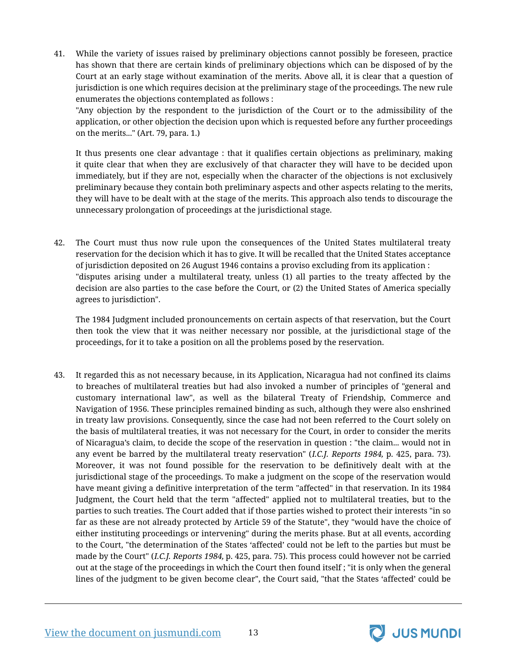41. While the variety of issues raised by preliminary objections cannot possibly be foreseen, practice has shown that there are certain kinds of preliminary objections which can be disposed of by the Court at an early stage without examination of the merits. Above all, it is clear that a question of jurisdiction is one which requires decision at the preliminary stage of the proceedings. The new rule enumerates the objections contemplated as follows :

"Any objection by the respondent to the jurisdiction of the Court or to the admissibility of the application, or other objection the decision upon which is requested before any further proceedings on the merits..." (Art. 79, para. 1.)

It thus presents one clear advantage : that it qualifies certain objections as preliminary, making it quite clear that when they are exclusively of that character they will have to be decided upon immediately, but if they are not, especially when the character of the objections is not exclusively preliminary because they contain both preliminary aspects and other aspects relating to the merits, they will have to be dealt with at the stage of the merits. This approach also tends to discourage the unnecessary prolongation of proceedings at the jurisdictional stage.

42. The Court must thus now rule upon the consequences of the United States multilateral treaty reservation for the decision which it has to give. It will be recalled that the United States acceptance of jurisdiction deposited on 26 August 1946 contains a proviso excluding from its application : "disputes arising under a multilateral treaty, unless (1) all parties to the treaty affected by the decision are also parties to the case before the Court, or (2) the United States of America specially agrees to jurisdiction".

The 1984 Judgment included pronouncements on certain aspects of that reservation, but the Court then took the view that it was neither necessary nor possible, at the jurisdictional stage of the proceedings, for it to take a position on all the problems posed by the reservation.

43. It regarded this as not necessary because, in its Application, Nicaragua had not confined its claims to breaches of multilateral treaties but had also invoked a number of principles of "general and customary international law", as well as the bilateral Treaty of Friendship, Commerce and Navigation of 1956. These principles remained binding as such, although they were also enshrined in treaty law provisions. Consequently, since the case had not been referred to the Court solely on the basis of multilateral treaties, it was not necessary for the Court, in order to consider the merits of Nicaragua's claim, to decide the scope of the reservation in question : "the claim... would not in any event be barred by the multilateral treaty reservation" (I.C.J. Reports 1984, p. 425, para. 73). Moreover, it was not found possible for the reservation to be definitively dealt with at the jurisdictional stage of the proceedings. To make a judgment on the scope of the reservation would have meant giving a definitive interpretation of the term "affected" in that reservation. In its 1984 Judgment, the Court held that the term "affected" applied not to multilateral treaties, but to the parties to such treaties. The Court added that if those parties wished to protect their interests "in so far as these are not already protected by Article 59 of the Statute", they "would have the choice of either instituting proceedings or intervening" during the merits phase. But at all events, according to the Court, "the determination of the States 'affected' could not be left to the parties but must be made by the Court" (*I.C.J. Reports 1984, p.* 425, para. 75). This process could however not be carried out at the stage of the proceedings in which the Court then found itself ; "it is only when the general lines of the judgment to be given become clear", the Court said, "that the States 'affected' could be



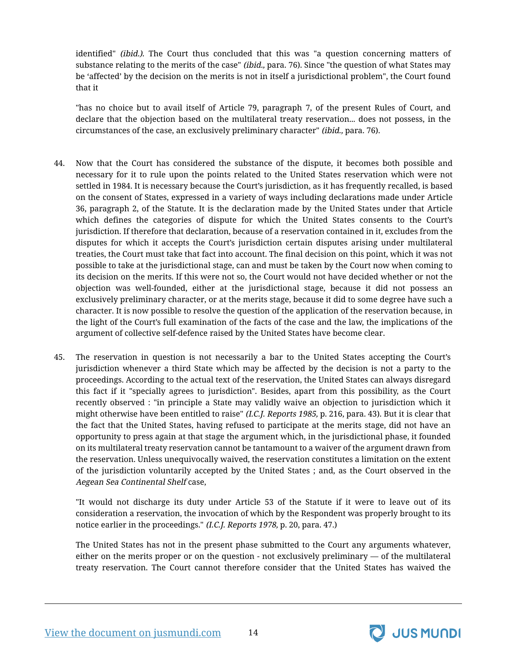identified" (ibid.). The Court thus concluded that this was "a question concerning matters of substance relating to the merits of the case" *(ibid.*, para. 76). Since "the question of what States may be 'affected' by the decision on the merits is not in itself a jurisdictional problem", the Court found that it

"has no choice but to avail itself of Article 79, paragraph 7, of the present Rules of Court, and declare that the objection based on the multilateral treaty reservation... does not possess, in the circumstances of the case, an exclusively preliminary character" (ibid., para. 76).

- 44. Now that the Court has considered the substance of the dispute, it becomes both possible and necessary for it to rule upon the points related to the United States reservation which were not settled in 1984. It is necessary because the Court's jurisdiction, as it has frequently recalled, is based on the consent of States, expressed in a variety of ways including declarations made under Article 36, paragraph 2, of the Statute. It is the declaration made by the United States under that Article which defines the categories of dispute for which the United States consents to the Court's jurisdiction. If therefore that declaration, because of a reservation contained in it, excludes from the disputes for which it accepts the Court's jurisdiction certain disputes arising under multilateral treaties, the Court must take that fact into account. The final decision on this point, which it was not possible to take at the jurisdictional stage, can and must be taken by the Court now when coming to its decision on the merits. If this were not so, the Court would not have decided whether or not the objection was well-founded, either at the jurisdictional stage, because it did not possess an exclusively preliminary character, or at the merits stage, because it did to some degree have such a character. It is now possible to resolve the question of the application of the reservation because, in the light of the Court's full examination of the facts of the case and the law, the implications of the argument of collective self-defence raised by the United States have become clear.
- 45. The reservation in question is not necessarily a bar to the United States accepting the Court's jurisdiction whenever a third State which may be affected by the decision is not a party to the proceedings. According to the actual text of the reservation, the United States can always disregard this fact if it "specially agrees to jurisdiction". Besides, apart from this possibility, as the Court recently observed : "in principle a State may validly waive an objection to jurisdiction which it might otherwise have been entitled to raise" (I.C.J. Reports 1985, p. 216, para. 43). But it is clear that the fact that the United States, having refused to participate at the merits stage, did not have an opportunity to press again at that stage the argument which, in the jurisdictional phase, it founded on its multilateral treaty reservation cannot be tantamount to a waiver of the argument drawn from the reservation. Unless unequivocally waived, the reservation constitutes a limitation on the extent of the jurisdiction voluntarily accepted by the United States ; and, as the Court observed in the Aegean Sea Continental Shelf case,

"It would not discharge its duty under Article 53 of the Statute if it were to leave out of its consideration a reservation, the invocation of which by the Respondent was properly brought to its notice earlier in the proceedings." (I.C.J. Reports 1978, p. 20, para. 47.)

The United States has not in the present phase submitted to the Court any arguments whatever, either on the merits proper or on the question - not exclusively preliminary — of the multilateral treaty reservation. The Court cannot therefore consider that the United States has waived the

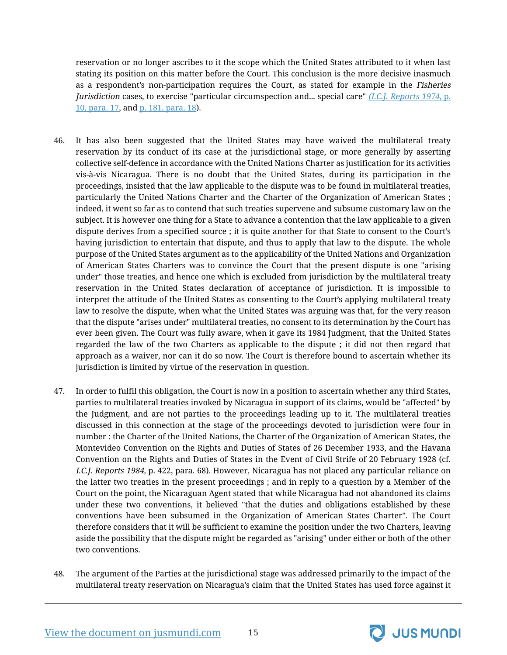reservation or no longer ascribes to it the scope which the United States attributed to it when last stating its position on this matter before the Court. This conclusion is the more decisive inasmuch as a respondent's non-participation requires the Court, as stated for example in the *Fisheries* Jurisdiction cases, to exercise "particular circumspection and... special care" (I.C.J. [Reports](https://jusmundi.com/en/document/h/Q2U1Q3VURkU1ZHNVQU5paERNNTBEVmdWZmMrdFlVc0RXYk5OSk91dXVob2l3VnN4dUF2OC8rMi9zTHFlSEc2T3BjdXgyRVR2NURnMW1LL3dDOUZBamNQTmg0WUYyWk5BTVNiNmVMUDhGU0poVEdJd1EwWC8vdE9FS3VXcE1GNzJLWWRuSGEzOXZYaEhlMENVY1Z0a0J6WEpUV1ltZzdrVmJGNUdvazRYR1R3dFBjWEZnVkF0dWdXWjdsN2pock9Oa2pmKzU2c0JRQkdRRWUyWjNwSjdUQT09) 1974, p. [10, para. 17,](https://jusmundi.com/en/document/h/Q2U1Q3VURkU1ZHNVQU5paERNNTBEVmdWZmMrdFlVc0RXYk5OSk91dXVob2l3VnN4dUF2OC8rMi9zTHFlSEc2T3BjdXgyRVR2NURnMW1LL3dDOUZBamNQTmg0WUYyWk5BTVNiNmVMUDhGU0poVEdJd1EwWC8vdE9FS3VXcE1GNzJLWWRuSGEzOXZYaEhlMENVY1Z0a0J6WEpUV1ltZzdrVmJGNUdvazRYR1R3dFBjWEZnVkF0dWdXWjdsN2pock9Oa2pmKzU2c0JRQkdRRWUyWjNwSjdUQT09) and [p. 181, para. 18](https://jusmundi.com/en/document/h/Q2U1Q3VURkU1ZHNVQU5paERNNTBEVmdWZmMrdFlVc0RXYk5OSk91dXVockJQa2pXMTdrZ1BwQ2ZaZjNyMkszN20ydWZ4YWVSc1RJWFlLVWw4WTZPZ2R0Rm1YbTI1cWY0aDM5Mzk5WHRENmxMczI0L0RVMzRLV3NwK2pwaE9oNnZpK3RlQXBXZmo1aVhnbVY2cVFEZ0VEbFBqUUhZR3lBdWRkNDMvd29TQmR3PQ==)).

- 46. It has also been suggested that the United States may have waived the multilateral treaty reservation by its conduct of its case at the jurisdictional stage, or more generally by asserting collective self-defence in accordance with the United Nations Charter as justification for its activities vis-à-vis Nicaragua. There is no doubt that the United States, during its participation in the proceedings, insisted that the law applicable to the dispute was to be found in multilateral treaties, particularly the United Nations Charter and the Charter of the Organization of American States ; indeed, it went so far as to contend that such treaties supervene and subsume customary law on the subject. It is however one thing for a State to advance a contention that the law applicable to a given dispute derives from a specified source ; it is quite another for that State to consent to the Court's having jurisdiction to entertain that dispute, and thus to apply that law to the dispute. The whole purpose of the United States argument as to the applicability of the United Nations and Organization of American States Charters was to convince the Court that the present dispute is one "arising under" those treaties, and hence one which is excluded from jurisdiction by the multilateral treaty reservation in the United States declaration of acceptance of jurisdiction. It is impossible to interpret the attitude of the United States as consenting to the Court's applying multilateral treaty law to resolve the dispute, when what the United States was arguing was that, for the very reason that the dispute "arises under" multilateral treaties, no consent to its determination by the Court has ever been given. The Court was fully aware, when it gave its 1984 Judgment, that the United States regarded the law of the two Charters as applicable to the dispute ; it did not then regard that approach as a waiver, nor can it do so now. The Court is therefore bound to ascertain whether its jurisdiction is limited by virtue of the reservation in question.
- 47. In order to fulfil this obligation, the Court is now in a position to ascertain whether any third States, parties to multilateral treaties invoked by Nicaragua in support of its claims, would be "affected" by the Judgment, and are not parties to the proceedings leading up to it. The multilateral treaties discussed in this connection at the stage of the proceedings devoted to jurisdiction were four in number : the Charter of the United Nations, the Charter of the Organization of American States, the Montevideo Convention on the Rights and Duties of States of 26 December 1933, and the Havana Convention on the Rights and Duties of States in the Event of Civil Strife of 20 February 1928 (cf. I.C.J. Reports 1984, p. 422, para. 68). However, Nicaragua has not placed any particular reliance on the latter two treaties in the present proceedings ; and in reply to a question by a Member of the Court on the point, the Nicaraguan Agent stated that while Nicaragua had not abandoned its claims under these two conventions, it believed "that the duties and obligations established by these conventions have been subsumed in the Organization of American States Charter". The Court therefore considers that it will be sufficient to examine the position under the two Charters, leaving aside the possibility that the dispute might be regarded as "arising" under either or both of the other two conventions.
- 48. The argument of the Parties at the jurisdictional stage was addressed primarily to the impact of the multilateral treaty reservation on Nicaragua's claim that the United States has used force against it

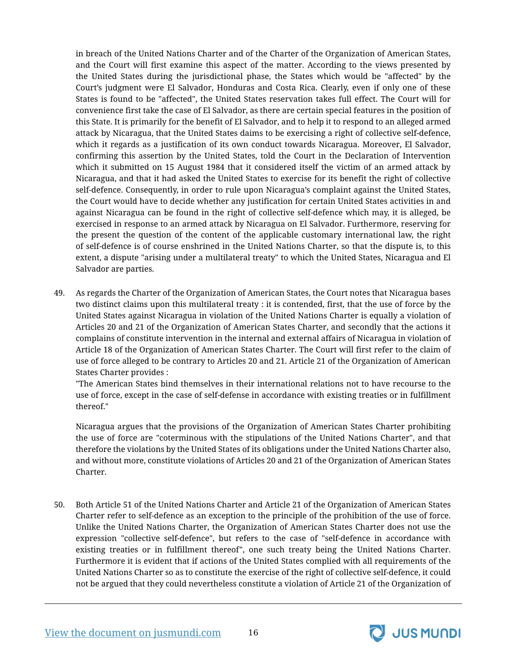in breach of the United Nations Charter and of the Charter of the Organization of American States, and the Court will first examine this aspect of the matter. According to the views presented by the United States during the jurisdictional phase, the States which would be "affected" by the Court's judgment were El Salvador, Honduras and Costa Rica. Clearly, even if only one of these States is found to be "affected", the United States reservation takes full effect. The Court will for convenience first take the case of El Salvador, as there are certain special features in the position of this State. It is primarily for the benefit of El Salvador, and to help it to respond to an alleged armed attack by Nicaragua, that the United States daims to be exercising a right of collective self-defence, which it regards as a justification of its own conduct towards Nicaragua. Moreover, El Salvador, confirming this assertion by the United States, told the Court in the Declaration of Intervention which it submitted on 15 August 1984 that it considered itself the victim of an armed attack by Nicaragua, and that it had asked the United States to exercise for its benefit the right of collective self-defence. Consequently, in order to rule upon Nicaragua's complaint against the United States, the Court would have to decide whether any justification for certain United States activities in and against Nicaragua can be found in the right of collective self-defence which may, it is alleged, be exercised in response to an armed attack by Nicaragua on El Salvador. Furthermore, reserving for the present the question of the content of the applicable customary international law, the right of self-defence is of course enshrined in the United Nations Charter, so that the dispute is, to this extent, a dispute "arising under a multilateral treaty" to which the United States, Nicaragua and El Salvador are parties.

49. As regards the Charter of the Organization of American States, the Court notes that Nicaragua bases two distinct claims upon this multilateral treaty : it is contended, first, that the use of force by the United States against Nicaragua in violation of the United Nations Charter is equally a violation of Articles 20 and 21 of the Organization of American States Charter, and secondly that the actions it complains of constitute intervention in the internal and external affairs of Nicaragua in violation of Article 18 of the Organization of American States Charter. The Court will first refer to the claim of use of force alleged to be contrary to Articles 20 and 21. Article 21 of the Organization of American States Charter provides :

"The American States bind themselves in their international relations not to have recourse to the use of force, except in the case of self-defense in accordance with existing treaties or in fulfillment thereof."

Nicaragua argues that the provisions of the Organization of American States Charter prohibiting the use of force are "coterminous with the stipulations of the United Nations Charter", and that therefore the violations by the United States of its obligations under the United Nations Charter also, and without more, constitute violations of Articles 20 and 21 of the Organization of American States Charter.

50. Both Article 51 of the United Nations Charter and Article 21 of the Organization of American States Charter refer to self-defence as an exception to the principle of the prohibition of the use of force. Unlike the United Nations Charter, the Organization of American States Charter does not use the expression "collective self-defence", but refers to the case of "self-defence in accordance with existing treaties or in fulfillment thereof", one such treaty being the United Nations Charter. Furthermore it is evident that if actions of the United States complied with all requirements of the United Nations Charter so as to constitute the exercise of the right of collective self-defence, it could not be argued that they could nevertheless constitute a violation of Article 21 of the Organization of



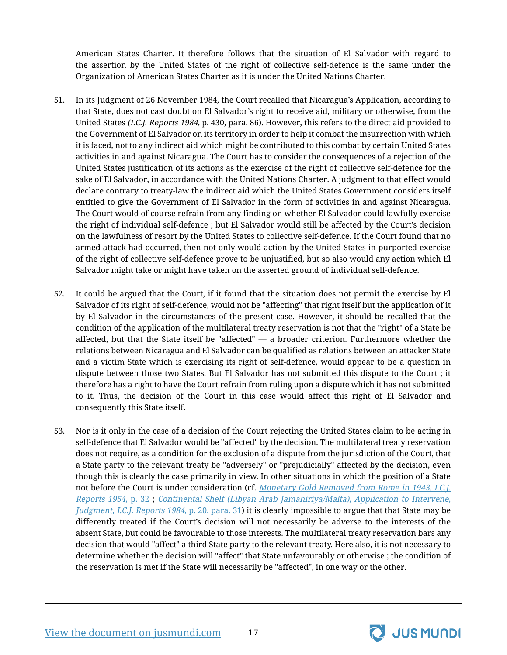American States Charter. It therefore follows that the situation of El Salvador with regard to the assertion by the United States of the right of collective self-defence is the same under the Organization of American States Charter as it is under the United Nations Charter.

- 51. In its Judgment of 26 November 1984, the Court recalled that Nicaragua's Application, according to that State, does not cast doubt on El Salvador's right to receive aid, military or otherwise, from the United States (I.C.J. Reports 1984, p. 430, para. 86). However, this refers to the direct aid provided to the Government of El Salvador on its territory in order to help it combat the insurrection with which it is faced, not to any indirect aid which might be contributed to this combat by certain United States activities in and against Nicaragua. The Court has to consider the consequences of a rejection of the United States justification of its actions as the exercise of the right of collective self-defence for the sake of El Salvador, in accordance with the United Nations Charter. A judgment to that effect would declare contrary to treaty-law the indirect aid which the United States Government considers itself entitled to give the Government of El Salvador in the form of activities in and against Nicaragua. The Court would of course refrain from any finding on whether El Salvador could lawfully exercise the right of individual self-defence ; but El Salvador would still be affected by the Court's decision on the lawfulness of resort by the United States to collective self-defence. If the Court found that no armed attack had occurred, then not only would action by the United States in purported exercise of the right of collective self-defence prove to be unjustified, but so also would any action which El Salvador might take or might have taken on the asserted ground of individual self-defence.
- 52. It could be argued that the Court, if it found that the situation does not permit the exercise by El Salvador of its right of self-defence, would not be "affecting" that right itself but the application of it by El Salvador in the circumstances of the present case. However, it should be recalled that the condition of the application of the multilateral treaty reservation is not that the "right" of a State be affected, but that the State itself be "affected" — a broader criterion. Furthermore whether the relations between Nicaragua and El Salvador can be qualified as relations between an attacker State and a victim State which is exercising its right of self-defence, would appear to be a question in dispute between those two States. But El Salvador has not submitted this dispute to the Court ; it therefore has a right to have the Court refrain from ruling upon a dispute which it has not submitted to it. Thus, the decision of the Court in this case would affect this right of El Salvador and consequently this State itself.
- 53. Nor is it only in the case of a decision of the Court rejecting the United States claim to be acting in self-defence that El Salvador would be "affected" by the decision. The multilateral treaty reservation does not require, as a condition for the exclusion of a dispute from the jurisdiction of the Court, that a State party to the relevant treaty be "adversely" or "prejudicially" affected by the decision, even though this is clearly the case primarily in view. In other situations in which the position of a State not before the Court is under consideration (cf. [Monetary](https://jusmundi.com/en/document/h/SGNLUVZzVzhPbGNSZDRUd1pvY09EaUVxT1llMnRGd09WbXVmS3A1K0I1YTk0aDNkYUFoWXVjdm5maVZFaENOc3ZqNmVlWmZWUzJEZ0tMSGoyR0hyMDYxY1I2NlEwTlFZVUhEOXIwcldOSWZsSWp0QTgrL3FsOURaN3hhY3owU0t5eHIvME94Q2taZVZjMDl3LzYrUFZETFJKcVJZa2pVcytKakJTSStiZEZWdHZKVWpMYlNLS0hlWk8walU4UWJNT2FCWk5zK25Fc1BjUWpGc2p0SkpoQ25wL2Z6b0VZaU4wWmo3S0JscmUvSHNZWi9SSmFEMml2WlpuWW1sak1hdENjR2VCUllrY0hpdVBPME1zcFJxQ0poREtrdUlnUnB1blpKcUpIOC9LOEU9) Gold Removed from Rome in 1943, I.C.J. [Reports](https://jusmundi.com/en/document/h/SGNLUVZzVzhPbGNSZDRUd1pvY09EaUVxT1llMnRGd09WbXVmS3A1K0I1YTk0aDNkYUFoWXVjdm5maVZFaENOc3ZqNmVlWmZWUzJEZ0tMSGoyR0hyMDYxY1I2NlEwTlFZVUhEOXIwcldOSWZsSWp0QTgrL3FsOURaN3hhY3owU0t5eHIvME94Q2taZVZjMDl3LzYrUFZETFJKcVJZa2pVcytKakJTSStiZEZWdHZKVWpMYlNLS0hlWk8walU4UWJNT2FCWk5zK25Fc1BjUWpGc2p0SkpoQ25wL2Z6b0VZaU4wWmo3S0JscmUvSHNZWi9SSmFEMml2WlpuWW1sak1hdENjR2VCUllrY0hpdVBPME1zcFJxQ0poREtrdUlnUnB1blpKcUpIOC9LOEU9) 1954, p. 32 ; Continental Shelf (Libyan Arab [Jamahiriya/Malta\),](https://jusmundi.com/en/document/h/dmI5VE1YelRrbWtPaGM2alpycVhkTHlwS1BnbjJTOStvU3FMVFlwYnJ0WHFWcFJnRU1LamY5NCtxL1JHOUs3aWdNWHoxRkd3NFVmYzFGMHYybWtoOEpQdGZ2MDc2RSs5b0NhNkFIZHpXTGlSbWFGSXNtbFRVVXl3T1lETFpZNTZLVmh4bGRLYS9Relh4b0lKMnlScFVIQ0NIRWtFN2pMbkt0Q3Nnc0xidTlSVkFONmR0bkdiREJOWGdOdUFrU25QcWRsSkJPZzZjTHZGQklrZkN1Y3VEdz09) Application to Intervene, Judgment, I.C.J. Reports 1984, [p. 20, para. 31\)](https://jusmundi.com/en/document/h/dmI5VE1YelRrbWtPaGM2alpycVhkTHlwS1BnbjJTOStvU3FMVFlwYnJ0WHFWcFJnRU1LamY5NCtxL1JHOUs3aWdNWHoxRkd3NFVmYzFGMHYybWtoOEpQdGZ2MDc2RSs5b0NhNkFIZHpXTGlSbWFGSXNtbFRVVXl3T1lETFpZNTZLVmh4bGRLYS9Relh4b0lKMnlScFVIQ0NIRWtFN2pMbkt0Q3Nnc0xidTlSVkFONmR0bkdiREJOWGdOdUFrU25QcWRsSkJPZzZjTHZGQklrZkN1Y3VEdz09) it is clearly impossible to argue that that State may be differently treated if the Court's decision will not necessarily be adverse to the interests of the absent State, but could be favourable to those interests. The multilateral treaty reservation bars any decision that would "affect" a third State party to the relevant treaty. Here also, it is not necessary to determine whether the decision will "affect" that State unfavourably or otherwise ; the condition of the reservation is met if the State will necessarily be "affected", in one way or the other.



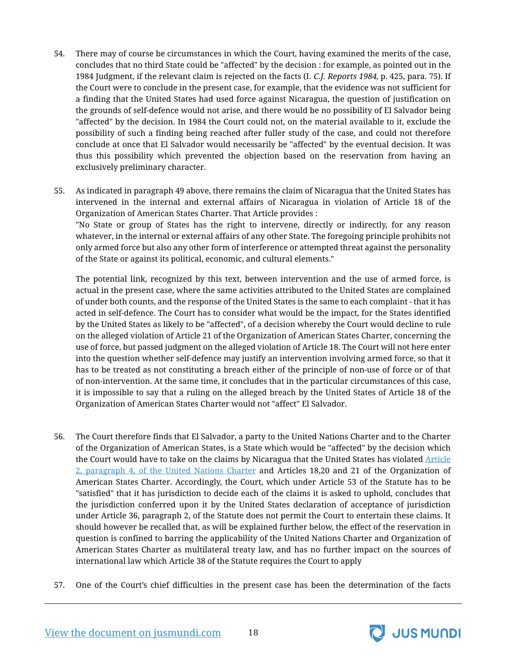- 54. There may of course be circumstances in which the Court, having examined the merits of the case, concludes that no third State could be "affected" by the decision : for example, as pointed out in the 1984 Judgment, if the relevant claim is rejected on the facts (I. C.J. Reports 1984, p. 425, para. 75). If the Court were to conclude in the present case, for example, that the evidence was not sufficient for a finding that the United States had used force against Nicaragua, the question of justification on the grounds of self-defence would not arise, and there would be no possibility of El Salvador being "affected" by the decision. In 1984 the Court could not, on the material available to it, exclude the possibility of such a finding being reached after fuller study of the case, and could not therefore conclude at once that El Salvador would necessarily be "affected" by the eventual decision. It was thus this possibility which prevented the objection based on the reservation from having an exclusively preliminary character.
- 55. As indicated in paragraph 49 above, there remains the claim of Nicaragua that the United States has intervened in the internal and external affairs of Nicaragua in violation of Article 18 of the Organization of American States Charter. That Article provides : "No State or group of States has the right to intervene, directly or indirectly, for any reason whatever, in the internal or external affairs of any other State. The foregoing principle prohibits not only armed force but also any other form of interference or attempted threat against the personality of the State or against its political, economic, and cultural elements."

The potential link, recognized by this text, between intervention and the use of armed force, is actual in the present case, where the same activities attributed to the United States are complained of under both counts, and the response of the United States is the same to each complaint - that it has acted in self-defence. The Court has to consider what would be the impact, for the States identified by the United States as likely to be "affected", of a decision whereby the Court would decline to rule on the alleged violation of Article 21 of the Organization of American States Charter, concerning the use of force, but passed judgment on the alleged violation of Article 18. The Court will not here enter into the question whether self-defence may justify an intervention involving armed force, so that it has to be treated as not constituting a breach either of the principle of non-use of force or of that of non-intervention. At the same time, it concludes that in the particular circumstances of this case, it is impossible to say that a ruling on the alleged breach by the United States of Article 18 of the Organization of American States Charter would not "affect" El Salvador.

- 56. The Court therefore finds that El Salvador, a party to the United Nations Charter and to the Charter of the Organization of American States, is a State which would be "affected" by the decision which the Court would have to take on the claims by Nicaragua that the United States has violated [Article](https://jusmundi.com/en/document/h/QU40cHZUZkJRUURFNUNJWUNndHJFcWhNYjU4bjZhdUJzZHFrbFNOL1J5WEVMalpaUjBGY2dOWWJ3TDlBVndvL014ZVg4SXpoektzUSsyaUl4bS9nbWo5NU9TZm1SWlZGUE9RM3MzcmpuOGVJdHNsMlR6Nm1NTk5EaTE2TzJtZDk=) [2, paragraph 4, of the United Nations Charter](https://jusmundi.com/en/document/h/QU40cHZUZkJRUURFNUNJWUNndHJFcWhNYjU4bjZhdUJzZHFrbFNOL1J5WEVMalpaUjBGY2dOWWJ3TDlBVndvL014ZVg4SXpoektzUSsyaUl4bS9nbWo5NU9TZm1SWlZGUE9RM3MzcmpuOGVJdHNsMlR6Nm1NTk5EaTE2TzJtZDk=) and Articles 18,20 and 21 of the Organization of American States Charter. Accordingly, the Court, which under Article 53 of the Statute has to be "satisfied" that it has jurisdiction to decide each of the claims it is asked to uphold, concludes that the jurisdiction conferred upon it by the United States declaration of acceptance of jurisdiction under Article 36, paragraph 2, of the Statute does not permit the Court to entertain these claims. It should however be recalled that, as will be explained further below, the effect of the reservation in question is confined to barring the applicability of the United Nations Charter and Organization of American States Charter as multilateral treaty law, and has no further impact on the sources of international law which Article 38 of the Statute requires the Court to apply
- 57. One of the Court's chief difficulties in the present case has been the determination of the facts

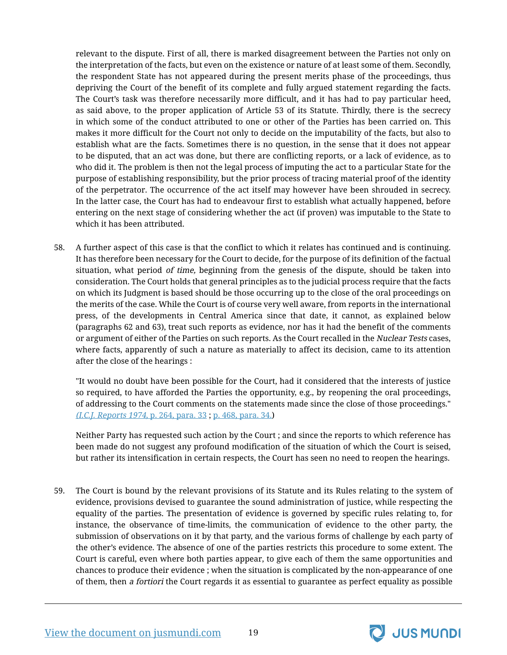relevant to the dispute. First of all, there is marked disagreement between the Parties not only on the interpretation of the facts, but even on the existence or nature of at least some of them. Secondly, the respondent State has not appeared during the present merits phase of the proceedings, thus depriving the Court of the benefit of its complete and fully argued statement regarding the facts. The Court's task was therefore necessarily more difficult, and it has had to pay particular heed, as said above, to the proper application of Article 53 of its Statute. Thirdly, there is the secrecy in which some of the conduct attributed to one or other of the Parties has been carried on. This makes it more difficult for the Court not only to decide on the imputability of the facts, but also to establish what are the facts. Sometimes there is no question, in the sense that it does not appear to be disputed, that an act was done, but there are conflicting reports, or a lack of evidence, as to who did it. The problem is then not the legal process of imputing the act to a particular State for the purpose of establishing responsibility, but the prior process of tracing material proof of the identity of the perpetrator. The occurrence of the act itself may however have been shrouded in secrecy. In the latter case, the Court has had to endeavour first to establish what actually happened, before entering on the next stage of considering whether the act (if proven) was imputable to the State to which it has been attributed.

58. A further aspect of this case is that the conflict to which it relates has continued and is continuing. It has therefore been necessary for the Court to decide, for the purpose of its definition of the factual situation, what period *of time*, beginning from the genesis of the dispute, should be taken into consideration. The Court holds that general principles as to the judicial process require that the facts on which its Judgment is based should be those occurring up to the close of the oral proceedings on the merits of the case. While the Court is of course very well aware, from reports in the international press, of the developments in Central America since that date, it cannot, as explained below (paragraphs 62 and 63), treat such reports as evidence, nor has it had the benefit of the comments or argument of either of the Parties on such reports. As the Court recalled in the Nuclear Tests cases, where facts, apparently of such a nature as materially to affect its decision, came to its attention after the close of the hearings :

"It would no doubt have been possible for the Court, had it considered that the interests of justice so required, to have afforded the Parties the opportunity, e.g., by reopening the oral proceedings, of addressing to the Court comments on the statements made since the close of those proceedings." [\(I.C.J. Reports 1974,](https://jusmundi.com/en/document/h/eTNFeXpiUHcrK29odC9jdjNhbDBNQWlGcmwwTCs4c090MlZYYkp0Vlp1NU1hTElIZlVqdTBwc2FCTmxqSS9vUkhLbWNWUjBEaGZzQ1prT3dldVArL1Nwd1ZHL01FN0d3ZG01ZHRldlViZEFvZ2xNbmZDRjUvcFN3UnU4TVZVemE=) p. 264, para. 33 ; [p. 468, para. 34.](https://jusmundi.com/en/document/h/eTNFeXpiUHcrK29odC9jdjNhbDBNSk52aU1sUGpXcE9GOCtXbzNnTnVlbVNQeVBNV3ZqZzQvSVV2TmIvekZFc2VBWEVGQSt2Nk01eVYxNDNYNGd6b3FZOGkyUk9FajRJTm5GTTJHaENGT1lDU2NyQndLVnd2Z3JvVVBDTUtzTkQ=))

Neither Party has requested such action by the Court ; and since the reports to which reference has been made do not suggest any profound modification of the situation of which the Court is seised, but rather its intensification in certain respects, the Court has seen no need to reopen the hearings.

59. The Court is bound by the relevant provisions of its Statute and its Rules relating to the system of evidence, provisions devised to guarantee the sound administration of justice, while respecting the equality of the parties. The presentation of evidence is governed by specific rules relating to, for instance, the observance of time-limits, the communication of evidence to the other party, the submission of observations on it by that party, and the various forms of challenge by each party of the other's evidence. The absence of one of the parties restricts this procedure to some extent. The Court is careful, even where both parties appear, to give each of them the same opportunities and chances to produce their evidence ; when the situation is complicated by the non-appearance of one of them, then a fortiori the Court regards it as essential to guarantee as perfect equality as possible



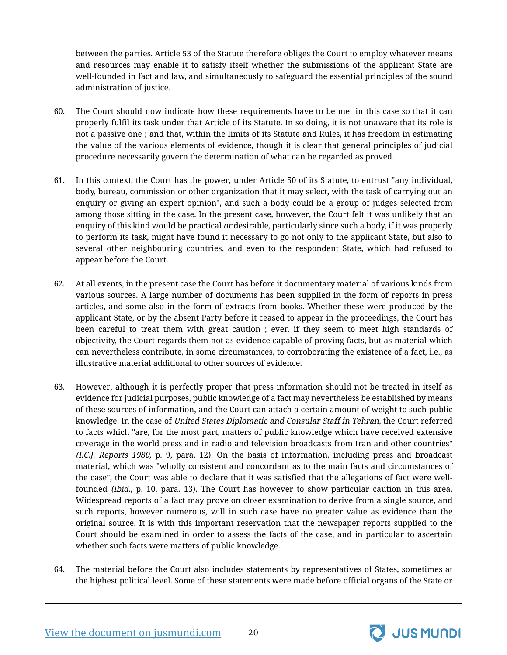between the parties. Article 53 of the Statute therefore obliges the Court to employ whatever means and resources may enable it to satisfy itself whether the submissions of the applicant State are well-founded in fact and law, and simultaneously to safeguard the essential principles of the sound administration of justice.

- 60. The Court should now indicate how these requirements have to be met in this case so that it can properly fulfil its task under that Article of its Statute. In so doing, it is not unaware that its role is not a passive one ; and that, within the limits of its Statute and Rules, it has freedom in estimating the value of the various elements of evidence, though it is clear that general principles of judicial procedure necessarily govern the determination of what can be regarded as proved.
- 61. In this context, the Court has the power, under Article 50 of its Statute, to entrust "any individual, body, bureau, commission or other organization that it may select, with the task of carrying out an enquiry or giving an expert opinion", and such a body could be a group of judges selected from among those sitting in the case. In the present case, however, the Court felt it was unlikely that an enquiry of this kind would be practical or desirable, particularly since such a body, if it was properly to perform its task, might have found it necessary to go not only to the applicant State, but also to several other neighbouring countries, and even to the respondent State, which had refused to appear before the Court.
- 62. At all events, in the present case the Court has before it documentary material of various kinds from various sources. A large number of documents has been supplied in the form of reports in press articles, and some also in the form of extracts from books. Whether these were produced by the applicant State, or by the absent Party before it ceased to appear in the proceedings, the Court has been careful to treat them with great caution ; even if they seem to meet high standards of objectivity, the Court regards them not as evidence capable of proving facts, but as material which can nevertheless contribute, in some circumstances, to corroborating the existence of a fact, i.e., as illustrative material additional to other sources of evidence.
- 63. However, although it is perfectly proper that press information should not be treated in itself as evidence for judicial purposes, public knowledge of a fact may nevertheless be established by means of these sources of information, and the Court can attach a certain amount of weight to such public knowledge. In the case of United States Diplomatic and Consular Staff in Tehran, the Court referred to facts which "are, for the most part, matters of public knowledge which have received extensive coverage in the world press and in radio and television broadcasts from Iran and other countries" (I.C.J. Reports 1980, p. 9, para. 12). On the basis of information, including press and broadcast material, which was "wholly consistent and concordant as to the main facts and circumstances of the case", the Court was able to declare that it was satisfied that the allegations of fact were wellfounded (ibid., p. 10, para. 13). The Court has however to show particular caution in this area. Widespread reports of a fact may prove on closer examination to derive from a single source, and such reports, however numerous, will in such case have no greater value as evidence than the original source. It is with this important reservation that the newspaper reports supplied to the Court should be examined in order to assess the facts of the case, and in particular to ascertain whether such facts were matters of public knowledge.
- 64. The material before the Court also includes statements by representatives of States, sometimes at the highest political level. Some of these statements were made before official organs of the State or

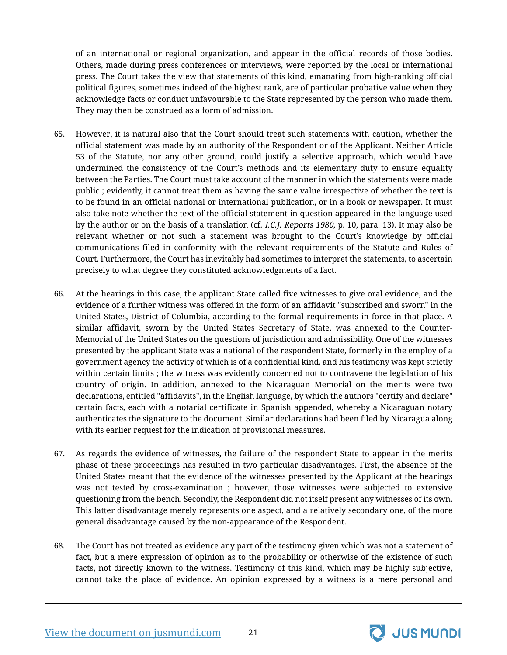of an international or regional organization, and appear in the official records of those bodies. Others, made during press conferences or interviews, were reported by the local or international press. The Court takes the view that statements of this kind, emanating from high-ranking official political figures, sometimes indeed of the highest rank, are of particular probative value when they acknowledge facts or conduct unfavourable to the State represented by the person who made them. They may then be construed as a form of admission.

- 65. However, it is natural also that the Court should treat such statements with caution, whether the official statement was made by an authority of the Respondent or of the Applicant. Neither Article 53 of the Statute, nor any other ground, could justify a selective approach, which would have undermined the consistency of the Court's methods and its elementary duty to ensure equality between the Parties. The Court must take account of the manner in which the statements were made public ; evidently, it cannot treat them as having the same value irrespective of whether the text is to be found in an official national or international publication, or in a book or newspaper. It must also take note whether the text of the official statement in question appeared in the language used by the author or on the basis of a translation (cf. I.C.J. Reports 1980, p. 10, para. 13). It may also be relevant whether or not such a statement was brought to the Court's knowledge by official communications filed in conformity with the relevant requirements of the Statute and Rules of Court. Furthermore, the Court has inevitably had sometimes to interpret the statements, to ascertain precisely to what degree they constituted acknowledgments of a fact.
- 66. At the hearings in this case, the applicant State called five witnesses to give oral evidence, and the evidence of a further witness was offered in the form of an affidavit "subscribed and sworn" in the United States, District of Columbia, according to the formal requirements in force in that place. A similar affidavit, sworn by the United States Secretary of State, was annexed to the Counter-Memorial of the United States on the questions of jurisdiction and admissibility. One of the witnesses presented by the applicant State was a national of the respondent State, formerly in the employ of a government agency the activity of which is of a confidential kind, and his testimony was kept strictly within certain limits ; the witness was evidently concerned not to contravene the legislation of his country of origin. In addition, annexed to the Nicaraguan Memorial on the merits were two declarations, entitled "affidavits", in the English language, by which the authors "certify and declare" certain facts, each with a notarial certificate in Spanish appended, whereby a Nicaraguan notary authenticates the signature to the document. Similar declarations had been filed by Nicaragua along with its earlier request for the indication of provisional measures.
- 67. As regards the evidence of witnesses, the failure of the respondent State to appear in the merits phase of these proceedings has resulted in two particular disadvantages. First, the absence of the United States meant that the evidence of the witnesses presented by the Applicant at the hearings was not tested by cross-examination ; however, those witnesses were subjected to extensive questioning from the bench. Secondly, the Respondent did not itself present any witnesses of its own. This latter disadvantage merely represents one aspect, and a relatively secondary one, of the more general disadvantage caused by the non-appearance of the Respondent.
- 68. The Court has not treated as evidence any part of the testimony given which was not a statement of fact, but a mere expression of opinion as to the probability or otherwise of the existence of such facts, not directly known to the witness. Testimony of this kind, which may be highly subjective, cannot take the place of evidence. An opinion expressed by a witness is a mere personal and



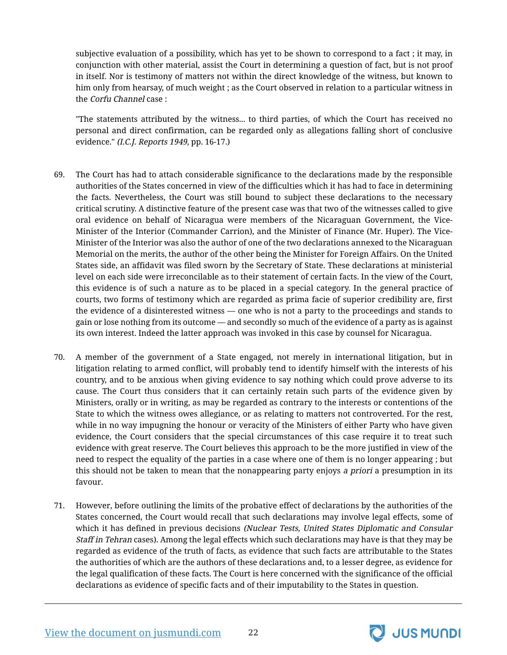subjective evaluation of a possibility, which has yet to be shown to correspond to a fact ; it may, in conjunction with other material, assist the Court in determining a question of fact, but is not proof in itself. Nor is testimony of matters not within the direct knowledge of the witness, but known to him only from hearsay, of much weight ; as the Court observed in relation to a particular witness in the Corfu Channel case :

"The statements attributed by the witness... to third parties, of which the Court has received no personal and direct confirmation, can be regarded only as allegations falling short of conclusive evidence." (I.C.J. Reports 1949, pp. 16-17.)

- 69. The Court has had to attach considerable significance to the declarations made by the responsible authorities of the States concerned in view of the difficulties which it has had to face in determining the facts. Nevertheless, the Court was still bound to subject these declarations to the necessary critical scrutiny. A distinctive feature of the present case was that two of the witnesses called to give oral evidence on behalf of Nicaragua were members of the Nicaraguan Government, the Vice-Minister of the Interior (Commander Carrion), and the Minister of Finance (Mr. Huper). The Vice-Minister of the Interior was also the author of one of the two declarations annexed to the Nicaraguan Memorial on the merits, the author of the other being the Minister for Foreign Affairs. On the United States side, an affidavit was filed sworn by the Secretary of State. These declarations at ministerial level on each side were irreconcilable as to their statement of certain facts. In the view of the Court, this evidence is of such a nature as to be placed in a special category. In the general practice of courts, two forms of testimony which are regarded as prima facie of superior credibility are, first the evidence of a disinterested witness — one who is not a party to the proceedings and stands to gain or lose nothing from its outcome — and secondly so much of the evidence of a party as is against its own interest. Indeed the latter approach was invoked in this case by counsel for Nicaragua.
- 70. A member of the government of a State engaged, not merely in international litigation, but in litigation relating to armed conflict, will probably tend to identify himself with the interests of his country, and to be anxious when giving evidence to say nothing which could prove adverse to its cause. The Court thus considers that it can certainly retain such parts of the evidence given by Ministers, orally or in writing, as may be regarded as contrary to the interests or contentions of the State to which the witness owes allegiance, or as relating to matters not controverted. For the rest, while in no way impugning the honour or veracity of the Ministers of either Party who have given evidence, the Court considers that the special circumstances of this case require it to treat such evidence with great reserve. The Court believes this approach to be the more justified in view of the need to respect the equality of the parties in a case where one of them is no longer appearing ; but this should not be taken to mean that the nonappearing party enjoys a priori a presumption in its favour.
- 71. However, before outlining the limits of the probative effect of declarations by the authorities of the States concerned, the Court would recall that such declarations may involve legal effects, some of which it has defined in previous decisions (Nuclear Tests, United States Diplomatic and Consular Staff in Tehran cases). Among the legal effects which such declarations may have is that they may be regarded as evidence of the truth of facts, as evidence that such facts are attributable to the States the authorities of which are the authors of these declarations and, to a lesser degree, as evidence for the legal qualification of these facts. The Court is here concerned with the significance of the official declarations as evidence of specific facts and of their imputability to the States in question.

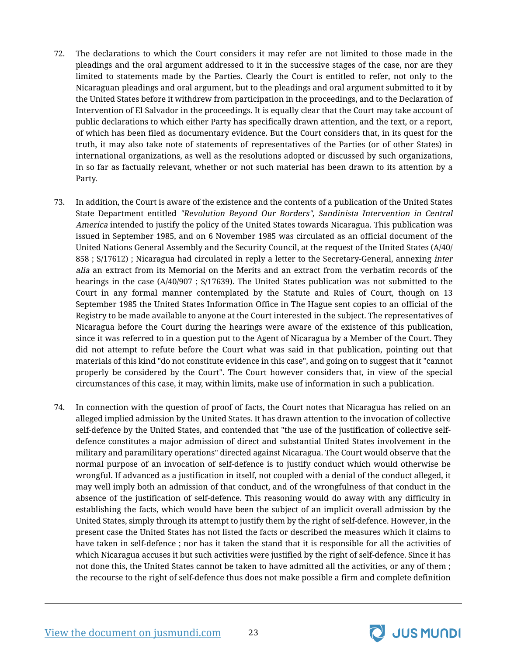- 72. The declarations to which the Court considers it may refer are not limited to those made in the pleadings and the oral argument addressed to it in the successive stages of the case, nor are they limited to statements made by the Parties. Clearly the Court is entitled to refer, not only to the Nicaraguan pleadings and oral argument, but to the pleadings and oral argument submitted to it by the United States before it withdrew from participation in the proceedings, and to the Declaration of Intervention of El Salvador in the proceedings. It is equally clear that the Court may take account of public declarations to which either Party has specifically drawn attention, and the text, or a report, of which has been filed as documentary evidence. But the Court considers that, in its quest for the truth, it may also take note of statements of representatives of the Parties (or of other States) in international organizations, as well as the resolutions adopted or discussed by such organizations, in so far as factually relevant, whether or not such material has been drawn to its attention by a Party.
- 73. In addition, the Court is aware of the existence and the contents of a publication of the United States State Department entitled "Revolution Beyond Our Borders", Sandinista Intervention in Central America intended to justify the policy of the United States towards Nicaragua. This publication was issued in September 1985, and on 6 November 1985 was circulated as an official document of the United Nations General Assembly and the Security Council, at the request of the United States (A/40/ 858 ; S/17612) ; Nicaragua had circulated in reply a letter to the Secretary-General, annexing inter alia an extract from its Memorial on the Merits and an extract from the verbatim records of the hearings in the case (A/40/907 ; S/17639). The United States publication was not submitted to the Court in any formal manner contemplated by the Statute and Rules of Court, though on 13 September 1985 the United States Information Office in The Hague sent copies to an official of the Registry to be made available to anyone at the Court interested in the subject. The representatives of Nicaragua before the Court during the hearings were aware of the existence of this publication, since it was referred to in a question put to the Agent of Nicaragua by a Member of the Court. They did not attempt to refute before the Court what was said in that publication, pointing out that materials of this kind "do not constitute evidence in this case", and going on to suggest that it "cannot properly be considered by the Court". The Court however considers that, in view of the special circumstances of this case, it may, within limits, make use of information in such a publication.
- 74. In connection with the question of proof of facts, the Court notes that Nicaragua has relied on an alleged implied admission by the United States. It has drawn attention to the invocation of collective self-defence by the United States, and contended that "the use of the justification of collective selfdefence constitutes a major admission of direct and substantial United States involvement in the military and paramilitary operations" directed against Nicaragua. The Court would observe that the normal purpose of an invocation of self-defence is to justify conduct which would otherwise be wrongful. If advanced as a justification in itself, not coupled with a denial of the conduct alleged, it may well imply both an admission of that conduct, and of the wrongfulness of that conduct in the absence of the justification of self-defence. This reasoning would do away with any difficulty in establishing the facts, which would have been the subject of an implicit overall admission by the United States, simply through its attempt to justify them by the right of self-defence. However, in the present case the United States has not listed the facts or described the measures which it claims to have taken in self-defence ; nor has it taken the stand that it is responsible for all the activities of which Nicaragua accuses it but such activities were justified by the right of self-defence. Since it has not done this, the United States cannot be taken to have admitted all the activities, or any of them ; the recourse to the right of self-defence thus does not make possible a firm and complete definition



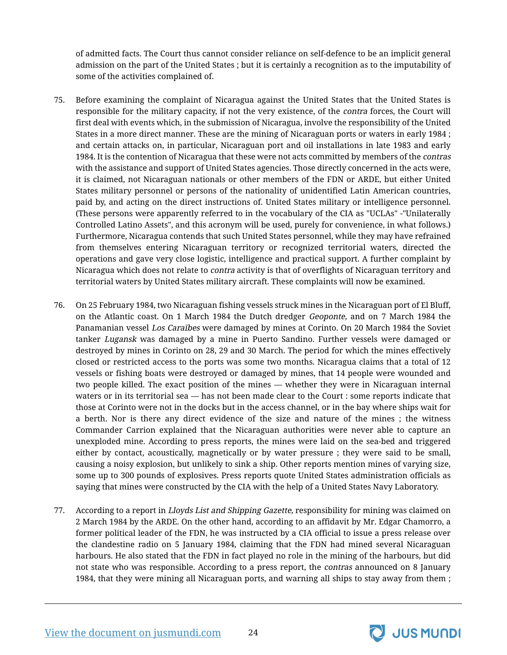of admitted facts. The Court thus cannot consider reliance on self-defence to be an implicit general admission on the part of the United States ; but it is certainly a recognition as to the imputability of some of the activities complained of.

- 75. Before examining the complaint of Nicaragua against the United States that the United States is responsible for the military capacity, if not the very existence, of the contra forces, the Court will first deal with events which, in the submission of Nicaragua, involve the responsibility of the United States in a more direct manner. These are the mining of Nicaraguan ports or waters in early 1984 ; and certain attacks on, in particular, Nicaraguan port and oil installations in late 1983 and early 1984. It is the contention of Nicaragua that these were not acts committed by members of the *contras* with the assistance and support of United States agencies. Those directly concerned in the acts were, it is claimed, not Nicaraguan nationals or other members of the FDN or ARDE, but either United States military personnel or persons of the nationality of unidentified Latin American countries, paid by, and acting on the direct instructions of. United States military or intelligence personnel. (These persons were apparently referred to in the vocabulary of the CIA as "UCLAs" -"Unilaterally Controlled Latino Assets", and this acronym will be used, purely for convenience, in what follows.) Furthermore, Nicaragua contends that such United States personnel, while they may have refrained from themselves entering Nicaraguan territory or recognized territorial waters, directed the operations and gave very close logistic, intelligence and practical support. A further complaint by Nicaragua which does not relate to *contra* activity is that of overflights of Nicaraguan territory and territorial waters by United States military aircraft. These complaints will now be examined.
- 76. On 25 February 1984, two Nicaraguan fishing vessels struck mines in the Nicaraguan port of El Bluff, on the Atlantic coast. On 1 March 1984 the Dutch dredger Geoponte, and on 7 March 1984 the Panamanian vessel Los Caraïbes were damaged by mines at Corinto. On 20 March 1984 the Soviet tanker Lugansk was damaged by a mine in Puerto Sandino. Further vessels were damaged or destroyed by mines in Corinto on 28, 29 and 30 March. The period for which the mines effectively closed or restricted access to the ports was some two months. Nicaragua claims that a total of 12 vessels or fishing boats were destroyed or damaged by mines, that 14 people were wounded and two people killed. The exact position of the mines — whether they were in Nicaraguan internal waters or in its territorial sea — has not been made clear to the Court : some reports indicate that those at Corinto were not in the docks but in the access channel, or in the bay where ships wait for a berth. Nor is there any direct evidence of the size and nature of the mines ; the witness Commander Carrion explained that the Nicaraguan authorities were never able to capture an unexploded mine. According to press reports, the mines were laid on the sea-bed and triggered either by contact, acoustically, magnetically or by water pressure ; they were said to be small, causing a noisy explosion, but unlikely to sink a ship. Other reports mention mines of varying size, some up to 300 pounds of explosives. Press reports quote United States administration officials as saying that mines were constructed by the CIA with the help of a United States Navy Laboratory.
- 77. According to a report in *Lloyds List and Shipping Gazette,* responsibility for mining was claimed on 2 March 1984 by the ARDE. On the other hand, according to an affidavit by Mr. Edgar Chamorro, a former political leader of the FDN, he was instructed by a CIA official to issue a press release over the clandestine radio on 5 January 1984, claiming that the FDN had mined several Nicaraguan harbours. He also stated that the FDN in fact played no role in the mining of the harbours, but did not state who was responsible. According to a press report, the *contras* announced on 8 January 1984, that they were mining all Nicaraguan ports, and warning all ships to stay away from them ;



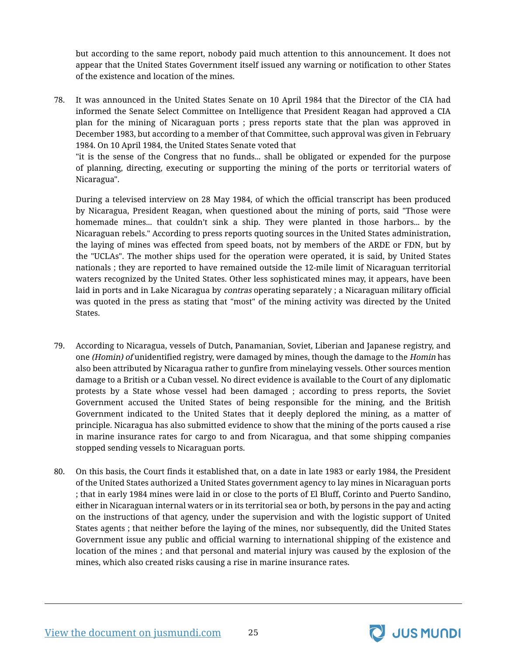but according to the same report, nobody paid much attention to this announcement. It does not appear that the United States Government itself issued any warning or notification to other States of the existence and location of the mines.

78. It was announced in the United States Senate on 10 April 1984 that the Director of the CIA had informed the Senate Select Committee on Intelligence that President Reagan had approved a CIA plan for the mining of Nicaraguan ports ; press reports state that the plan was approved in December 1983, but according to a member of that Committee, such approval was given in February 1984. On 10 April 1984, the United States Senate voted that

"it is the sense of the Congress that no funds... shall be obligated or expended for the purpose of planning, directing, executing or supporting the mining of the ports or territorial waters of Nicaragua".

During a televised interview on 28 May 1984, of which the official transcript has been produced by Nicaragua, President Reagan, when questioned about the mining of ports, said "Those were homemade mines... that couldn't sink a ship. They were planted in those harbors... by the Nicaraguan rebels." According to press reports quoting sources in the United States administration, the laying of mines was effected from speed boats, not by members of the ARDE or FDN, but by the "UCLAs". The mother ships used for the operation were operated, it is said, by United States nationals ; they are reported to have remained outside the 12-mile limit of Nicaraguan territorial waters recognized by the United States. Other less sophisticated mines may, it appears, have been laid in ports and in Lake Nicaragua by contras operating separately ; a Nicaraguan military official was quoted in the press as stating that "most" of the mining activity was directed by the United States.

- 79. According to Nicaragua, vessels of Dutch, Panamanian, Soviet, Liberian and Japanese registry, and one (Homin) of unidentified registry, were damaged by mines, though the damage to the Homin has also been attributed by Nicaragua rather to gunfire from minelaying vessels. Other sources mention damage to a British or a Cuban vessel. No direct evidence is available to the Court of any diplomatic protests by a State whose vessel had been damaged ; according to press reports, the Soviet Government accused the United States of being responsible for the mining, and the British Government indicated to the United States that it deeply deplored the mining, as a matter of principle. Nicaragua has also submitted evidence to show that the mining of the ports caused a rise in marine insurance rates for cargo to and from Nicaragua, and that some shipping companies stopped sending vessels to Nicaraguan ports.
- 80. On this basis, the Court finds it established that, on a date in late 1983 or early 1984, the President of the United States authorized a United States government agency to lay mines in Nicaraguan ports ; that in early 1984 mines were laid in or close to the ports of El Bluff, Corinto and Puerto Sandino, either in Nicaraguan internal waters or in its territorial sea or both, by persons in the pay and acting on the instructions of that agency, under the supervision and with the logistic support of United States agents ; that neither before the laying of the mines, nor subsequently, did the United States Government issue any public and official warning to international shipping of the existence and location of the mines ; and that personal and material injury was caused by the explosion of the mines, which also created risks causing a rise in marine insurance rates.

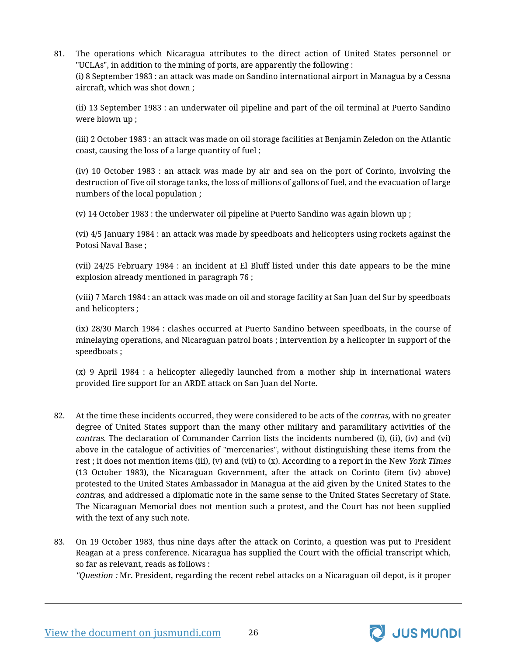81. The operations which Nicaragua attributes to the direct action of United States personnel or "UCLAs", in addition to the mining of ports, are apparently the following : (i) 8 September 1983 : an attack was made on Sandino international airport in Managua by a Cessna

aircraft, which was shot down ;

(ii) 13 September 1983 : an underwater oil pipeline and part of the oil terminal at Puerto Sandino were blown up ;

(iii) 2 October 1983 : an attack was made on oil storage facilities at Benjamin Zeledon on the Atlantic coast, causing the loss of a large quantity of fuel ;

(iv) 10 October 1983 : an attack was made by air and sea on the port of Corinto, involving the destruction of five oil storage tanks, the loss of millions of gallons of fuel, and the evacuation of large numbers of the local population ;

(v) 14 October 1983 : the underwater oil pipeline at Puerto Sandino was again blown up ;

(vi) 4/5 January 1984 : an attack was made by speedboats and helicopters using rockets against the Potosi Naval Base ;

(vii) 24/25 February 1984 : an incident at El Bluff listed under this date appears to be the mine explosion already mentioned in paragraph 76 ;

(viii) 7 March 1984 : an attack was made on oil and storage facility at San Juan del Sur by speedboats and helicopters ;

(ix) 28/30 March 1984 : clashes occurred at Puerto Sandino between speedboats, in the course of minelaying operations, and Nicaraguan patrol boats ; intervention by a helicopter in support of the speedboats ;

(x) 9 April 1984 : a helicopter allegedly launched from a mother ship in international waters provided fire support for an ARDE attack on San Juan del Norte.

- 82. At the time these incidents occurred, they were considered to be acts of the *contras,* with no greater degree of United States support than the many other military and paramilitary activities of the contras. The declaration of Commander Carrion lists the incidents numbered (i), (ii), (iv) and (vi) above in the catalogue of activities of "mercenaries", without distinguishing these items from the rest ; it does not mention items (iii), (v) and (vii) to (x). According to a report in the New York Times (13 October 1983), the Nicaraguan Government, after the attack on Corinto (item (iv) above) protested to the United States Ambassador in Managua at the aid given by the United States to the contras, and addressed a diplomatic note in the same sense to the United States Secretary of State. The Nicaraguan Memorial does not mention such a protest, and the Court has not been supplied with the text of any such note.
- 83. On 19 October 1983, thus nine days after the attack on Corinto, a question was put to President Reagan at a press conference. Nicaragua has supplied the Court with the official transcript which, so far as relevant, reads as follows :

"Question : Mr. President, regarding the recent rebel attacks on a Nicaraguan oil depot, is it proper

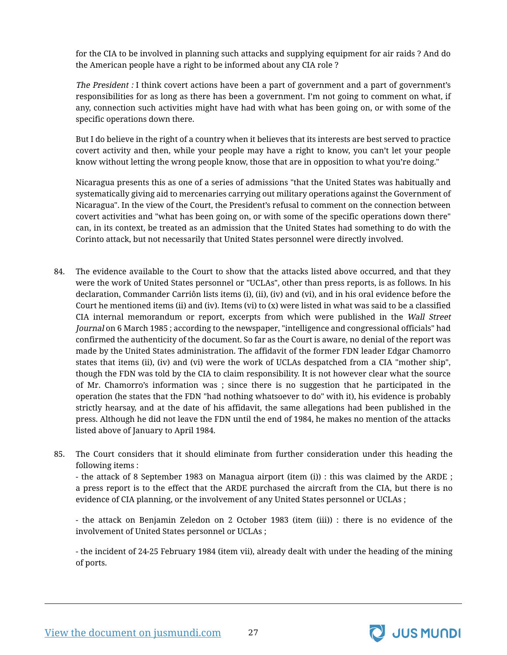for the CIA to be involved in planning such attacks and supplying equipment for air raids ? And do the American people have a right to be informed about any CIA role ?

The President : I think covert actions have been a part of government and a part of government's responsibilities for as long as there has been a government. I'm not going to comment on what, if any, connection such activities might have had with what has been going on, or with some of the specific operations down there.

But I do believe in the right of a country when it believes that its interests are best served to practice covert activity and then, while your people may have a right to know, you can't let your people know without letting the wrong people know, those that are in opposition to what you're doing."

Nicaragua presents this as one of a series of admissions "that the United States was habitually and systematically giving aid to mercenaries carrying out military operations against the Government of Nicaragua". In the view of the Court, the President's refusal to comment on the connection between covert activities and "what has been going on, or with some of the specific operations down there" can, in its context, be treated as an admission that the United States had something to do with the Corinto attack, but not necessarily that United States personnel were directly involved.

- 84. The evidence available to the Court to show that the attacks listed above occurred, and that they were the work of United States personnel or "UCLAs", other than press reports, is as follows. In his declaration, Commander Carriôn lists items (i), (ii), (iv) and (vi), and in his oral evidence before the Court he mentioned items (ii) and (iv). Items (vi) to (x) were listed in what was said to be a classified CIA internal memorandum or report, excerpts from which were published in the Wall Street Journal on 6 March 1985 ; according to the newspaper, "intelligence and congressional officials" had confirmed the authenticity of the document. So far as the Court is aware, no denial of the report was made by the United States administration. The affidavit of the former FDN leader Edgar Chamorro states that items (ii), (iv) and (vi) were the work of UCLAs despatched from a CIA "mother ship", though the FDN was told by the CIA to claim responsibility. It is not however clear what the source of Mr. Chamorro's information was ; since there is no suggestion that he participated in the operation (he states that the FDN "had nothing whatsoever to do" with it), his evidence is probably strictly hearsay, and at the date of his affidavit, the same allegations had been published in the press. Although he did not leave the FDN until the end of 1984, he makes no mention of the attacks listed above of January to April 1984.
- 85. The Court considers that it should eliminate from further consideration under this heading the following items :

- the attack of 8 September 1983 on Managua airport (item (i)) : this was claimed by the ARDE ; a press report is to the effect that the ARDE purchased the aircraft from the CIA, but there is no evidence of CIA planning, or the involvement of any United States personnel or UCLAs ;

- the attack on Benjamin Zeledon on 2 October 1983 (item (iii)) : there is no evidence of the involvement of United States personnel or UCLAs ;

- the incident of 24-25 February 1984 (item vii), already dealt with under the heading of the mining of ports.

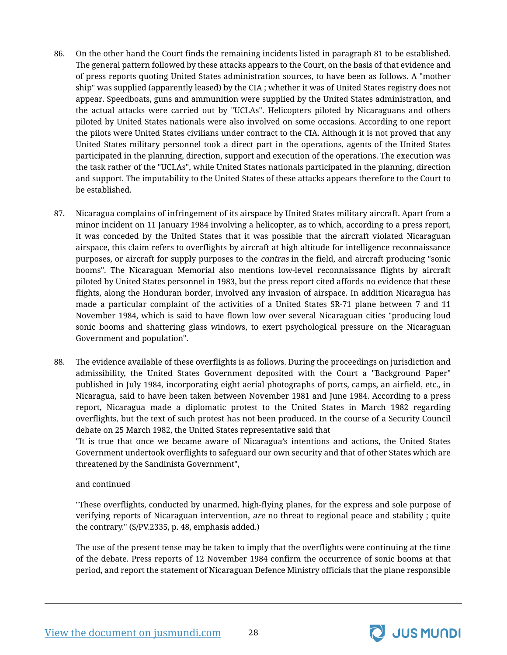- 86. On the other hand the Court finds the remaining incidents listed in paragraph 81 to be established. The general pattern followed by these attacks appears to the Court, on the basis of that evidence and of press reports quoting United States administration sources, to have been as follows. A "mother ship" was supplied (apparently leased) by the CIA ; whether it was of United States registry does not appear. Speedboats, guns and ammunition were supplied by the United States administration, and the actual attacks were carried out by "UCLAs". Helicopters piloted by Nicaraguans and others piloted by United States nationals were also involved on some occasions. According to one report the pilots were United States civilians under contract to the CIA. Although it is not proved that any United States military personnel took a direct part in the operations, agents of the United States participated in the planning, direction, support and execution of the operations. The execution was the task rather of the "UCLAs", while United States nationals participated in the planning, direction and support. The imputability to the United States of these attacks appears therefore to the Court to be established.
- 87. Nicaragua complains of infringement of its airspace by United States military aircraft. Apart from a minor incident on 11 January 1984 involving a helicopter, as to which, according to a press report, it was conceded by the United States that it was possible that the aircraft violated Nicaraguan airspace, this claim refers to overflights by aircraft at high altitude for intelligence reconnaissance purposes, or aircraft for supply purposes to the contras in the field, and aircraft producing "sonic booms". The Nicaraguan Memorial also mentions low-level reconnaissance flights by aircraft piloted by United States personnel in 1983, but the press report cited affords no evidence that these flights, along the Honduran border, involved any invasion of airspace. In addition Nicaragua has made a particular complaint of the activities of a United States SR-71 plane between 7 and 11 November 1984, which is said to have flown low over several Nicaraguan cities "producing loud sonic booms and shattering glass windows, to exert psychological pressure on the Nicaraguan Government and population".
- 88. The evidence available of these overflights is as follows. During the proceedings on jurisdiction and admissibility, the United States Government deposited with the Court a "Background Paper" published in July 1984, incorporating eight aerial photographs of ports, camps, an airfield, etc., in Nicaragua, said to have been taken between November 1981 and June 1984. According to a press report, Nicaragua made a diplomatic protest to the United States in March 1982 regarding overflights, but the text of such protest has not been produced. In the course of a Security Council debate on 25 March 1982, the United States representative said that

"It is true that once we became aware of Nicaragua's intentions and actions, the United States Government undertook overflights to safeguard our own security and that of other States which are threatened by the Sandinista Government",

#### and continued

"These overflights, conducted by unarmed, high-flying planes, for the express and sole purpose of verifying reports of Nicaraguan intervention, are no threat to regional peace and stability; quite the contrary." (S/PV.2335, p. 48, emphasis added.)

The use of the present tense may be taken to imply that the overflights were continuing at the time of the debate. Press reports of 12 November 1984 confirm the occurrence of sonic booms at that period, and report the statement of Nicaraguan Defence Ministry officials that the plane responsible



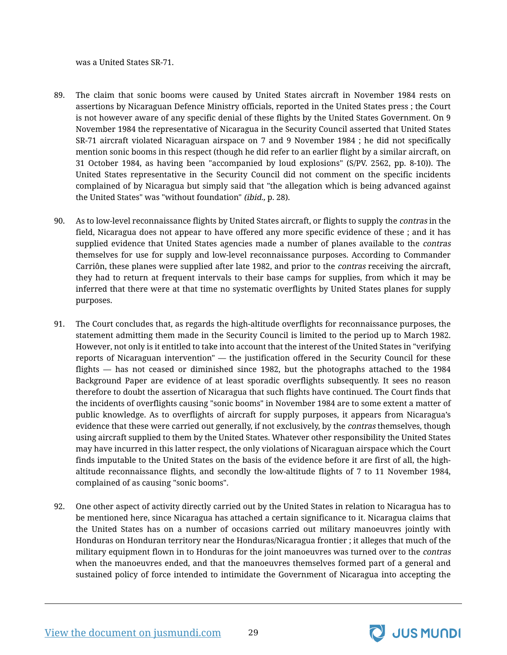was a United States SR-71.

- 89. The claim that sonic booms were caused by United States aircraft in November 1984 rests on assertions by Nicaraguan Defence Ministry officials, reported in the United States press ; the Court is not however aware of any specific denial of these flights by the United States Government. On 9 November 1984 the representative of Nicaragua in the Security Council asserted that United States SR-71 aircraft violated Nicaraguan airspace on 7 and 9 November 1984 ; he did not specifically mention sonic booms in this respect (though he did refer to an earlier flight by a similar aircraft, on 31 October 1984, as having been "accompanied by loud explosions" (S/PV. 2562, pp. 8-10)). The United States representative in the Security Council did not comment on the specific incidents complained of by Nicaragua but simply said that "the allegation which is being advanced against the United States" was "without foundation" (ibid., p. 28).
- 90. As to low-level reconnaissance flights by United States aircraft, or flights to supply the *contras* in the field, Nicaragua does not appear to have offered any more specific evidence of these ; and it has supplied evidence that United States agencies made a number of planes available to the *contras* themselves for use for supply and low-level reconnaissance purposes. According to Commander Carriôn, these planes were supplied after late 1982, and prior to the contras receiving the aircraft, they had to return at frequent intervals to their base camps for supplies, from which it may be inferred that there were at that time no systematic overflights by United States planes for supply purposes.
- 91. The Court concludes that, as regards the high-altitude overflights for reconnaissance purposes, the statement admitting them made in the Security Council is limited to the period up to March 1982. However, not only is it entitled to take into account that the interest of the United States in "verifying reports of Nicaraguan intervention" — the justification offered in the Security Council for these flights — has not ceased or diminished since 1982, but the photographs attached to the 1984 Background Paper are evidence of at least sporadic overflights subsequently. It sees no reason therefore to doubt the assertion of Nicaragua that such flights have continued. The Court finds that the incidents of overflights causing "sonic booms" in November 1984 are to some extent a matter of public knowledge. As to overflights of aircraft for supply purposes, it appears from Nicaragua's evidence that these were carried out generally, if not exclusively, by the *contras* themselves, though using aircraft supplied to them by the United States. Whatever other responsibility the United States may have incurred in this latter respect, the only violations of Nicaraguan airspace which the Court finds imputable to the United States on the basis of the evidence before it are first of all, the highaltitude reconnaissance flights, and secondly the low-altitude flights of 7 to 11 November 1984, complained of as causing "sonic booms".
- 92. One other aspect of activity directly carried out by the United States in relation to Nicaragua has to be mentioned here, since Nicaragua has attached a certain significance to it. Nicaragua claims that the United States has on a number of occasions carried out military manoeuvres jointly with Honduras on Honduran territory near the Honduras/Nicaragua frontier ; it alleges that much of the military equipment flown in to Honduras for the joint manoeuvres was turned over to the *contras* when the manoeuvres ended, and that the manoeuvres themselves formed part of a general and sustained policy of force intended to intimidate the Government of Nicaragua into accepting the

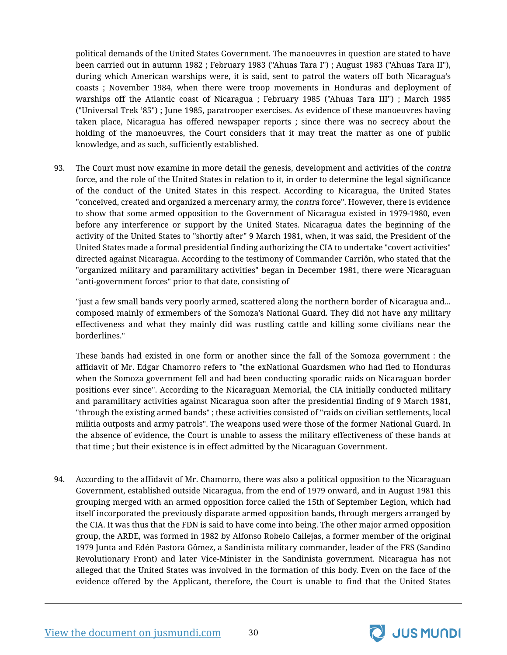political demands of the United States Government. The manoeuvres in question are stated to have been carried out in autumn 1982 ; February 1983 ("Ahuas Tara I") ; August 1983 ("Ahuas Tara II"), during which American warships were, it is said, sent to patrol the waters off both Nicaragua's coasts ; November 1984, when there were troop movements in Honduras and deployment of warships off the Atlantic coast of Nicaragua ; February 1985 ("Ahuas Tara III") ; March 1985 ("Universal Trek '85") ; June 1985, paratrooper exercises. As evidence of these manoeuvres having taken place, Nicaragua has offered newspaper reports ; since there was no secrecy about the holding of the manoeuvres, the Court considers that it may treat the matter as one of public knowledge, and as such, sufficiently established.

93. The Court must now examine in more detail the genesis, development and activities of the *contra* force, and the role of the United States in relation to it, in order to determine the legal significance of the conduct of the United States in this respect. According to Nicaragua, the United States "conceived, created and organized a mercenary army, the *contra* force". However, there is evidence to show that some armed opposition to the Government of Nicaragua existed in 1979-1980, even before any interference or support by the United States. Nicaragua dates the beginning of the activity of the United States to "shortly after" 9 March 1981, when, it was said, the President of the United States made a formal presidential finding authorizing the CIA to undertake "covert activities" directed against Nicaragua. According to the testimony of Commander Carriôn, who stated that the "organized military and paramilitary activities" began in December 1981, there were Nicaraguan "anti-government forces" prior to that date, consisting of

"just a few small bands very poorly armed, scattered along the northern border of Nicaragua and... composed mainly of exmembers of the Somoza's National Guard. They did not have any military effectiveness and what they mainly did was rustling cattle and killing some civilians near the borderlines."

These bands had existed in one form or another since the fall of the Somoza government : the affidavit of Mr. Edgar Chamorro refers to "the exNational Guardsmen who had fled to Honduras when the Somoza government fell and had been conducting sporadic raids on Nicaraguan border positions ever since". According to the Nicaraguan Memorial, the CIA initially conducted military and paramilitary activities against Nicaragua soon after the presidential finding of 9 March 1981, "through the existing armed bands" ; these activities consisted of "raids on civilian settlements, local militia outposts and army patrols". The weapons used were those of the former National Guard. In the absence of evidence, the Court is unable to assess the military effectiveness of these bands at that time ; but their existence is in effect admitted by the Nicaraguan Government.

94. According to the affidavit of Mr. Chamorro, there was also a political opposition to the Nicaraguan Government, established outside Nicaragua, from the end of 1979 onward, and in August 1981 this grouping merged with an armed opposition force called the 15th of September Legion, which had itself incorporated the previously disparate armed opposition bands, through mergers arranged by the CIA. It was thus that the FDN is said to have come into being. The other major armed opposition group, the ARDE, was formed in 1982 by Alfonso Robelo Callejas, a former member of the original 1979 Junta and Edén Pastora Gômez, a Sandinista military commander, leader of the FRS (Sandino Revolutionary Front) and later Vice-Minister in the Sandinista government. Nicaragua has not alleged that the United States was involved in the formation of this body. Even on the face of the evidence offered by the Applicant, therefore, the Court is unable to find that the United States



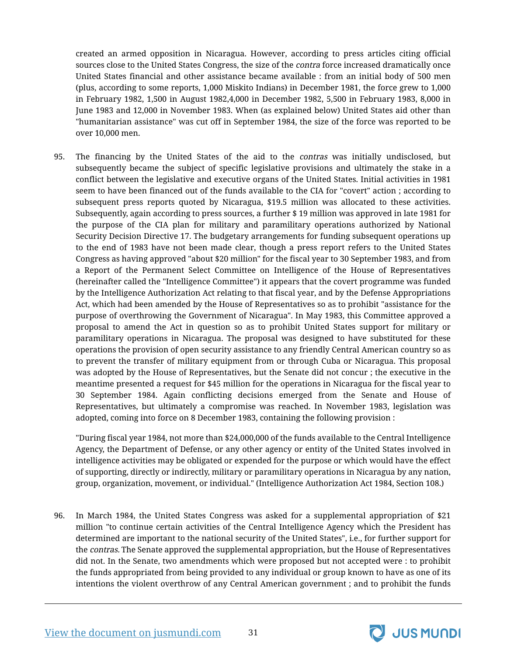created an armed opposition in Nicaragua. However, according to press articles citing official sources close to the United States Congress, the size of the *contra* force increased dramatically once United States financial and other assistance became available : from an initial body of 500 men (plus, according to some reports, 1,000 Miskito Indians) in December 1981, the force grew to 1,000 in February 1982, 1,500 in August 1982,4,000 in December 1982, 5,500 in February 1983, 8,000 in June 1983 and 12,000 in November 1983. When (as explained below) United States aid other than "humanitarian assistance" was cut off in September 1984, the size of the force was reported to be over 10,000 men.

95. The financing by the United States of the aid to the contras was initially undisclosed, but subsequently became the subject of specific legislative provisions and ultimately the stake in a conflict between the legislative and executive organs of the United States. Initial activities in 1981 seem to have been financed out of the funds available to the CIA for "covert" action ; according to subsequent press reports quoted by Nicaragua, \$19.5 million was allocated to these activities. Subsequently, again according to press sources, a further \$ 19 million was approved in late 1981 for the purpose of the CIA plan for military and paramilitary operations authorized by National Security Decision Directive 17. The budgetary arrangements for funding subsequent operations up to the end of 1983 have not been made clear, though a press report refers to the United States Congress as having approved "about \$20 million" for the fiscal year to 30 September 1983, and from a Report of the Permanent Select Committee on Intelligence of the House of Representatives (hereinafter called the "Intelligence Committee") it appears that the covert programme was funded by the Intelligence Authorization Act relating to that fiscal year, and by the Defense Appropriations Act, which had been amended by the House of Representatives so as to prohibit "assistance for the purpose of overthrowing the Government of Nicaragua". In May 1983, this Committee approved a proposal to amend the Act in question so as to prohibit United States support for military or paramilitary operations in Nicaragua. The proposal was designed to have substituted for these operations the provision of open security assistance to any friendly Central American country so as to prevent the transfer of military equipment from or through Cuba or Nicaragua. This proposal was adopted by the House of Representatives, but the Senate did not concur ; the executive in the meantime presented a request for \$45 million for the operations in Nicaragua for the fiscal year to 30 September 1984. Again conflicting decisions emerged from the Senate and House of Representatives, but ultimately a compromise was reached. In November 1983, legislation was adopted, coming into force on 8 December 1983, containing the following provision :

"During fiscal year 1984, not more than \$24,000,000 of the funds available to the Central Intelligence Agency, the Department of Defense, or any other agency or entity of the United States involved in intelligence activities may be obligated or expended for the purpose or which would have the effect of supporting, directly or indirectly, military or paramilitary operations in Nicaragua by any nation, group, organization, movement, or individual." (Intelligence Authorization Act 1984, Section 108.)

96. In March 1984, the United States Congress was asked for a supplemental appropriation of \$21 million "to continue certain activities of the Central Intelligence Agency which the President has determined are important to the national security of the United States", i.e., for further support for the *contras*. The Senate approved the supplemental appropriation, but the House of Representatives did not. In the Senate, two amendments which were proposed but not accepted were : to prohibit the funds appropriated from being provided to any individual or group known to have as one of its intentions the violent overthrow of any Central American government ; and to prohibit the funds

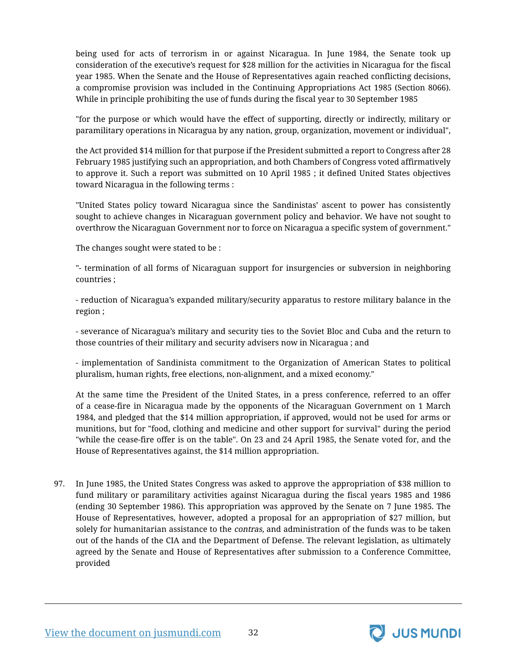being used for acts of terrorism in or against Nicaragua. In June 1984, the Senate took up consideration of the executive's request for \$28 million for the activities in Nicaragua for the fiscal year 1985. When the Senate and the House of Representatives again reached conflicting decisions, a compromise provision was included in the Continuing Appropriations Act 1985 (Section 8066). While in principle prohibiting the use of funds during the fiscal year to 30 September 1985

"for the purpose or which would have the effect of supporting, directly or indirectly, military or paramilitary operations in Nicaragua by any nation, group, organization, movement or individual",

the Act provided \$14 million for that purpose if the President submitted a report to Congress after 28 February 1985 justifying such an appropriation, and both Chambers of Congress voted affirmatively to approve it. Such a report was submitted on 10 April 1985 ; it defined United States objectives toward Nicaragua in the following terms :

"United States policy toward Nicaragua since the Sandinistas' ascent to power has consistently sought to achieve changes in Nicaraguan government policy and behavior. We have not sought to overthrow the Nicaraguan Government nor to force on Nicaragua a specific system of government."

The changes sought were stated to be :

"- termination of all forms of Nicaraguan support for insurgencies or subversion in neighboring countries ;

- reduction of Nicaragua's expanded military/security apparatus to restore military balance in the region ;

- severance of Nicaragua's military and security ties to the Soviet Bloc and Cuba and the return to those countries of their military and security advisers now in Nicaragua ; and

- implementation of Sandinista commitment to the Organization of American States to political pluralism, human rights, free elections, non-alignment, and a mixed economy."

At the same time the President of the United States, in a press conference, referred to an offer of a cease-fire in Nicaragua made by the opponents of the Nicaraguan Government on 1 March 1984, and pledged that the \$14 million appropriation, if approved, would not be used for arms or munitions, but for "food, clothing and medicine and other support for survival" during the period "while the cease-fire offer is on the table". On 23 and 24 April 1985, the Senate voted for, and the House of Representatives against, the \$14 million appropriation.

97. In June 1985, the United States Congress was asked to approve the appropriation of \$38 million to fund military or paramilitary activities against Nicaragua during the fiscal years 1985 and 1986 (ending 30 September 1986). This appropriation was approved by the Senate on 7 June 1985. The House of Representatives, however, adopted a proposal for an appropriation of \$27 million, but solely for humanitarian assistance to the *contras*, and administration of the funds was to be taken out of the hands of the CIA and the Department of Defense. The relevant legislation, as ultimately agreed by the Senate and House of Representatives after submission to a Conference Committee, provided

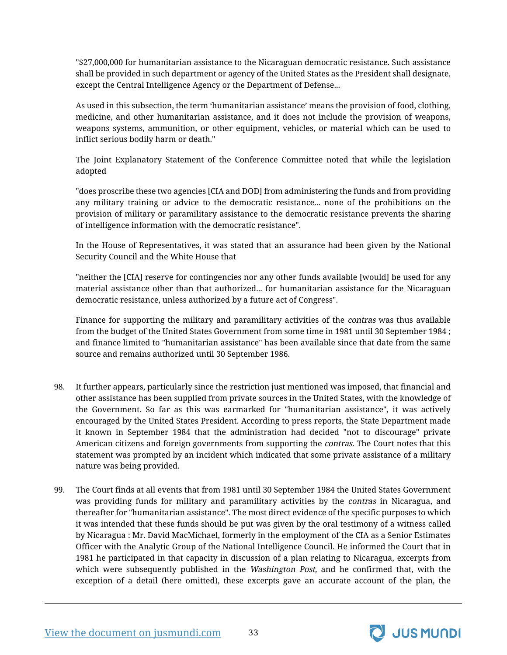"\$27,000,000 for humanitarian assistance to the Nicaraguan democratic resistance. Such assistance shall be provided in such department or agency of the United States as the President shall designate, except the Central Intelligence Agency or the Department of Defense...

As used in this subsection, the term 'humanitarian assistance' means the provision of food, clothing, medicine, and other humanitarian assistance, and it does not include the provision of weapons, weapons systems, ammunition, or other equipment, vehicles, or material which can be used to inflict serious bodily harm or death."

The Joint Explanatory Statement of the Conference Committee noted that while the legislation adopted

"does proscribe these two agencies [CIA and DOD] from administering the funds and from providing any military training or advice to the democratic resistance... none of the prohibitions on the provision of military or paramilitary assistance to the democratic resistance prevents the sharing of intelligence information with the democratic resistance".

In the House of Representatives, it was stated that an assurance had been given by the National Security Council and the White House that

"neither the [CIA] reserve for contingencies nor any other funds available [would] be used for any material assistance other than that authorized... for humanitarian assistance for the Nicaraguan democratic resistance, unless authorized by a future act of Congress".

Finance for supporting the military and paramilitary activities of the *contras* was thus available from the budget of the United States Government from some time in 1981 until 30 September 1984 ; and finance limited to "humanitarian assistance" has been available since that date from the same source and remains authorized until 30 September 1986.

- 98. It further appears, particularly since the restriction just mentioned was imposed, that financial and other assistance has been supplied from private sources in the United States, with the knowledge of the Government. So far as this was earmarked for "humanitarian assistance", it was actively encouraged by the United States President. According to press reports, the State Department made it known in September 1984 that the administration had decided "not to discourage" private American citizens and foreign governments from supporting the *contras*. The Court notes that this statement was prompted by an incident which indicated that some private assistance of a military nature was being provided.
- 99. The Court finds at all events that from 1981 until 30 September 1984 the United States Government was providing funds for military and paramilitary activities by the *contras* in Nicaragua, and thereafter for "humanitarian assistance". The most direct evidence of the specific purposes to which it was intended that these funds should be put was given by the oral testimony of a witness called by Nicaragua : Mr. David MacMichael, formerly in the employment of the CIA as a Senior Estimates Officer with the Analytic Group of the National Intelligence Council. He informed the Court that in 1981 he participated in that capacity in discussion of a plan relating to Nicaragua, excerpts from which were subsequently published in the Washington Post, and he confirmed that, with the exception of a detail (here omitted), these excerpts gave an accurate account of the plan, the

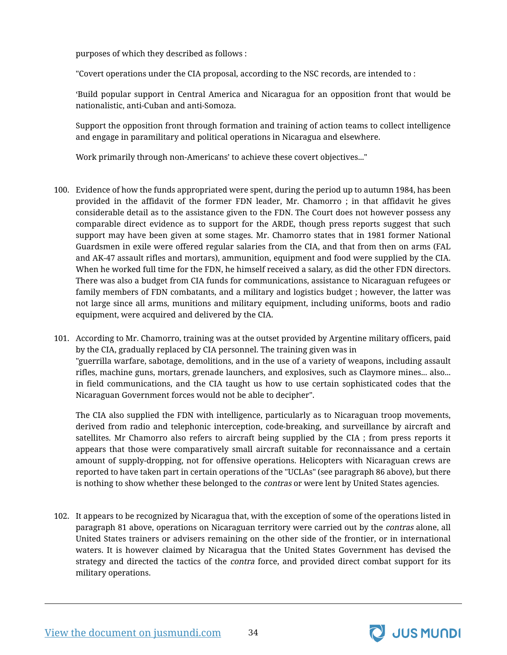purposes of which they described as follows :

"Covert operations under the CIA proposal, according to the NSC records, are intended to :

'Build popular support in Central America and Nicaragua for an opposition front that would be nationalistic, anti-Cuban and anti-Somoza.

Support the opposition front through formation and training of action teams to collect intelligence and engage in paramilitary and political operations in Nicaragua and elsewhere.

Work primarily through non-Americans' to achieve these covert objectives..."

- 100. Evidence of how the funds appropriated were spent, during the period up to autumn 1984, has been provided in the affidavit of the former FDN leader, Mr. Chamorro ; in that affidavit he gives considerable detail as to the assistance given to the FDN. The Court does not however possess any comparable direct evidence as to support for the ARDE, though press reports suggest that such support may have been given at some stages. Mr. Chamorro states that in 1981 former National Guardsmen in exile were offered regular salaries from the CIA, and that from then on arms (FAL and AK-47 assault rifles and mortars), ammunition, equipment and food were supplied by the CIA. When he worked full time for the FDN, he himself received a salary, as did the other FDN directors. There was also a budget from CIA funds for communications, assistance to Nicaraguan refugees or family members of FDN combatants, and a military and logistics budget ; however, the latter was not large since all arms, munitions and military equipment, including uniforms, boots and radio equipment, were acquired and delivered by the CIA.
- 101. According to Mr. Chamorro, training was at the outset provided by Argentine military officers, paid by the CIA, gradually replaced by CIA personnel. The training given was in "guerrilla warfare, sabotage, demolitions, and in the use of a variety of weapons, including assault rifles, machine guns, mortars, grenade launchers, and explosives, such as Claymore mines... also... in field communications, and the CIA taught us how to use certain sophisticated codes that the Nicaraguan Government forces would not be able to decipher".

The CIA also supplied the FDN with intelligence, particularly as to Nicaraguan troop movements, derived from radio and telephonic interception, code-breaking, and surveillance by aircraft and satellites. Mr Chamorro also refers to aircraft being supplied by the CIA ; from press reports it appears that those were comparatively small aircraft suitable for reconnaissance and a certain amount of supply-dropping, not for offensive operations. Helicopters with Nicaraguan crews are reported to have taken part in certain operations of the "UCLAs" (see paragraph 86 above), but there is nothing to show whether these belonged to the *contras* or were lent by United States agencies.

102. It appears to be recognized by Nicaragua that, with the exception of some of the operations listed in paragraph 81 above, operations on Nicaraguan territory were carried out by the contras alone, all United States trainers or advisers remaining on the other side of the frontier, or in international waters. It is however claimed by Nicaragua that the United States Government has devised the strategy and directed the tactics of the *contra* force, and provided direct combat support for its military operations.

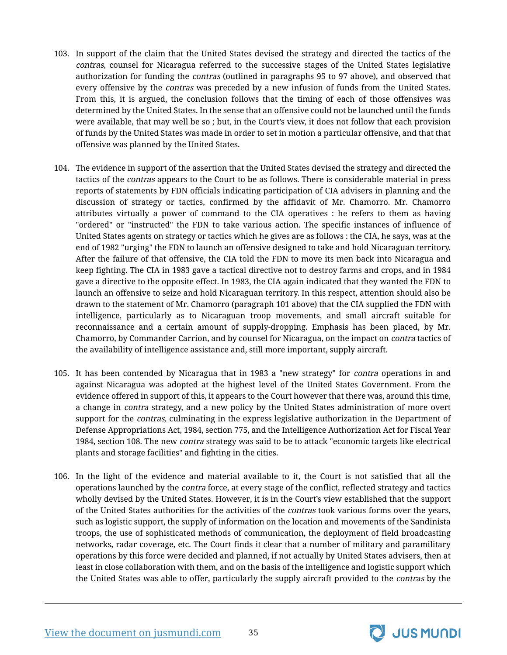- 103. In support of the claim that the United States devised the strategy and directed the tactics of the contras, counsel for Nicaragua referred to the successive stages of the United States legislative authorization for funding the contras (outlined in paragraphs 95 to 97 above), and observed that every offensive by the *contras* was preceded by a new infusion of funds from the United States. From this, it is argued, the conclusion follows that the timing of each of those offensives was determined by the United States. In the sense that an offensive could not be launched until the funds were available, that may well be so ; but, in the Court's view, it does not follow that each provision of funds by the United States was made in order to set in motion a particular offensive, and that that offensive was planned by the United States.
- 104. The evidence in support of the assertion that the United States devised the strategy and directed the tactics of the contras appears to the Court to be as follows. There is considerable material in press reports of statements by FDN officials indicating participation of CIA advisers in planning and the discussion of strategy or tactics, confirmed by the affidavit of Mr. Chamorro. Mr. Chamorro attributes virtually a power of command to the CIA operatives : he refers to them as having "ordered" or "instructed" the FDN to take various action. The specific instances of influence of United States agents on strategy or tactics which he gives are as follows : the CIA, he says, was at the end of 1982 "urging" the FDN to launch an offensive designed to take and hold Nicaraguan territory. After the failure of that offensive, the CIA told the FDN to move its men back into Nicaragua and keep fighting. The CIA in 1983 gave a tactical directive not to destroy farms and crops, and in 1984 gave a directive to the opposite effect. In 1983, the CIA again indicated that they wanted the FDN to launch an offensive to seize and hold Nicaraguan territory. In this respect, attention should also be drawn to the statement of Mr. Chamorro (paragraph 101 above) that the CIA supplied the FDN with intelligence, particularly as to Nicaraguan troop movements, and small aircraft suitable for reconnaissance and a certain amount of supply-dropping. Emphasis has been placed, by Mr. Chamorro, by Commander Carrion, and by counsel for Nicaragua, on the impact on contra tactics of the availability of intelligence assistance and, still more important, supply aircraft.
- 105. It has been contended by Nicaragua that in 1983 a "new strategy" for *contra* operations in and against Nicaragua was adopted at the highest level of the United States Government. From the evidence offered in support of this, it appears to the Court however that there was, around this time, a change in contra strategy, and a new policy by the United States administration of more overt support for the *contras*, culminating in the express legislative authorization in the Department of Defense Appropriations Act, 1984, section 775, and the Intelligence Authorization Act for Fiscal Year 1984, section 108. The new contra strategy was said to be to attack "economic targets like electrical plants and storage facilities" and fighting in the cities.
- 106. In the light of the evidence and material available to it, the Court is not satisfied that all the operations launched by the contra force, at every stage of the conflict, reflected strategy and tactics wholly devised by the United States. However, it is in the Court's view established that the support of the United States authorities for the activities of the contras took various forms over the years, such as logistic support, the supply of information on the location and movements of the Sandinista troops, the use of sophisticated methods of communication, the deployment of field broadcasting networks, radar coverage, etc. The Court finds it clear that a number of military and paramilitary operations by this force were decided and planned, if not actually by United States advisers, then at least in close collaboration with them, and on the basis of the intelligence and logistic support which the United States was able to offer, particularly the supply aircraft provided to the contras by the



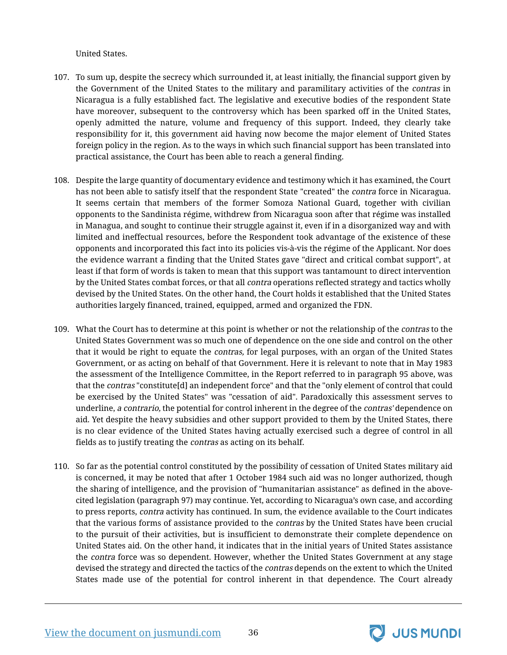United States.

- 107. To sum up, despite the secrecy which surrounded it, at least initially, the financial support given by the Government of the United States to the military and paramilitary activities of the contras in Nicaragua is a fully established fact. The legislative and executive bodies of the respondent State have moreover, subsequent to the controversy which has been sparked off in the United States, openly admitted the nature, volume and frequency of this support. Indeed, they clearly take responsibility for it, this government aid having now become the major element of United States foreign policy in the region. As to the ways in which such financial support has been translated into practical assistance, the Court has been able to reach a general finding.
- 108. Despite the large quantity of documentary evidence and testimony which it has examined, the Court has not been able to satisfy itself that the respondent State "created" the *contra* force in Nicaragua. It seems certain that members of the former Somoza National Guard, together with civilian opponents to the Sandinista régime, withdrew from Nicaragua soon after that régime was installed in Managua, and sought to continue their struggle against it, even if in a disorganized way and with limited and ineffectual resources, before the Respondent took advantage of the existence of these opponents and incorporated this fact into its policies vis-à-vis the régime of the Applicant. Nor does the evidence warrant a finding that the United States gave "direct and critical combat support", at least if that form of words is taken to mean that this support was tantamount to direct intervention by the United States combat forces, or that all *contra* operations reflected strategy and tactics wholly devised by the United States. On the other hand, the Court holds it established that the United States authorities largely financed, trained, equipped, armed and organized the FDN.
- 109. What the Court has to determine at this point is whether or not the relationship of the *contras* to the United States Government was so much one of dependence on the one side and control on the other that it would be right to equate the contras, for legal purposes, with an organ of the United States Government, or as acting on behalf of that Government. Here it is relevant to note that in May 1983 the assessment of the Intelligence Committee, in the Report referred to in paragraph 95 above, was that the contras "constitute[d] an independent force" and that the "only element of control that could be exercised by the United States" was "cessation of aid". Paradoxically this assessment serves to underline, a contrario, the potential for control inherent in the degree of the contras' dependence on aid. Yet despite the heavy subsidies and other support provided to them by the United States, there is no clear evidence of the United States having actually exercised such a degree of control in all fields as to justify treating the contras as acting on its behalf.
- 110. So far as the potential control constituted by the possibility of cessation of United States military aid is concerned, it may be noted that after 1 October 1984 such aid was no longer authorized, though the sharing of intelligence, and the provision of "humanitarian assistance" as defined in the abovecited legislation (paragraph 97) may continue. Yet, according to Nicaragua's own case, and according to press reports, *contra* activity has continued. In sum, the evidence available to the Court indicates that the various forms of assistance provided to the *contras* by the United States have been crucial to the pursuit of their activities, but is insufficient to demonstrate their complete dependence on United States aid. On the other hand, it indicates that in the initial years of United States assistance the *contra* force was so dependent. However, whether the United States Government at any stage devised the strategy and directed the tactics of the *contras* depends on the extent to which the United States made use of the potential for control inherent in that dependence. The Court already



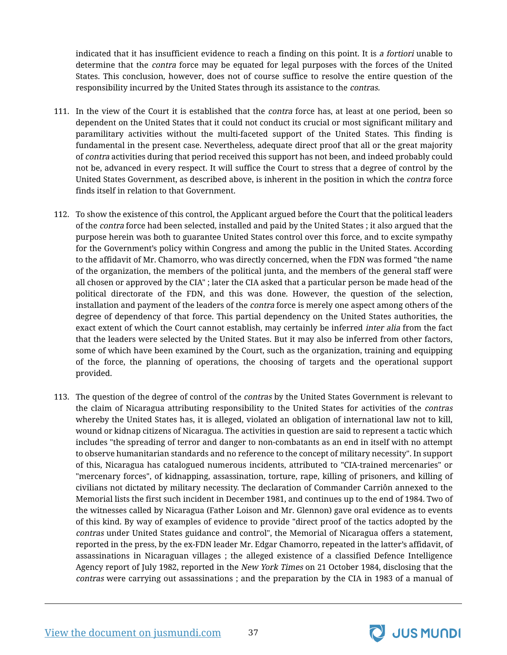indicated that it has insufficient evidence to reach a finding on this point. It is a fortiori unable to determine that the contra force may be equated for legal purposes with the forces of the United States. This conclusion, however, does not of course suffice to resolve the entire question of the responsibility incurred by the United States through its assistance to the contras.

- 111. In the view of the Court it is established that the contra force has, at least at one period, been so dependent on the United States that it could not conduct its crucial or most significant military and paramilitary activities without the multi-faceted support of the United States. This finding is fundamental in the present case. Nevertheless, adequate direct proof that all or the great majority of contra activities during that period received this support has not been, and indeed probably could not be, advanced in every respect. It will suffice the Court to stress that a degree of control by the United States Government, as described above, is inherent in the position in which the contra force finds itself in relation to that Government.
- 112. To show the existence of this control, the Applicant argued before the Court that the political leaders of the *contra* force had been selected, installed and paid by the United States ; it also argued that the purpose herein was both to guarantee United States control over this force, and to excite sympathy for the Government's policy within Congress and among the public in the United States. According to the affidavit of Mr. Chamorro, who was directly concerned, when the FDN was formed "the name of the organization, the members of the political junta, and the members of the general staff were all chosen or approved by the CIA" ; later the CIA asked that a particular person be made head of the political directorate of the FDN, and this was done. However, the question of the selection, installation and payment of the leaders of the contra force is merely one aspect among others of the degree of dependency of that force. This partial dependency on the United States authorities, the exact extent of which the Court cannot establish, may certainly be inferred inter alia from the fact that the leaders were selected by the United States. But it may also be inferred from other factors, some of which have been examined by the Court, such as the organization, training and equipping of the force, the planning of operations, the choosing of targets and the operational support provided.
- 113. The question of the degree of control of the *contras* by the United States Government is relevant to the claim of Nicaragua attributing responsibility to the United States for activities of the contras whereby the United States has, it is alleged, violated an obligation of international law not to kill, wound or kidnap citizens of Nicaragua. The activities in question are said to represent a tactic which includes "the spreading of terror and danger to non-combatants as an end in itself with no attempt to observe humanitarian standards and no reference to the concept of military necessity". In support of this, Nicaragua has catalogued numerous incidents, attributed to "CIA-trained mercenaries" or "mercenary forces", of kidnapping, assassination, torture, rape, killing of prisoners, and killing of civilians not dictated by military necessity. The declaration of Commander Carriôn annexed to the Memorial lists the first such incident in December 1981, and continues up to the end of 1984. Two of the witnesses called by Nicaragua (Father Loison and Mr. Glennon) gave oral evidence as to events of this kind. By way of examples of evidence to provide "direct proof of the tactics adopted by the contras under United States guidance and control", the Memorial of Nicaragua offers a statement, reported in the press, by the ex-FDN leader Mr. Edgar Chamorro, repeated in the latter's affidavit, of assassinations in Nicaraguan villages ; the alleged existence of a classified Defence Intelligence Agency report of July 1982, reported in the New York Times on 21 October 1984, disclosing that the contras were carrying out assassinations ; and the preparation by the CIA in 1983 of a manual of



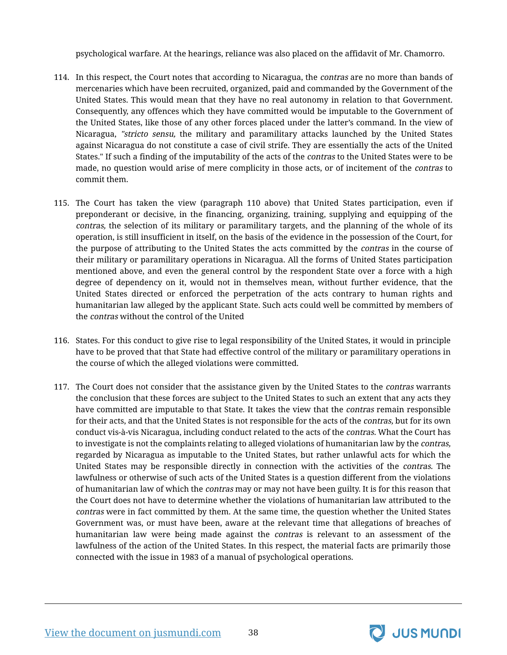psychological warfare. At the hearings, reliance was also placed on the affidavit of Mr. Chamorro.

- 114. In this respect, the Court notes that according to Nicaragua, the *contras* are no more than bands of mercenaries which have been recruited, organized, paid and commanded by the Government of the United States. This would mean that they have no real autonomy in relation to that Government. Consequently, any offences which they have committed would be imputable to the Government of the United States, like those of any other forces placed under the latter's command. In the view of Nicaragua, "stricto sensu, the military and paramilitary attacks launched by the United States against Nicaragua do not constitute a case of civil strife. They are essentially the acts of the United States." If such a finding of the imputability of the acts of the *contras* to the United States were to be made, no question would arise of mere complicity in those acts, or of incitement of the contras to commit them.
- 115. The Court has taken the view (paragraph 110 above) that United States participation, even if preponderant or decisive, in the financing, organizing, training, supplying and equipping of the contras, the selection of its military or paramilitary targets, and the planning of the whole of its operation, is still insufficient in itself, on the basis of the evidence in the possession of the Court, for the purpose of attributing to the United States the acts committed by the contras in the course of their military or paramilitary operations in Nicaragua. All the forms of United States participation mentioned above, and even the general control by the respondent State over a force with a high degree of dependency on it, would not in themselves mean, without further evidence, that the United States directed or enforced the perpetration of the acts contrary to human rights and humanitarian law alleged by the applicant State. Such acts could well be committed by members of the contras without the control of the United
- 116. States. For this conduct to give rise to legal responsibility of the United States, it would in principle have to be proved that that State had effective control of the military or paramilitary operations in the course of which the alleged violations were committed.
- 117. The Court does not consider that the assistance given by the United States to the *contras* warrants the conclusion that these forces are subject to the United States to such an extent that any acts they have committed are imputable to that State. It takes the view that the *contras* remain responsible for their acts, and that the United States is not responsible for the acts of the *contras*, but for its own conduct vis-à-vis Nicaragua, including conduct related to the acts of the contras. What the Court has to investigate is not the complaints relating to alleged violations of humanitarian law by the contras, regarded by Nicaragua as imputable to the United States, but rather unlawful acts for which the United States may be responsible directly in connection with the activities of the contras. The lawfulness or otherwise of such acts of the United States is a question different from the violations of humanitarian law of which the *contras* may or may not have been guilty. It is for this reason that the Court does not have to determine whether the violations of humanitarian law attributed to the contras were in fact committed by them. At the same time, the question whether the United States Government was, or must have been, aware at the relevant time that allegations of breaches of humanitarian law were being made against the contras is relevant to an assessment of the lawfulness of the action of the United States. In this respect, the material facts are primarily those connected with the issue in 1983 of a manual of psychological operations.

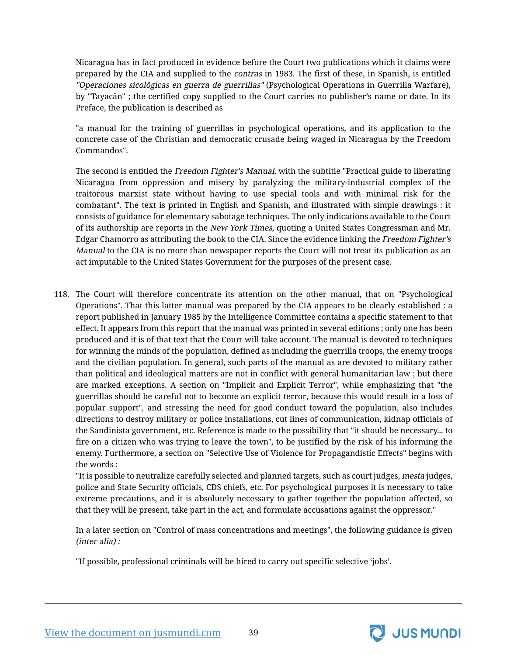Nicaragua has in fact produced in evidence before the Court two publications which it claims were prepared by the CIA and supplied to the *contras* in 1983. The first of these, in Spanish, is entitled "Operaciones sicolôgicas en guerra de guerrillas" (Psychological Operations in Guerrilla Warfare), by "Tayacân" ; the certified copy supplied to the Court carries no publisher's name or date. In its Preface, the publication is described as

"a manual for the training of guerrillas in psychological operations, and its application to the concrete case of the Christian and democratic crusade being waged in Nicaragua by the Freedom Commandos".

The second is entitled the Freedom Fighter's Manual, with the subtitle "Practical guide to liberating Nicaragua from oppression and misery by paralyzing the military-industrial complex of the traitorous marxist state without having to use special tools and with minimal risk for the combatant". The text is printed in English and Spanish, and illustrated with simple drawings : it consists of guidance for elementary sabotage techniques. The only indications available to the Court of its authorship are reports in the New York Times, quoting a United States Congressman and Mr. Edgar Chamorro as attributing the book to the CIA. Since the evidence linking the Freedom Fighter's Manual to the CIA is no more than newspaper reports the Court will not treat its publication as an act imputable to the United States Government for the purposes of the present case.

118. The Court will therefore concentrate its attention on the other manual, that on "Psychological Operations". That this latter manual was prepared by the CIA appears to be clearly established : a report published in January 1985 by the Intelligence Committee contains a specific statement to that effect. It appears from this report that the manual was printed in several editions ; only one has been produced and it is of that text that the Court will take account. The manual is devoted to techniques for winning the minds of the population, defined as including the guerrilla troops, the enemy troops and the civilian population. In general, such parts of the manual as are devoted to military rather than political and ideological matters are not in conflict with general humanitarian law ; but there are marked exceptions. A section on "Implicit and Explicit Terror", while emphasizing that "the guerrillas should be careful not to become an explicit terror, because this would result in a loss of popular support", and stressing the need for good conduct toward the population, also includes directions to destroy military or police installations, cut lines of communication, kidnap officials of the Sandinista government, etc. Reference is made to the possibility that "it should be necessary... to fire on a citizen who was trying to leave the town", to be justified by the risk of his informing the enemy. Furthermore, a section on "Selective Use of Violence for Propagandistic Effects" begins with the words :

"It is possible to neutralize carefully selected and planned targets, such as court judges, mesta judges, police and State Security officials, CDS chiefs, etc. For psychological purposes it is necessary to take extreme precautions, and it is absolutely necessary to gather together the population affected, so that they will be present, take part in the act, and formulate accusations against the oppressor."

In a later section on "Control of mass concentrations and meetings", the following guidance is given (inter alia) :

"If possible, professional criminals will be hired to carry out specific selective 'jobs'.

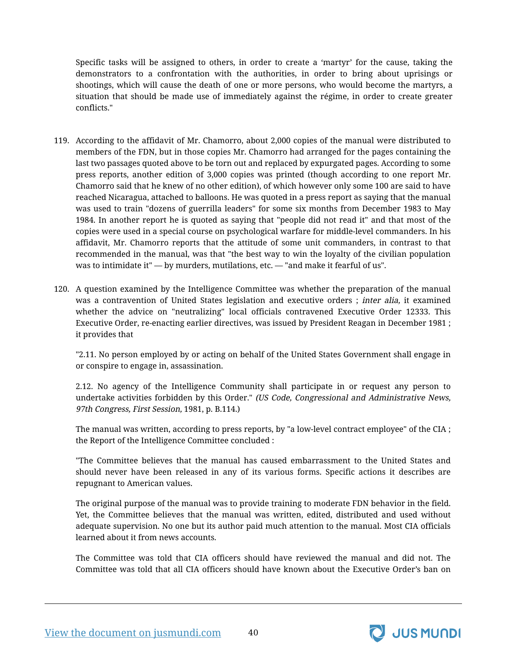Specific tasks will be assigned to others, in order to create a 'martyr' for the cause, taking the demonstrators to a confrontation with the authorities, in order to bring about uprisings or shootings, which will cause the death of one or more persons, who would become the martyrs, a situation that should be made use of immediately against the régime, in order to create greater conflicts."

- 119. According to the affidavit of Mr. Chamorro, about 2,000 copies of the manual were distributed to members of the FDN, but in those copies Mr. Chamorro had arranged for the pages containing the last two passages quoted above to be torn out and replaced by expurgated pages. According to some press reports, another edition of 3,000 copies was printed (though according to one report Mr. Chamorro said that he knew of no other edition), of which however only some 100 are said to have reached Nicaragua, attached to balloons. He was quoted in a press report as saying that the manual was used to train "dozens of guerrilla leaders" for some six months from December 1983 to May 1984. In another report he is quoted as saying that "people did not read it" and that most of the copies were used in a special course on psychological warfare for middle-level commanders. In his affidavit, Mr. Chamorro reports that the attitude of some unit commanders, in contrast to that recommended in the manual, was that "the best way to win the loyalty of the civilian population was to intimidate it" — by murders, mutilations, etc. — "and make it fearful of us".
- 120. A question examined by the Intelligence Committee was whether the preparation of the manual was a contravention of United States legislation and executive orders ; inter alia, it examined whether the advice on "neutralizing" local officials contravened Executive Order 12333. This Executive Order, re-enacting earlier directives, was issued by President Reagan in December 1981 ; it provides that

"2.11. No person employed by or acting on behalf of the United States Government shall engage in or conspire to engage in, assassination.

2.12. No agency of the Intelligence Community shall participate in or request any person to undertake activities forbidden by this Order." (US Code, Congressional and Administrative News, 97th Congress, First Session, 1981, p. B.114.)

The manual was written, according to press reports, by "a low-level contract employee" of the CIA ; the Report of the Intelligence Committee concluded :

"The Committee believes that the manual has caused embarrassment to the United States and should never have been released in any of its various forms. Specific actions it describes are repugnant to American values.

The original purpose of the manual was to provide training to moderate FDN behavior in the field. Yet, the Committee believes that the manual was written, edited, distributed and used without adequate supervision. No one but its author paid much attention to the manual. Most CIA officials learned about it from news accounts.

The Committee was told that CIA officers should have reviewed the manual and did not. The Committee was told that all CIA officers should have known about the Executive Order's ban on

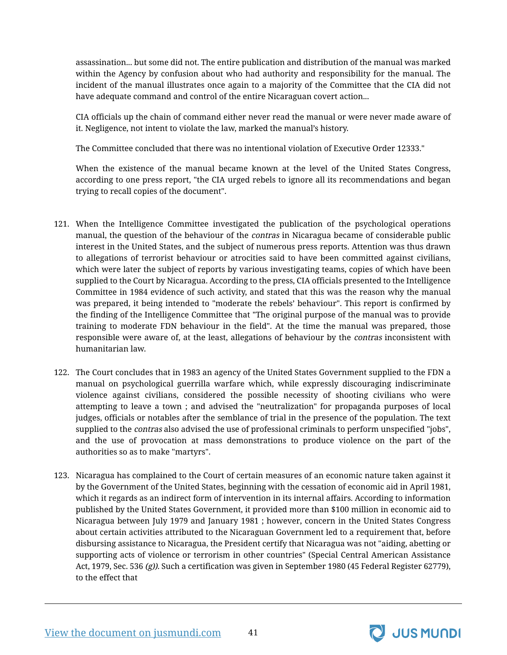assassination... but some did not. The entire publication and distribution of the manual was marked within the Agency by confusion about who had authority and responsibility for the manual. The incident of the manual illustrates once again to a majority of the Committee that the CIA did not have adequate command and control of the entire Nicaraguan covert action...

CIA officials up the chain of command either never read the manual or were never made aware of it. Negligence, not intent to violate the law, marked the manual's history.

The Committee concluded that there was no intentional violation of Executive Order 12333."

When the existence of the manual became known at the level of the United States Congress, according to one press report, "the CIA urged rebels to ignore all its recommendations and began trying to recall copies of the document".

- 121. When the Intelligence Committee investigated the publication of the psychological operations manual, the question of the behaviour of the contras in Nicaragua became of considerable public interest in the United States, and the subject of numerous press reports. Attention was thus drawn to allegations of terrorist behaviour or atrocities said to have been committed against civilians, which were later the subject of reports by various investigating teams, copies of which have been supplied to the Court by Nicaragua. According to the press, CIA officials presented to the Intelligence Committee in 1984 evidence of such activity, and stated that this was the reason why the manual was prepared, it being intended to "moderate the rebels' behaviour". This report is confirmed by the finding of the Intelligence Committee that "The original purpose of the manual was to provide training to moderate FDN behaviour in the field". At the time the manual was prepared, those responsible were aware of, at the least, allegations of behaviour by the *contras* inconsistent with humanitarian law.
- 122. The Court concludes that in 1983 an agency of the United States Government supplied to the FDN a manual on psychological guerrilla warfare which, while expressly discouraging indiscriminate violence against civilians, considered the possible necessity of shooting civilians who were attempting to leave a town ; and advised the "neutralization" for propaganda purposes of local judges, officials or notables after the semblance of trial in the presence of the population. The text supplied to the *contras* also advised the use of professional criminals to perform unspecified "jobs", and the use of provocation at mass demonstrations to produce violence on the part of the authorities so as to make "martyrs".
- 123. Nicaragua has complained to the Court of certain measures of an economic nature taken against it by the Government of the United States, beginning with the cessation of economic aid in April 1981, which it regards as an indirect form of intervention in its internal affairs. According to information published by the United States Government, it provided more than \$100 million in economic aid to Nicaragua between July 1979 and January 1981 ; however, concern in the United States Congress about certain activities attributed to the Nicaraguan Government led to a requirement that, before disbursing assistance to Nicaragua, the President certify that Nicaragua was not "aiding, abetting or supporting acts of violence or terrorism in other countries" (Special Central American Assistance Act, 1979, Sec. 536 (g)). Such a certification was given in September 1980 (45 Federal Register 62779), to the effect that



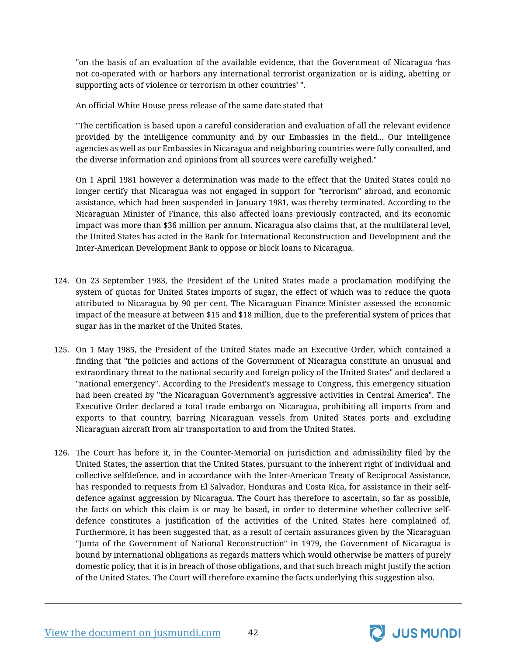"on the basis of an evaluation of the available evidence, that the Government of Nicaragua 'has not co-operated with or harbors any international terrorist organization or is aiding, abetting or supporting acts of violence or terrorism in other countries' ".

An official White House press release of the same date stated that

"The certification is based upon a careful consideration and evaluation of all the relevant evidence provided by the intelligence community and by our Embassies in the field... Our intelligence agencies as well as our Embassies in Nicaragua and neighboring countries were fully consulted, and the diverse information and opinions from all sources were carefully weighed."

On 1 April 1981 however a determination was made to the effect that the United States could no longer certify that Nicaragua was not engaged in support for "terrorism" abroad, and economic assistance, which had been suspended in January 1981, was thereby terminated. According to the Nicaraguan Minister of Finance, this also affected loans previously contracted, and its economic impact was more than \$36 million per annum. Nicaragua also claims that, at the multilateral level, the United States has acted in the Bank for International Reconstruction and Development and the Inter-American Development Bank to oppose or block loans to Nicaragua.

- 124. On 23 September 1983, the President of the United States made a proclamation modifying the system of quotas for United States imports of sugar, the effect of which was to reduce the quota attributed to Nicaragua by 90 per cent. The Nicaraguan Finance Minister assessed the economic impact of the measure at between \$15 and \$18 million, due to the preferential system of prices that sugar has in the market of the United States.
- 125. On 1 May 1985, the President of the United States made an Executive Order, which contained a finding that "the policies and actions of the Government of Nicaragua constitute an unusual and extraordinary threat to the national security and foreign policy of the United States" and declared a "national emergency". According to the President's message to Congress, this emergency situation had been created by "the Nicaraguan Government's aggressive activities in Central America". The Executive Order declared a total trade embargo on Nicaragua, prohibiting all imports from and exports to that country, barring Nicaraguan vessels from United States ports and excluding Nicaraguan aircraft from air transportation to and from the United States.
- 126. The Court has before it, in the Counter-Memorial on jurisdiction and admissibility filed by the United States, the assertion that the United States, pursuant to the inherent right of individual and collective selfdefence, and in accordance with the Inter-American Treaty of Reciprocal Assistance, has responded to requests from El Salvador, Honduras and Costa Rica, for assistance in their selfdefence against aggression by Nicaragua. The Court has therefore to ascertain, so far as possible, the facts on which this claim is or may be based, in order to determine whether collective selfdefence constitutes a justification of the activities of the United States here complained of. Furthermore, it has been suggested that, as a result of certain assurances given by the Nicaraguan "Junta of the Government of National Reconstruction" in 1979, the Government of Nicaragua is bound by international obligations as regards matters which would otherwise be matters of purely domestic policy, that it is in breach of those obligations, and that such breach might justify the action of the United States. The Court will therefore examine the facts underlying this suggestion also.



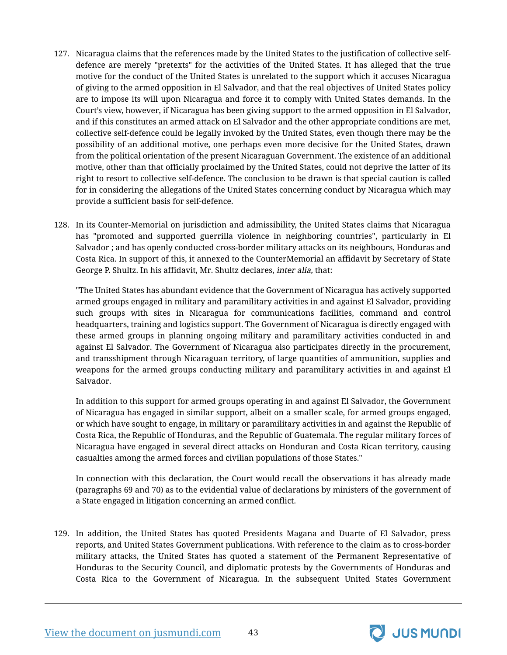- 127. Nicaragua claims that the references made by the United States to the justification of collective selfdefence are merely "pretexts" for the activities of the United States. It has alleged that the true motive for the conduct of the United States is unrelated to the support which it accuses Nicaragua of giving to the armed opposition in El Salvador, and that the real objectives of United States policy are to impose its will upon Nicaragua and force it to comply with United States demands. In the Court's view, however, if Nicaragua has been giving support to the armed opposition in El Salvador, and if this constitutes an armed attack on El Salvador and the other appropriate conditions are met, collective self-defence could be legally invoked by the United States, even though there may be the possibility of an additional motive, one perhaps even more decisive for the United States, drawn from the political orientation of the present Nicaraguan Government. The existence of an additional motive, other than that officially proclaimed by the United States, could not deprive the latter of its right to resort to collective self-defence. The conclusion to be drawn is that special caution is called for in considering the allegations of the United States concerning conduct by Nicaragua which may provide a sufficient basis for self-defence.
- 128. In its Counter-Memorial on jurisdiction and admissibility, the United States claims that Nicaragua has "promoted and supported guerrilla violence in neighboring countries", particularly in El Salvador ; and has openly conducted cross-border military attacks on its neighbours, Honduras and Costa Rica. In support of this, it annexed to the CounterMemorial an affidavit by Secretary of State George P. Shultz. In his affidavit, Mr. Shultz declares, inter alia, that:

"The United States has abundant evidence that the Government of Nicaragua has actively supported armed groups engaged in military and paramilitary activities in and against El Salvador, providing such groups with sites in Nicaragua for communications facilities, command and control headquarters, training and logistics support. The Government of Nicaragua is directly engaged with these armed groups in planning ongoing military and paramilitary activities conducted in and against El Salvador. The Government of Nicaragua also participates directly in the procurement, and transshipment through Nicaraguan territory, of large quantities of ammunition, supplies and weapons for the armed groups conducting military and paramilitary activities in and against El Salvador.

In addition to this support for armed groups operating in and against El Salvador, the Government of Nicaragua has engaged in similar support, albeit on a smaller scale, for armed groups engaged, or which have sought to engage, in military or paramilitary activities in and against the Republic of Costa Rica, the Republic of Honduras, and the Republic of Guatemala. The regular military forces of Nicaragua have engaged in several direct attacks on Honduran and Costa Rican territory, causing casualties among the armed forces and civilian populations of those States."

In connection with this declaration, the Court would recall the observations it has already made (paragraphs 69 and 70) as to the evidential value of declarations by ministers of the government of a State engaged in litigation concerning an armed conflict.

129. In addition, the United States has quoted Presidents Magana and Duarte of El Salvador, press reports, and United States Government publications. With reference to the claim as to cross-border military attacks, the United States has quoted a statement of the Permanent Representative of Honduras to the Security Council, and diplomatic protests by the Governments of Honduras and Costa Rica to the Government of Nicaragua. In the subsequent United States Government



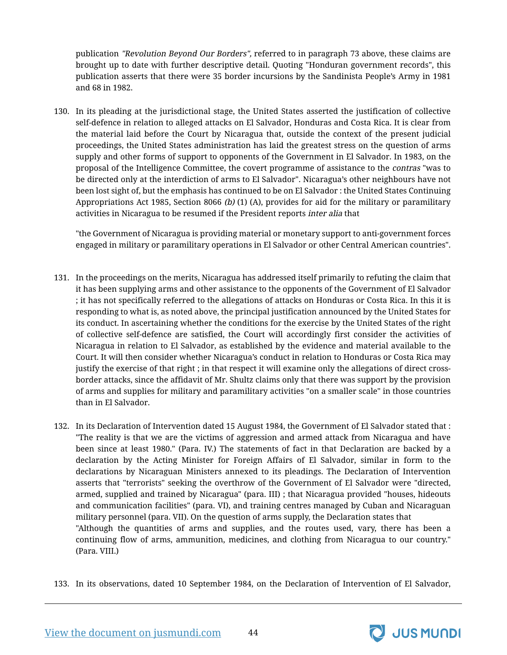publication "Revolution Beyond Our Borders", referred to in paragraph 73 above, these claims are brought up to date with further descriptive detail. Quoting "Honduran government records", this publication asserts that there were 35 border incursions by the Sandinista People's Army in 1981 and 68 in 1982.

130. In its pleading at the jurisdictional stage, the United States asserted the justification of collective self-defence in relation to alleged attacks on El Salvador, Honduras and Costa Rica. It is clear from the material laid before the Court by Nicaragua that, outside the context of the present judicial proceedings, the United States administration has laid the greatest stress on the question of arms supply and other forms of support to opponents of the Government in El Salvador. In 1983, on the proposal of the Intelligence Committee, the covert programme of assistance to the contras "was to be directed only at the interdiction of arms to El Salvador". Nicaragua's other neighbours have not been lost sight of, but the emphasis has continued to be on El Salvador : the United States Continuing Appropriations Act 1985, Section 8066 (b) (1) (A), provides for aid for the military or paramilitary activities in Nicaragua to be resumed if the President reports inter alia that

"the Government of Nicaragua is providing material or monetary support to anti-government forces engaged in military or paramilitary operations in El Salvador or other Central American countries".

- 131. In the proceedings on the merits, Nicaragua has addressed itself primarily to refuting the claim that it has been supplying arms and other assistance to the opponents of the Government of El Salvador ; it has not specifically referred to the allegations of attacks on Honduras or Costa Rica. In this it is responding to what is, as noted above, the principal justification announced by the United States for its conduct. In ascertaining whether the conditions for the exercise by the United States of the right of collective self-defence are satisfied, the Court will accordingly first consider the activities of Nicaragua in relation to El Salvador, as established by the evidence and material available to the Court. It will then consider whether Nicaragua's conduct in relation to Honduras or Costa Rica may justify the exercise of that right ; in that respect it will examine only the allegations of direct crossborder attacks, since the affidavit of Mr. Shultz claims only that there was support by the provision of arms and supplies for military and paramilitary activities "on a smaller scale" in those countries than in El Salvador.
- 132. In its Declaration of Intervention dated 15 August 1984, the Government of El Salvador stated that : "The reality is that we are the victims of aggression and armed attack from Nicaragua and have been since at least 1980." (Para. IV.) The statements of fact in that Declaration are backed by a declaration by the Acting Minister for Foreign Affairs of El Salvador, similar in form to the declarations by Nicaraguan Ministers annexed to its pleadings. The Declaration of Intervention asserts that "terrorists" seeking the overthrow of the Government of El Salvador were "directed, armed, supplied and trained by Nicaragua" (para. III) ; that Nicaragua provided "houses, hideouts and communication facilities" (para. VI), and training centres managed by Cuban and Nicaraguan military personnel (para. VII). On the question of arms supply, the Declaration states that "Although the quantities of arms and supplies, and the routes used, vary, there has been a continuing flow of arms, ammunition, medicines, and clothing from Nicaragua to our country." (Para. VIII.)
- 133. In its observations, dated 10 September 1984, on the Declaration of Intervention of El Salvador,

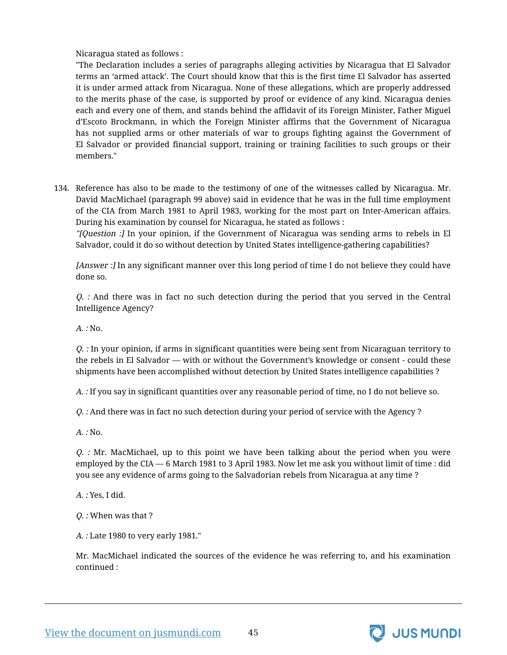Nicaragua stated as follows :

"The Declaration includes a series of paragraphs alleging activities by Nicaragua that El Salvador terms an 'armed attack'. The Court should know that this is the first time El Salvador has asserted it is under armed attack from Nicaragua. None of these allegations, which are properly addressed to the merits phase of the case, is supported by proof or evidence of any kind. Nicaragua denies each and every one of them, and stands behind the affidavit of its Foreign Minister, Father Miguel d'Escoto Brockmann, in which the Foreign Minister affirms that the Government of Nicaragua has not supplied arms or other materials of war to groups fighting against the Government of El Salvador or provided financial support, training or training facilities to such groups or their members."

134. Reference has also to be made to the testimony of one of the witnesses called by Nicaragua. Mr. David MacMichael (paragraph 99 above) said in evidence that he was in the full time employment of the CIA from March 1981 to April 1983, working for the most part on Inter-American affairs. During his examination by counsel for Nicaragua, he stated as follows :

"[Question :] In your opinion, if the Government of Nicaragua was sending arms to rebels in El Salvador, could it do so without detection by United States intelligence-gathering capabilities?

[Answer :] In any significant manner over this long period of time I do not believe they could have done so.

Q. : And there was in fact no such detection during the period that you served in the Central Intelligence Agency?

 $A.$ : No.

Q. : In your opinion, if arms in significant quantities were being sent from Nicaraguan territory to the rebels in El Salvador — with or without the Government's knowledge or consent - could these shipments have been accomplished without detection by United States intelligence capabilities ?

A. : If you say in significant quantities over any reasonable period of time, no I do not believe so.

Q. : And there was in fact no such detection during your period of service with the Agency ?

 $A.$ : No.

Q. : Mr. MacMichael, up to this point we have been talking about the period when you were employed by the CIA — 6 March 1981 to 3 April 1983. Now let me ask you without limit of time : did you see any evidence of arms going to the Salvadorian rebels from Nicaragua at any time ?

A. : Yes, I did.

Q. : When was that ?

A. : Late 1980 to very early 1981."

Mr. MacMichael indicated the sources of the evidence he was referring to, and his examination continued :

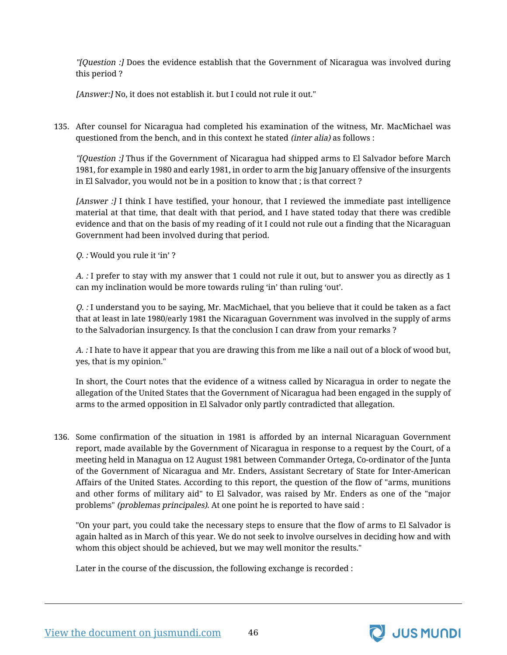"[Question :] Does the evidence establish that the Government of Nicaragua was involved during this period ?

[Answer:] No, it does not establish it. but I could not rule it out."

135. After counsel for Nicaragua had completed his examination of the witness, Mr. MacMichael was questioned from the bench, and in this context he stated (inter alia) as follows :

"[Question :] Thus if the Government of Nicaragua had shipped arms to El Salvador before March 1981, for example in 1980 and early 1981, in order to arm the big January offensive of the insurgents in El Salvador, you would not be in a position to know that ; is that correct ?

[Answer :] I think I have testified, your honour, that I reviewed the immediate past intelligence material at that time, that dealt with that period, and I have stated today that there was credible evidence and that on the basis of my reading of it I could not rule out a finding that the Nicaraguan Government had been involved during that period.

Q. : Would you rule it 'in' ?

A. : I prefer to stay with my answer that 1 could not rule it out, but to answer you as directly as 1 can my inclination would be more towards ruling 'in' than ruling 'out'.

Q. : I understand you to be saying, Mr. MacMichael, that you believe that it could be taken as a fact that at least in late 1980/early 1981 the Nicaraguan Government was involved in the supply of arms to the Salvadorian insurgency. Is that the conclusion I can draw from your remarks ?

A. : I hate to have it appear that you are drawing this from me like a nail out of a block of wood but, yes, that is my opinion."

In short, the Court notes that the evidence of a witness called by Nicaragua in order to negate the allegation of the United States that the Government of Nicaragua had been engaged in the supply of arms to the armed opposition in El Salvador only partly contradicted that allegation.

136. Some confirmation of the situation in 1981 is afforded by an internal Nicaraguan Government report, made available by the Government of Nicaragua in response to a request by the Court, of a meeting held in Managua on 12 August 1981 between Commander Ortega, Co-ordinator of the Junta of the Government of Nicaragua and Mr. Enders, Assistant Secretary of State for Inter-American Affairs of the United States. According to this report, the question of the flow of "arms, munitions and other forms of military aid" to El Salvador, was raised by Mr. Enders as one of the "major problems" (problemas principales). At one point he is reported to have said :

"On your part, you could take the necessary steps to ensure that the flow of arms to El Salvador is again halted as in March of this year. We do not seek to involve ourselves in deciding how and with whom this object should be achieved, but we may well monitor the results."

Later in the course of the discussion, the following exchange is recorded :

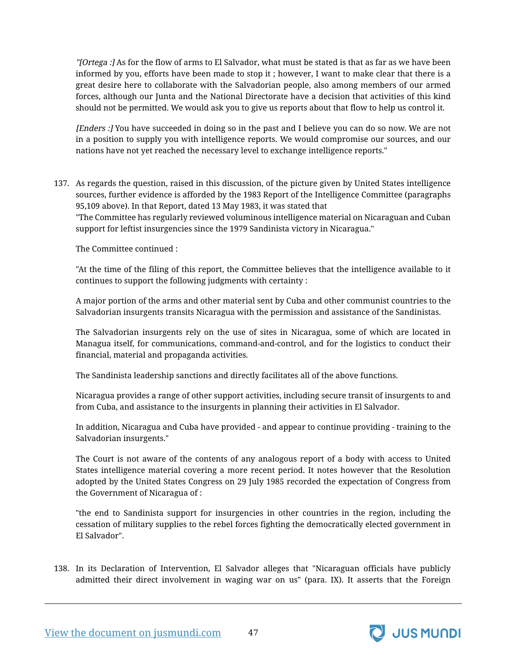"[Ortega :] As for the flow of arms to El Salvador, what must be stated is that as far as we have been informed by you, efforts have been made to stop it ; however, I want to make clear that there is a great desire here to collaborate with the Salvadorian people, also among members of our armed forces, although our Junta and the National Directorate have a decision that activities of this kind should not be permitted. We would ask you to give us reports about that flow to help us control it.

[Enders :] You have succeeded in doing so in the past and I believe you can do so now. We are not in a position to supply you with intelligence reports. We would compromise our sources, and our nations have not yet reached the necessary level to exchange intelligence reports."

137. As regards the question, raised in this discussion, of the picture given by United States intelligence sources, further evidence is afforded by the 1983 Report of the Intelligence Committee (paragraphs 95,109 above). In that Report, dated 13 May 1983, it was stated that "The Committee has regularly reviewed voluminous intelligence material on Nicaraguan and Cuban support for leftist insurgencies since the 1979 Sandinista victory in Nicaragua."

The Committee continued :

"At the time of the filing of this report, the Committee believes that the intelligence available to it continues to support the following judgments with certainty :

A major portion of the arms and other material sent by Cuba and other communist countries to the Salvadorian insurgents transits Nicaragua with the permission and assistance of the Sandinistas.

The Salvadorian insurgents rely on the use of sites in Nicaragua, some of which are located in Managua itself, for communications, command-and-control, and for the logistics to conduct their financial, material and propaganda activities.

The Sandinista leadership sanctions and directly facilitates all of the above functions.

Nicaragua provides a range of other support activities, including secure transit of insurgents to and from Cuba, and assistance to the insurgents in planning their activities in El Salvador.

In addition, Nicaragua and Cuba have provided - and appear to continue providing - training to the Salvadorian insurgents."

The Court is not aware of the contents of any analogous report of a body with access to United States intelligence material covering a more recent period. It notes however that the Resolution adopted by the United States Congress on 29 July 1985 recorded the expectation of Congress from the Government of Nicaragua of :

"the end to Sandinista support for insurgencies in other countries in the region, including the cessation of military supplies to the rebel forces fighting the democratically elected government in El Salvador".

138. In its Declaration of Intervention, El Salvador alleges that "Nicaraguan officials have publicly admitted their direct involvement in waging war on us" (para. IX). It asserts that the Foreign

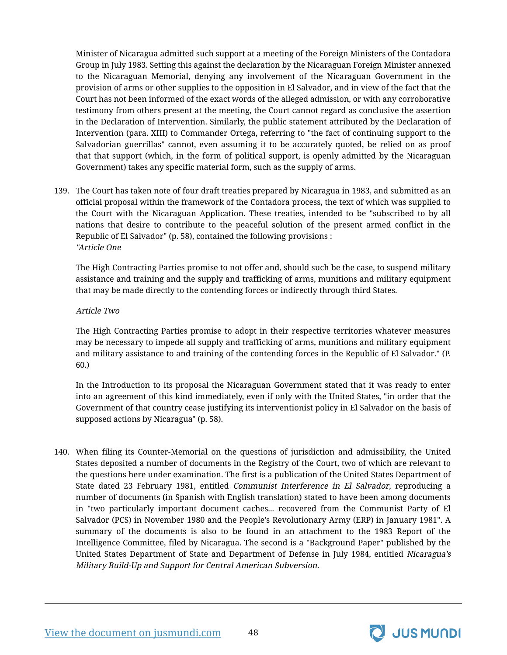Minister of Nicaragua admitted such support at a meeting of the Foreign Ministers of the Contadora Group in July 1983. Setting this against the declaration by the Nicaraguan Foreign Minister annexed to the Nicaraguan Memorial, denying any involvement of the Nicaraguan Government in the provision of arms or other supplies to the opposition in El Salvador, and in view of the fact that the Court has not been informed of the exact words of the alleged admission, or with any corroborative testimony from others present at the meeting, the Court cannot regard as conclusive the assertion in the Declaration of Intervention. Similarly, the public statement attributed by the Declaration of Intervention (para. XIII) to Commander Ortega, referring to "the fact of continuing support to the Salvadorian guerrillas" cannot, even assuming it to be accurately quoted, be relied on as proof that that support (which, in the form of political support, is openly admitted by the Nicaraguan Government) takes any specific material form, such as the supply of arms.

139. The Court has taken note of four draft treaties prepared by Nicaragua in 1983, and submitted as an official proposal within the framework of the Contadora process, the text of which was supplied to the Court with the Nicaraguan Application. These treaties, intended to be "subscribed to by all nations that desire to contribute to the peaceful solution of the present armed conflict in the Republic of El Salvador" (p. 58), contained the following provisions : "Article One

The High Contracting Parties promise to not offer and, should such be the case, to suspend military assistance and training and the supply and trafficking of arms, munitions and military equipment that may be made directly to the contending forces or indirectly through third States.

## Article Two

The High Contracting Parties promise to adopt in their respective territories whatever measures may be necessary to impede all supply and trafficking of arms, munitions and military equipment and military assistance to and training of the contending forces in the Republic of El Salvador." (P. 60.)

In the Introduction to its proposal the Nicaraguan Government stated that it was ready to enter into an agreement of this kind immediately, even if only with the United States, "in order that the Government of that country cease justifying its interventionist policy in El Salvador on the basis of supposed actions by Nicaragua" (p. 58).

140. When filing its Counter-Memorial on the questions of jurisdiction and admissibility, the United States deposited a number of documents in the Registry of the Court, two of which are relevant to the questions here under examination. The first is a publication of the United States Department of State dated 23 February 1981, entitled Communist Interference in El Salvador, reproducing a number of documents (in Spanish with English translation) stated to have been among documents in "two particularly important document caches... recovered from the Communist Party of El Salvador (PCS) in November 1980 and the People's Revolutionary Army (ERP) in January 1981". A summary of the documents is also to be found in an attachment to the 1983 Report of the Intelligence Committee, filed by Nicaragua. The second is a "Background Paper" published by the United States Department of State and Department of Defense in July 1984, entitled Nicaragua's Military Build-Up and Support for Central American Subversion.



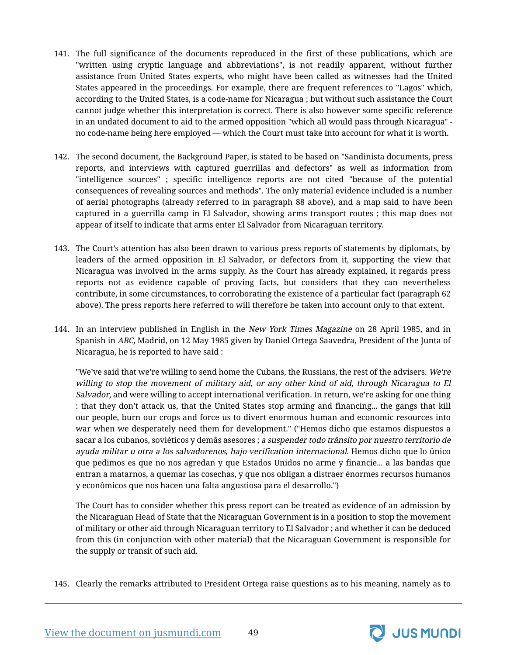- 141. The full significance of the documents reproduced in the first of these publications, which are "written using cryptic language and abbreviations", is not readily apparent, without further assistance from United States experts, who might have been called as witnesses had the United States appeared in the proceedings. For example, there are frequent references to "Lagos" which, according to the United States, is a code-name for Nicaragua ; but without such assistance the Court cannot judge whether this interpretation is correct. There is also however some specific reference in an undated document to aid to the armed opposition "which all would pass through Nicaragua" no code-name being here employed — which the Court must take into account for what it is worth.
- 142. The second document, the Background Paper, is stated to be based on "Sandinista documents, press reports, and interviews with captured guerrillas and defectors" as well as information from "intelligence sources" ; specific intelligence reports are not cited "because of the potential consequences of revealing sources and methods". The only material evidence included is a number of aerial photographs (already referred to in paragraph 88 above), and a map said to have been captured in a guerrilla camp in El Salvador, showing arms transport routes ; this map does not appear of itself to indicate that arms enter El Salvador from Nicaraguan territory.
- 143. The Court's attention has also been drawn to various press reports of statements by diplomats, by leaders of the armed opposition in El Salvador, or defectors from it, supporting the view that Nicaragua was involved in the arms supply. As the Court has already explained, it regards press reports not as evidence capable of proving facts, but considers that they can nevertheless contribute, in some circumstances, to corroborating the existence of a particular fact (paragraph 62 above). The press reports here referred to will therefore be taken into account only to that extent.
- 144. In an interview published in English in the *New York Times Magazine* on 28 April 1985, and in Spanish in ABC, Madrid, on 12 May 1985 given by Daniel Ortega Saavedra, President of the Junta of Nicaragua, he is reported to have said :

"We've said that we're willing to send home the Cubans, the Russians, the rest of the advisers. We're willing to stop the movement of military aid, or any other kind of aid, through Nicaragua to El Salvador, and were willing to accept international verification. In return, we're asking for one thing : that they don't attack us, that the United States stop arming and financing... the gangs that kill our people, burn our crops and force us to divert enormous human and economic resources into war when we desperately need them for development." ("Hemos dicho que estamos dispuestos a sacar a los cubanos, soviéticos y demâs asesores ; a suspender todo trânsito por nuestro territorio de ayuda militar <sup>u</sup> otra <sup>a</sup> los salvadorenos, hajo verification internacional. Hemos dicho que lo ünico que pedimos es que no nos agredan y que Estados Unidos no arme y financie... a las bandas que entran a matarnos, a quemar las cosechas, y que nos obligan a distraer énormes recursos humanos y econômicos que nos hacen una falta angustiosa para el desarrollo.")

The Court has to consider whether this press report can be treated as evidence of an admission by the Nicaraguan Head of State that the Nicaraguan Government is in a position to stop the movement of military or other aid through Nicaraguan territory to El Salvador ; and whether it can be deduced from this (in conjunction with other material) that the Nicaraguan Government is responsible for the supply or transit of such aid.

145. Clearly the remarks attributed to President Ortega raise questions as to his meaning, namely as to

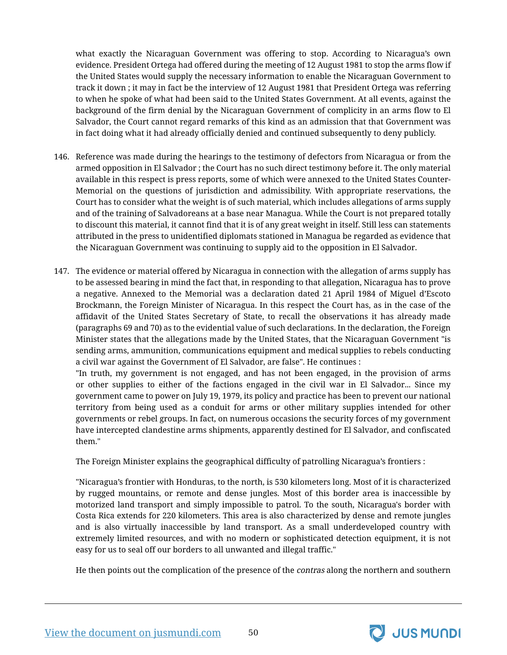what exactly the Nicaraguan Government was offering to stop. According to Nicaragua's own evidence. President Ortega had offered during the meeting of 12 August 1981 to stop the arms flow if the United States would supply the necessary information to enable the Nicaraguan Government to track it down ; it may in fact be the interview of 12 August 1981 that President Ortega was referring to when he spoke of what had been said to the United States Government. At all events, against the background of the firm denial by the Nicaraguan Government of complicity in an arms flow to El Salvador, the Court cannot regard remarks of this kind as an admission that that Government was in fact doing what it had already officially denied and continued subsequently to deny publicly.

- 146. Reference was made during the hearings to the testimony of defectors from Nicaragua or from the armed opposition in El Salvador ; the Court has no such direct testimony before it. The only material available in this respect is press reports, some of which were annexed to the United States Counter-Memorial on the questions of jurisdiction and admissibility. With appropriate reservations, the Court has to consider what the weight is of such material, which includes allegations of arms supply and of the training of Salvadoreans at a base near Managua. While the Court is not prepared totally to discount this material, it cannot find that it is of any great weight in itself. Still less can statements attributed in the press to unidentified diplomats stationed in Managua be regarded as evidence that the Nicaraguan Government was continuing to supply aid to the opposition in El Salvador.
- 147. The evidence or material offered by Nicaragua in connection with the allegation of arms supply has to be assessed bearing in mind the fact that, in responding to that allegation, Nicaragua has to prove a negative. Annexed to the Memorial was a declaration dated 21 April 1984 of Miguel d'Escoto Brockmann, the Foreign Minister of Nicaragua. In this respect the Court has, as in the case of the affidavit of the United States Secretary of State, to recall the observations it has already made (paragraphs 69 and 70) as to the evidential value of such declarations. In the declaration, the Foreign Minister states that the allegations made by the United States, that the Nicaraguan Government "is sending arms, ammunition, communications equipment and medical supplies to rebels conducting a civil war against the Government of El Salvador, are false". He continues :

"In truth, my government is not engaged, and has not been engaged, in the provision of arms or other supplies to either of the factions engaged in the civil war in El Salvador... Since my government came to power on July 19, 1979, its policy and practice has been to prevent our national territory from being used as a conduit for arms or other military supplies intended for other governments or rebel groups. In fact, on numerous occasions the security forces of my government have intercepted clandestine arms shipments, apparently destined for El Salvador, and confiscated them."

The Foreign Minister explains the geographical difficulty of patrolling Nicaragua's frontiers :

"Nicaragua's frontier with Honduras, to the north, is 530 kilometers long. Most of it is characterized by rugged mountains, or remote and dense jungles. Most of this border area is inaccessible by motorized land transport and simply impossible to patrol. To the south, Nicaragua's border with Costa Rica extends for 220 kilometers. This area is also characterized by dense and remote jungles and is also virtually inaccessible by land transport. As a small underdeveloped country with extremely limited resources, and with no modern or sophisticated detection equipment, it is not easy for us to seal off our borders to all unwanted and illegal traffic."

He then points out the complication of the presence of the *contras* along the northern and southern

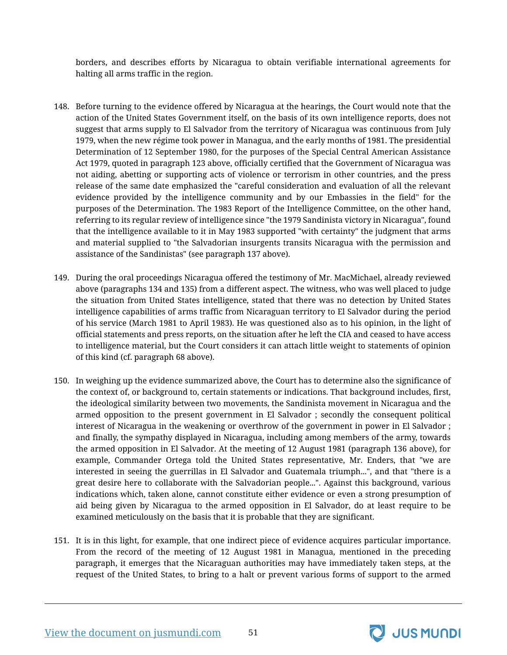borders, and describes efforts by Nicaragua to obtain verifiable international agreements for halting all arms traffic in the region.

- 148. Before turning to the evidence offered by Nicaragua at the hearings, the Court would note that the action of the United States Government itself, on the basis of its own intelligence reports, does not suggest that arms supply to El Salvador from the territory of Nicaragua was continuous from July 1979, when the new régime took power in Managua, and the early months of 1981. The presidential Determination of 12 September 1980, for the purposes of the Special Central American Assistance Act 1979, quoted in paragraph 123 above, officially certified that the Government of Nicaragua was not aiding, abetting or supporting acts of violence or terrorism in other countries, and the press release of the same date emphasized the "careful consideration and evaluation of all the relevant evidence provided by the intelligence community and by our Embassies in the field" for the purposes of the Determination. The 1983 Report of the Intelligence Committee, on the other hand, referring to its regular review of intelligence since "the 1979 Sandinista victory in Nicaragua", found that the intelligence available to it in May 1983 supported "with certainty" the judgment that arms and material supplied to "the Salvadorian insurgents transits Nicaragua with the permission and assistance of the Sandinistas" (see paragraph 137 above).
- 149. During the oral proceedings Nicaragua offered the testimony of Mr. MacMichael, already reviewed above (paragraphs 134 and 135) from a different aspect. The witness, who was well placed to judge the situation from United States intelligence, stated that there was no detection by United States intelligence capabilities of arms traffic from Nicaraguan territory to El Salvador during the period of his service (March 1981 to April 1983). He was questioned also as to his opinion, in the light of official statements and press reports, on the situation after he left the CIA and ceased to have access to intelligence material, but the Court considers it can attach little weight to statements of opinion of this kind (cf. paragraph 68 above).
- 150. In weighing up the evidence summarized above, the Court has to determine also the significance of the context of, or background to, certain statements or indications. That background includes, first, the ideological similarity between two movements, the Sandinista movement in Nicaragua and the armed opposition to the present government in El Salvador ; secondly the consequent political interest of Nicaragua in the weakening or overthrow of the government in power in El Salvador ; and finally, the sympathy displayed in Nicaragua, including among members of the army, towards the armed opposition in El Salvador. At the meeting of 12 August 1981 (paragraph 136 above), for example, Commander Ortega told the United States representative, Mr. Enders, that "we are interested in seeing the guerrillas in El Salvador and Guatemala triumph...", and that "there is a great desire here to collaborate with the Salvadorian people...". Against this background, various indications which, taken alone, cannot constitute either evidence or even a strong presumption of aid being given by Nicaragua to the armed opposition in El Salvador, do at least require to be examined meticulously on the basis that it is probable that they are significant.
- 151. It is in this light, for example, that one indirect piece of evidence acquires particular importance. From the record of the meeting of 12 August 1981 in Managua, mentioned in the preceding paragraph, it emerges that the Nicaraguan authorities may have immediately taken steps, at the request of the United States, to bring to a halt or prevent various forms of support to the armed

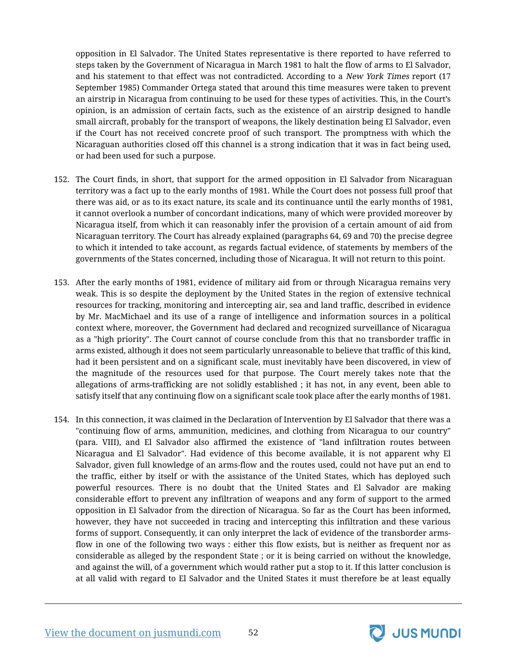opposition in El Salvador. The United States representative is there reported to have referred to steps taken by the Government of Nicaragua in March 1981 to halt the flow of arms to El Salvador, and his statement to that effect was not contradicted. According to a New York Times report (17 September 1985) Commander Ortega stated that around this time measures were taken to prevent an airstrip in Nicaragua from continuing to be used for these types of activities. This, in the Court's opinion, is an admission of certain facts, such as the existence of an airstrip designed to handle small aircraft, probably for the transport of weapons, the likely destination being El Salvador, even if the Court has not received concrete proof of such transport. The promptness with which the Nicaraguan authorities closed off this channel is a strong indication that it was in fact being used, or had been used for such a purpose.

- 152. The Court finds, in short, that support for the armed opposition in El Salvador from Nicaraguan territory was a fact up to the early months of 1981. While the Court does not possess full proof that there was aid, or as to its exact nature, its scale and its continuance until the early months of 1981, it cannot overlook a number of concordant indications, many of which were provided moreover by Nicaragua itself, from which it can reasonably infer the provision of a certain amount of aid from Nicaraguan territory. The Court has already explained (paragraphs 64, 69 and 70) the precise degree to which it intended to take account, as regards factual evidence, of statements by members of the governments of the States concerned, including those of Nicaragua. It will not return to this point.
- 153. After the early months of 1981, evidence of military aid from or through Nicaragua remains very weak. This is so despite the deployment by the United States in the region of extensive technical resources for tracking, monitoring and intercepting air, sea and land traffic, described in evidence by Mr. MacMichael and its use of a range of intelligence and information sources in a political context where, moreover, the Government had declared and recognized surveillance of Nicaragua as a "high priority". The Court cannot of course conclude from this that no transborder traffic in arms existed, although it does not seem particularly unreasonable to believe that traffic of this kind, had it been persistent and on a significant scale, must inevitably have been discovered, in view of the magnitude of the resources used for that purpose. The Court merely takes note that the allegations of arms-trafficking are not solidly established ; it has not, in any event, been able to satisfy itself that any continuing flow on a significant scale took place after the early months of 1981.
- 154. In this connection, it was claimed in the Declaration of Intervention by El Salvador that there was a "continuing flow of arms, ammunition, medicines, and clothing from Nicaragua to our country" (para. VIII), and El Salvador also affirmed the existence of "land infiltration routes between Nicaragua and El Salvador". Had evidence of this become available, it is not apparent why El Salvador, given full knowledge of an arms-flow and the routes used, could not have put an end to the traffic, either by itself or with the assistance of the United States, which has deployed such powerful resources. There is no doubt that the United States and El Salvador are making considerable effort to prevent any infiltration of weapons and any form of support to the armed opposition in El Salvador from the direction of Nicaragua. So far as the Court has been informed, however, they have not succeeded in tracing and intercepting this infiltration and these various forms of support. Consequently, it can only interpret the lack of evidence of the transborder armsflow in one of the following two ways : either this flow exists, but is neither as frequent nor as considerable as alleged by the respondent State ; or it is being carried on without the knowledge, and against the will, of a government which would rather put a stop to it. If this latter conclusion is at all valid with regard to El Salvador and the United States it must therefore be at least equally



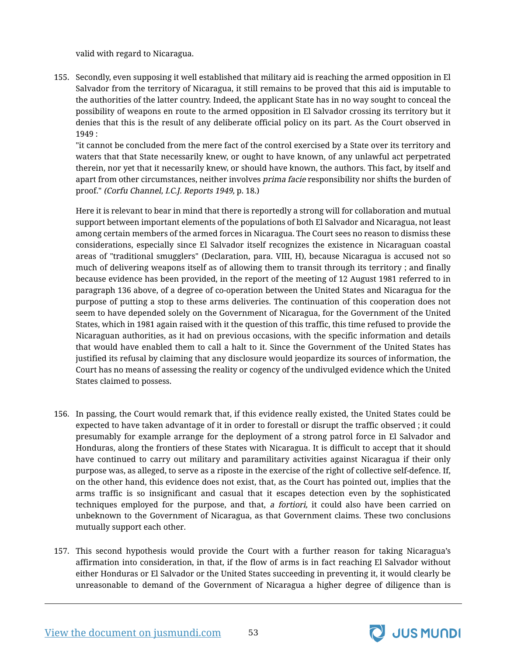valid with regard to Nicaragua.

155. Secondly, even supposing it well established that military aid is reaching the armed opposition in El Salvador from the territory of Nicaragua, it still remains to be proved that this aid is imputable to the authorities of the latter country. Indeed, the applicant State has in no way sought to conceal the possibility of weapons en route to the armed opposition in El Salvador crossing its territory but it denies that this is the result of any deliberate official policy on its part. As the Court observed in 1949 :

"it cannot be concluded from the mere fact of the control exercised by a State over its territory and waters that that State necessarily knew, or ought to have known, of any unlawful act perpetrated therein, nor yet that it necessarily knew, or should have known, the authors. This fact, by itself and apart from other circumstances, neither involves *prima facie* responsibility nor shifts the burden of proof." (Corfu Channel, I.C.J. Reports 1949, p. 18.)

Here it is relevant to bear in mind that there is reportedly a strong will for collaboration and mutual support between important elements of the populations of both El Salvador and Nicaragua, not least among certain members of the armed forces in Nicaragua. The Court sees no reason to dismiss these considerations, especially since El Salvador itself recognizes the existence in Nicaraguan coastal areas of "traditional smugglers" (Declaration, para. VIII, H), because Nicaragua is accused not so much of delivering weapons itself as of allowing them to transit through its territory ; and finally because evidence has been provided, in the report of the meeting of 12 August 1981 referred to in paragraph 136 above, of a degree of co-operation between the United States and Nicaragua for the purpose of putting a stop to these arms deliveries. The continuation of this cooperation does not seem to have depended solely on the Government of Nicaragua, for the Government of the United States, which in 1981 again raised with it the question of this traffic, this time refused to provide the Nicaraguan authorities, as it had on previous occasions, with the specific information and details that would have enabled them to call a halt to it. Since the Government of the United States has justified its refusal by claiming that any disclosure would jeopardize its sources of information, the Court has no means of assessing the reality or cogency of the undivulged evidence which the United States claimed to possess.

- 156. In passing, the Court would remark that, if this evidence really existed, the United States could be expected to have taken advantage of it in order to forestall or disrupt the traffic observed ; it could presumably for example arrange for the deployment of a strong patrol force in El Salvador and Honduras, along the frontiers of these States with Nicaragua. It is difficult to accept that it should have continued to carry out military and paramilitary activities against Nicaragua if their only purpose was, as alleged, to serve as a riposte in the exercise of the right of collective self-defence. If, on the other hand, this evidence does not exist, that, as the Court has pointed out, implies that the arms traffic is so insignificant and casual that it escapes detection even by the sophisticated techniques employed for the purpose, and that, a fortiori, it could also have been carried on unbeknown to the Government of Nicaragua, as that Government claims. These two conclusions mutually support each other.
- 157. This second hypothesis would provide the Court with a further reason for taking Nicaragua's affirmation into consideration, in that, if the flow of arms is in fact reaching El Salvador without either Honduras or El Salvador or the United States succeeding in preventing it, it would clearly be unreasonable to demand of the Government of Nicaragua a higher degree of diligence than is

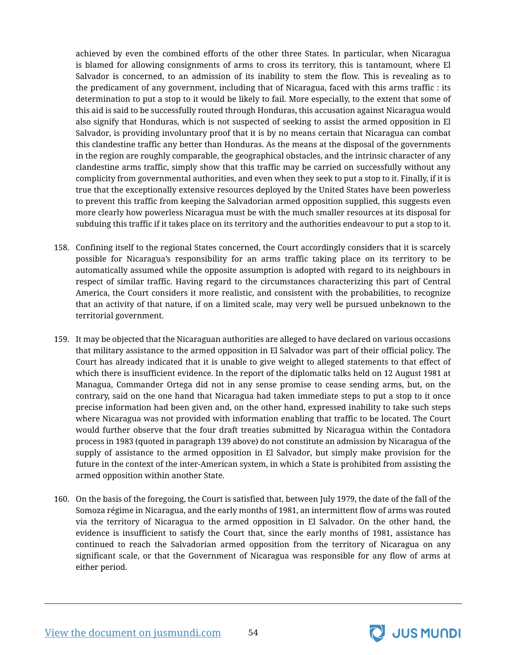achieved by even the combined efforts of the other three States. In particular, when Nicaragua is blamed for allowing consignments of arms to cross its territory, this is tantamount, where El Salvador is concerned, to an admission of its inability to stem the flow. This is revealing as to the predicament of any government, including that of Nicaragua, faced with this arms traffic : its determination to put a stop to it would be likely to fail. More especially, to the extent that some of this aid is said to be successfully routed through Honduras, this accusation against Nicaragua would also signify that Honduras, which is not suspected of seeking to assist the armed opposition in El Salvador, is providing involuntary proof that it is by no means certain that Nicaragua can combat this clandestine traffic any better than Honduras. As the means at the disposal of the governments in the region are roughly comparable, the geographical obstacles, and the intrinsic character of any clandestine arms traffic, simply show that this traffic may be carried on successfully without any complicity from governmental authorities, and even when they seek to put a stop to it. Finally, if it is true that the exceptionally extensive resources deployed by the United States have been powerless to prevent this traffic from keeping the Salvadorian armed opposition supplied, this suggests even more clearly how powerless Nicaragua must be with the much smaller resources at its disposal for subduing this traffic if it takes place on its territory and the authorities endeavour to put a stop to it.

- 158. Confining itself to the regional States concerned, the Court accordingly considers that it is scarcely possible for Nicaragua's responsibility for an arms traffic taking place on its territory to be automatically assumed while the opposite assumption is adopted with regard to its neighbours in respect of similar traffic. Having regard to the circumstances characterizing this part of Central America, the Court considers it more realistic, and consistent with the probabilities, to recognize that an activity of that nature, if on a limited scale, may very well be pursued unbeknown to the territorial government.
- 159. It may be objected that the Nicaraguan authorities are alleged to have declared on various occasions that military assistance to the armed opposition in El Salvador was part of their official policy. The Court has already indicated that it is unable to give weight to alleged statements to that effect of which there is insufficient evidence. In the report of the diplomatic talks held on 12 August 1981 at Managua, Commander Ortega did not in any sense promise to cease sending arms, but, on the contrary, said on the one hand that Nicaragua had taken immediate steps to put a stop to it once precise information had been given and, on the other hand, expressed inability to take such steps where Nicaragua was not provided with information enabling that traffic to be located. The Court would further observe that the four draft treaties submitted by Nicaragua within the Contadora process in 1983 (quoted in paragraph 139 above) do not constitute an admission by Nicaragua of the supply of assistance to the armed opposition in El Salvador, but simply make provision for the future in the context of the inter-American system, in which a State is prohibited from assisting the armed opposition within another State.
- 160. On the basis of the foregoing, the Court is satisfied that, between July 1979, the date of the fall of the Somoza régime in Nicaragua, and the early months of 1981, an intermittent flow of arms was routed via the territory of Nicaragua to the armed opposition in El Salvador. On the other hand, the evidence is insufficient to satisfy the Court that, since the early months of 1981, assistance has continued to reach the Salvadorian armed opposition from the territory of Nicaragua on any significant scale, or that the Government of Nicaragua was responsible for any flow of arms at either period.

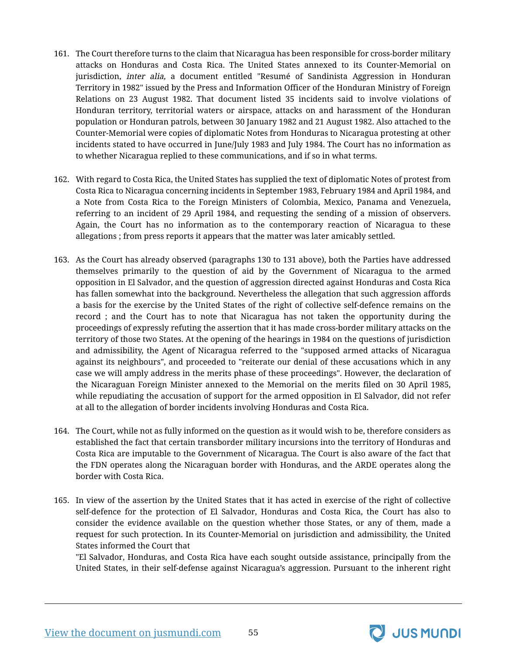- 161. The Court therefore turns to the claim that Nicaragua has been responsible for cross-border military attacks on Honduras and Costa Rica. The United States annexed to its Counter-Memorial on jurisdiction, *inter alia*, a document entitled "Resumé of Sandinista Aggression in Honduran Territory in 1982" issued by the Press and Information Officer of the Honduran Ministry of Foreign Relations on 23 August 1982. That document listed 35 incidents said to involve violations of Honduran territory, territorial waters or airspace, attacks on and harassment of the Honduran population or Honduran patrols, between 30 January 1982 and 21 August 1982. Also attached to the Counter-Memorial were copies of diplomatic Notes from Honduras to Nicaragua protesting at other incidents stated to have occurred in June/July 1983 and July 1984. The Court has no information as to whether Nicaragua replied to these communications, and if so in what terms.
- 162. With regard to Costa Rica, the United States has supplied the text of diplomatic Notes of protest from Costa Rica to Nicaragua concerning incidents in September 1983, February 1984 and April 1984, and a Note from Costa Rica to the Foreign Ministers of Colombia, Mexico, Panama and Venezuela, referring to an incident of 29 April 1984, and requesting the sending of a mission of observers. Again, the Court has no information as to the contemporary reaction of Nicaragua to these allegations ; from press reports it appears that the matter was later amicably settled.
- 163. As the Court has already observed (paragraphs 130 to 131 above), both the Parties have addressed themselves primarily to the question of aid by the Government of Nicaragua to the armed opposition in El Salvador, and the question of aggression directed against Honduras and Costa Rica has fallen somewhat into the background. Nevertheless the allegation that such aggression affords a basis for the exercise by the United States of the right of collective self-defence remains on the record ; and the Court has to note that Nicaragua has not taken the opportunity during the proceedings of expressly refuting the assertion that it has made cross-border military attacks on the territory of those two States. At the opening of the hearings in 1984 on the questions of jurisdiction and admissibility, the Agent of Nicaragua referred to the "supposed armed attacks of Nicaragua against its neighbours", and proceeded to "reiterate our denial of these accusations which in any case we will amply address in the merits phase of these proceedings". However, the declaration of the Nicaraguan Foreign Minister annexed to the Memorial on the merits filed on 30 April 1985, while repudiating the accusation of support for the armed opposition in El Salvador, did not refer at all to the allegation of border incidents involving Honduras and Costa Rica.
- 164. The Court, while not as fully informed on the question as it would wish to be, therefore considers as established the fact that certain transborder military incursions into the territory of Honduras and Costa Rica are imputable to the Government of Nicaragua. The Court is also aware of the fact that the FDN operates along the Nicaraguan border with Honduras, and the ARDE operates along the border with Costa Rica.
- 165. In view of the assertion by the United States that it has acted in exercise of the right of collective self-defence for the protection of El Salvador, Honduras and Costa Rica, the Court has also to consider the evidence available on the question whether those States, or any of them, made a request for such protection. In its Counter-Memorial on jurisdiction and admissibility, the United States informed the Court that

"El Salvador, Honduras, and Costa Rica have each sought outside assistance, principally from the United States, in their self-defense against Nicaragua's aggression. Pursuant to the inherent right

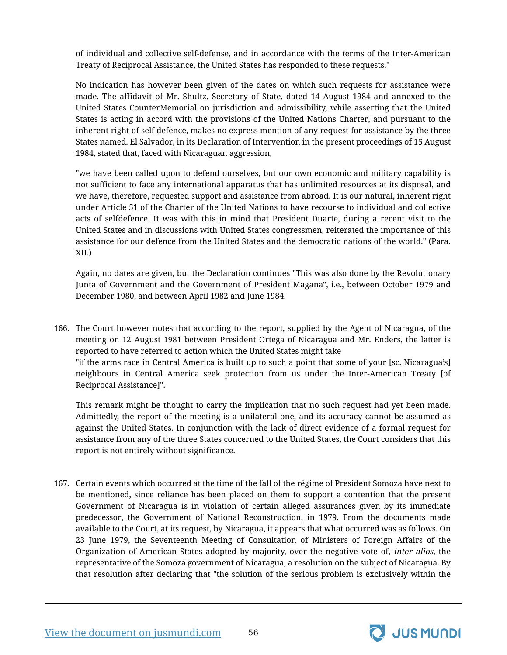of individual and collective self-defense, and in accordance with the terms of the Inter-American Treaty of Reciprocal Assistance, the United States has responded to these requests."

No indication has however been given of the dates on which such requests for assistance were made. The affidavit of Mr. Shultz, Secretary of State, dated 14 August 1984 and annexed to the United States CounterMemorial on jurisdiction and admissibility, while asserting that the United States is acting in accord with the provisions of the United Nations Charter, and pursuant to the inherent right of self defence, makes no express mention of any request for assistance by the three States named. El Salvador, in its Declaration of Intervention in the present proceedings of 15 August 1984, stated that, faced with Nicaraguan aggression,

"we have been called upon to defend ourselves, but our own economic and military capability is not sufficient to face any international apparatus that has unlimited resources at its disposal, and we have, therefore, requested support and assistance from abroad. It is our natural, inherent right under Article 51 of the Charter of the United Nations to have recourse to individual and collective acts of selfdefence. It was with this in mind that President Duarte, during a recent visit to the United States and in discussions with United States congressmen, reiterated the importance of this assistance for our defence from the United States and the democratic nations of the world." (Para. XII.)

Again, no dates are given, but the Declaration continues "This was also done by the Revolutionary Junta of Government and the Government of President Magana", i.e., between October 1979 and December 1980, and between April 1982 and June 1984.

166. The Court however notes that according to the report, supplied by the Agent of Nicaragua, of the meeting on 12 August 1981 between President Ortega of Nicaragua and Mr. Enders, the latter is reported to have referred to action which the United States might take "if the arms race in Central America is built up to such a point that some of your [sc. Nicaragua's] neighbours in Central America seek protection from us under the Inter-American Treaty [of Reciprocal Assistance]".

This remark might be thought to carry the implication that no such request had yet been made. Admittedly, the report of the meeting is a unilateral one, and its accuracy cannot be assumed as against the United States. In conjunction with the lack of direct evidence of a formal request for assistance from any of the three States concerned to the United States, the Court considers that this report is not entirely without significance.

167. Certain events which occurred at the time of the fall of the régime of President Somoza have next to be mentioned, since reliance has been placed on them to support a contention that the present Government of Nicaragua is in violation of certain alleged assurances given by its immediate predecessor, the Government of National Reconstruction, in 1979. From the documents made available to the Court, at its request, by Nicaragua, it appears that what occurred was as follows. On 23 June 1979, the Seventeenth Meeting of Consultation of Ministers of Foreign Affairs of the Organization of American States adopted by majority, over the negative vote of, inter alios, the representative of the Somoza government of Nicaragua, a resolution on the subject of Nicaragua. By that resolution after declaring that "the solution of the serious problem is exclusively within the



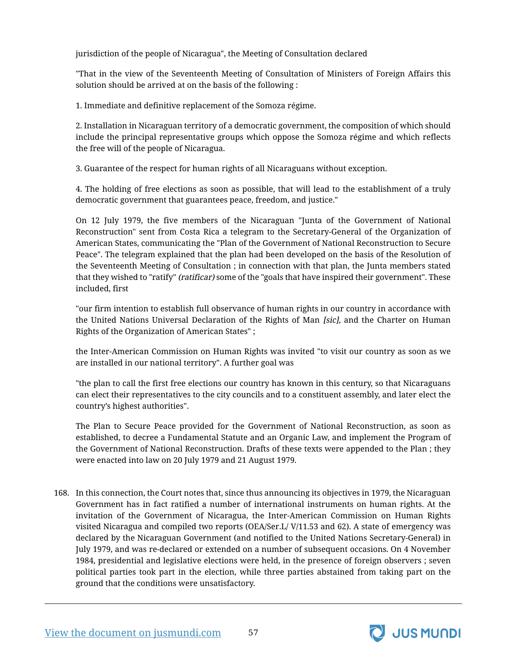jurisdiction of the people of Nicaragua", the Meeting of Consultation declared

"That in the view of the Seventeenth Meeting of Consultation of Ministers of Foreign Affairs this solution should be arrived at on the basis of the following :

1. Immediate and definitive replacement of the Somoza régime.

2. Installation in Nicaraguan territory of a democratic government, the composition of which should include the principal representative groups which oppose the Somoza régime and which reflects the free will of the people of Nicaragua.

3. Guarantee of the respect for human rights of all Nicaraguans without exception.

4. The holding of free elections as soon as possible, that will lead to the establishment of a truly democratic government that guarantees peace, freedom, and justice."

On 12 July 1979, the five members of the Nicaraguan "Junta of the Government of National Reconstruction" sent from Costa Rica a telegram to the Secretary-General of the Organization of American States, communicating the "Plan of the Government of National Reconstruction to Secure Peace". The telegram explained that the plan had been developed on the basis of the Resolution of the Seventeenth Meeting of Consultation ; in connection with that plan, the Junta members stated that they wished to "ratify" (ratificar) some of the "goals that have inspired their government". These included, first

"our firm intention to establish full observance of human rights in our country in accordance with the United Nations Universal Declaration of the Rights of Man *[sic]*, and the Charter on Human Rights of the Organization of American States" ;

the Inter-American Commission on Human Rights was invited "to visit our country as soon as we are installed in our national territory". A further goal was

"the plan to call the first free elections our country has known in this century, so that Nicaraguans can elect their representatives to the city councils and to a constituent assembly, and later elect the country's highest authorities".

The Plan to Secure Peace provided for the Government of National Reconstruction, as soon as established, to decree a Fundamental Statute and an Organic Law, and implement the Program of the Government of National Reconstruction. Drafts of these texts were appended to the Plan ; they were enacted into law on 20 July 1979 and 21 August 1979.

168. In this connection, the Court notes that, since thus announcing its objectives in 1979, the Nicaraguan Government has in fact ratified a number of international instruments on human rights. At the invitation of the Government of Nicaragua, the Inter-American Commission on Human Rights visited Nicaragua and compiled two reports (OEA/Ser.L/ V/11.53 and 62). A state of emergency was declared by the Nicaraguan Government (and notified to the United Nations Secretary-General) in July 1979, and was re-declared or extended on a number of subsequent occasions. On 4 November 1984, presidential and legislative elections were held, in the presence of foreign observers ; seven political parties took part in the election, while three parties abstained from taking part on the ground that the conditions were unsatisfactory.

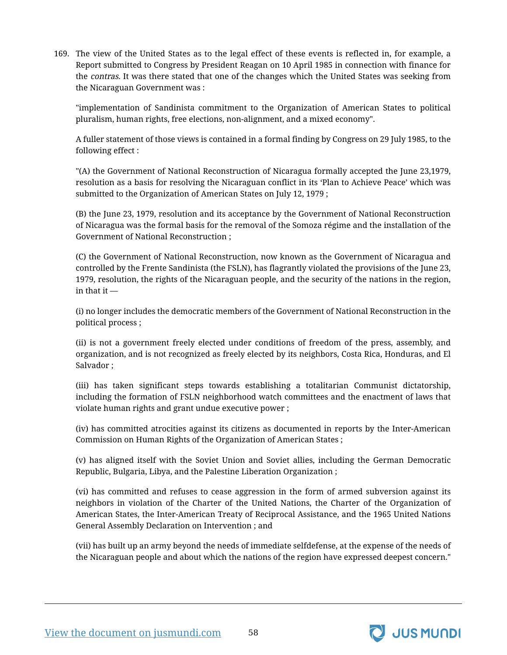169. The view of the United States as to the legal effect of these events is reflected in, for example, a Report submitted to Congress by President Reagan on 10 April 1985 in connection with finance for the *contras*. It was there stated that one of the changes which the United States was seeking from the Nicaraguan Government was :

"implementation of Sandinista commitment to the Organization of American States to political pluralism, human rights, free elections, non-alignment, and a mixed economy".

A fuller statement of those views is contained in a formal finding by Congress on 29 July 1985, to the following effect :

"(A) the Government of National Reconstruction of Nicaragua formally accepted the June 23,1979, resolution as a basis for resolving the Nicaraguan conflict in its 'Plan to Achieve Peace' which was submitted to the Organization of American States on July 12, 1979 ;

(B) the June 23, 1979, resolution and its acceptance by the Government of National Reconstruction of Nicaragua was the formal basis for the removal of the Somoza régime and the installation of the Government of National Reconstruction ;

(C) the Government of National Reconstruction, now known as the Government of Nicaragua and controlled by the Frente Sandinista (the FSLN), has flagrantly violated the provisions of the June 23, 1979, resolution, the rights of the Nicaraguan people, and the security of the nations in the region, in that it —

(i) no longer includes the democratic members of the Government of National Reconstruction in the political process ;

(ii) is not a government freely elected under conditions of freedom of the press, assembly, and organization, and is not recognized as freely elected by its neighbors, Costa Rica, Honduras, and El Salvador ;

(iii) has taken significant steps towards establishing a totalitarian Communist dictatorship, including the formation of FSLN neighborhood watch committees and the enactment of laws that violate human rights and grant undue executive power ;

(iv) has committed atrocities against its citizens as documented in reports by the Inter-American Commission on Human Rights of the Organization of American States ;

(v) has aligned itself with the Soviet Union and Soviet allies, including the German Democratic Republic, Bulgaria, Libya, and the Palestine Liberation Organization;

(vi) has committed and refuses to cease aggression in the form of armed subversion against its neighbors in violation of the Charter of the United Nations, the Charter of the Organization of American States, the Inter-American Treaty of Reciprocal Assistance, and the 1965 United Nations General Assembly Declaration on Intervention ; and

(vii) has built up an army beyond the needs of immediate selfdefense, at the expense of the needs of the Nicaraguan people and about which the nations of the region have expressed deepest concern."

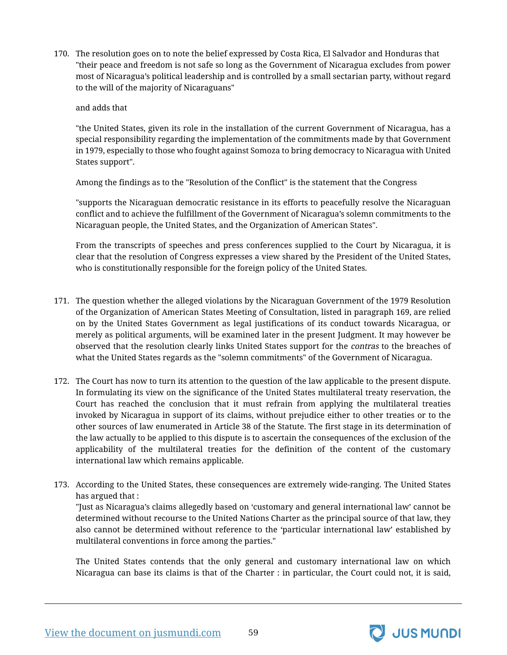170. The resolution goes on to note the belief expressed by Costa Rica, El Salvador and Honduras that "their peace and freedom is not safe so long as the Government of Nicaragua excludes from power most of Nicaragua's political leadership and is controlled by a small sectarian party, without regard to the will of the majority of Nicaraguans"

## and adds that

"the United States, given its role in the installation of the current Government of Nicaragua, has a special responsibility regarding the implementation of the commitments made by that Government in 1979, especially to those who fought against Somoza to bring democracy to Nicaragua with United States support".

Among the findings as to the "Resolution of the Conflict" is the statement that the Congress

"supports the Nicaraguan democratic resistance in its efforts to peacefully resolve the Nicaraguan conflict and to achieve the fulfillment of the Government of Nicaragua's solemn commitments to the Nicaraguan people, the United States, and the Organization of American States".

From the transcripts of speeches and press conferences supplied to the Court by Nicaragua, it is clear that the resolution of Congress expresses a view shared by the President of the United States, who is constitutionally responsible for the foreign policy of the United States.

- 171. The question whether the alleged violations by the Nicaraguan Government of the 1979 Resolution of the Organization of American States Meeting of Consultation, listed in paragraph 169, are relied on by the United States Government as legal justifications of its conduct towards Nicaragua, or merely as political arguments, will be examined later in the present Judgment. It may however be observed that the resolution clearly links United States support for the contras to the breaches of what the United States regards as the "solemn commitments" of the Government of Nicaragua.
- 172. The Court has now to turn its attention to the question of the law applicable to the present dispute. In formulating its view on the significance of the United States multilateral treaty reservation, the Court has reached the conclusion that it must refrain from applying the multilateral treaties invoked by Nicaragua in support of its claims, without prejudice either to other treaties or to the other sources of law enumerated in Article 38 of the Statute. The first stage in its determination of the law actually to be applied to this dispute is to ascertain the consequences of the exclusion of the applicability of the multilateral treaties for the definition of the content of the customary international law which remains applicable.
- 173. According to the United States, these consequences are extremely wide-ranging. The United States has argued that :

"Just as Nicaragua's claims allegedly based on 'customary and general international law' cannot be determined without recourse to the United Nations Charter as the principal source of that law, they also cannot be determined without reference to the 'particular international law' established by multilateral conventions in force among the parties."

The United States contends that the only general and customary international law on which Nicaragua can base its claims is that of the Charter : in particular, the Court could not, it is said,

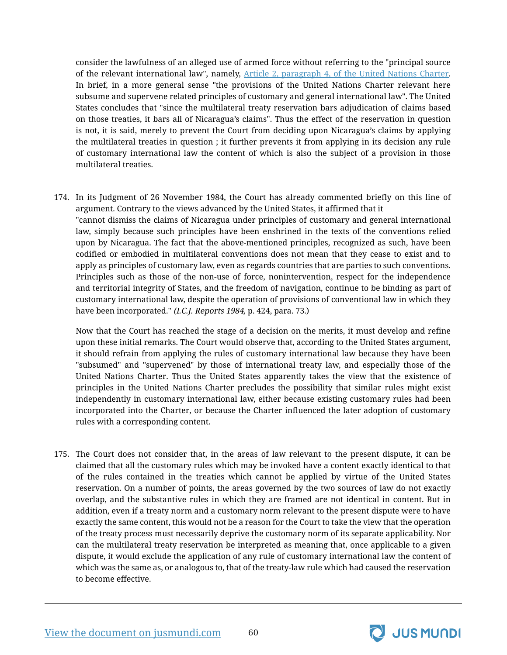consider the lawfulness of an alleged use of armed force without referring to the "principal source of the relevant international law", namely, [Article 2, paragraph 4, of the United Nations Charter](https://jusmundi.com/en/document/h/QU40cHZUZkJRUURFNUNJWUNndHJFcWhNYjU4bjZhdUJzZHFrbFNOL1J5WEVMalpaUjBGY2dOWWJ3TDlBVndvL014ZVg4SXpoektzUSsyaUl4bS9nbWo5NU9TZm1SWlZGUE9RM3MzcmpuOGVJdHNsMlR6Nm1NTk5EaTE2TzJtZDk=). In brief, in a more general sense "the provisions of the United Nations Charter relevant here subsume and supervene related principles of customary and general international law". The United States concludes that "since the multilateral treaty reservation bars adjudication of claims based on those treaties, it bars all of Nicaragua's claims". Thus the effect of the reservation in question is not, it is said, merely to prevent the Court from deciding upon Nicaragua's claims by applying the multilateral treaties in question ; it further prevents it from applying in its decision any rule of customary international law the content of which is also the subject of a provision in those multilateral treaties.

174. In its Judgment of 26 November 1984, the Court has already commented briefly on this line of argument. Contrary to the views advanced by the United States, it affirmed that it "cannot dismiss the claims of Nicaragua under principles of customary and general international law, simply because such principles have been enshrined in the texts of the conventions relied upon by Nicaragua. The fact that the above-mentioned principles, recognized as such, have been codified or embodied in multilateral conventions does not mean that they cease to exist and to apply as principles of customary law, even as regards countries that are parties to such conventions. Principles such as those of the non-use of force, nonintervention, respect for the independence and territorial integrity of States, and the freedom of navigation, continue to be binding as part of customary international law, despite the operation of provisions of conventional law in which they have been incorporated." (I.C.J. Reports 1984, p. 424, para. 73.)

Now that the Court has reached the stage of a decision on the merits, it must develop and refine upon these initial remarks. The Court would observe that, according to the United States argument, it should refrain from applying the rules of customary international law because they have been "subsumed" and "supervened" by those of international treaty law, and especially those of the United Nations Charter. Thus the United States apparently takes the view that the existence of principles in the United Nations Charter precludes the possibility that similar rules might exist independently in customary international law, either because existing customary rules had been incorporated into the Charter, or because the Charter influenced the later adoption of customary rules with a corresponding content.

175. The Court does not consider that, in the areas of law relevant to the present dispute, it can be claimed that all the customary rules which may be invoked have a content exactly identical to that of the rules contained in the treaties which cannot be applied by virtue of the United States reservation. On a number of points, the areas governed by the two sources of law do not exactly overlap, and the substantive rules in which they are framed are not identical in content. But in addition, even if a treaty norm and a customary norm relevant to the present dispute were to have exactly the same content, this would not be a reason for the Court to take the view that the operation of the treaty process must necessarily deprive the customary norm of its separate applicability. Nor can the multilateral treaty reservation be interpreted as meaning that, once applicable to a given dispute, it would exclude the application of any rule of customary international law the content of which was the same as, or analogous to, that of the treaty-law rule which had caused the reservation to become effective.



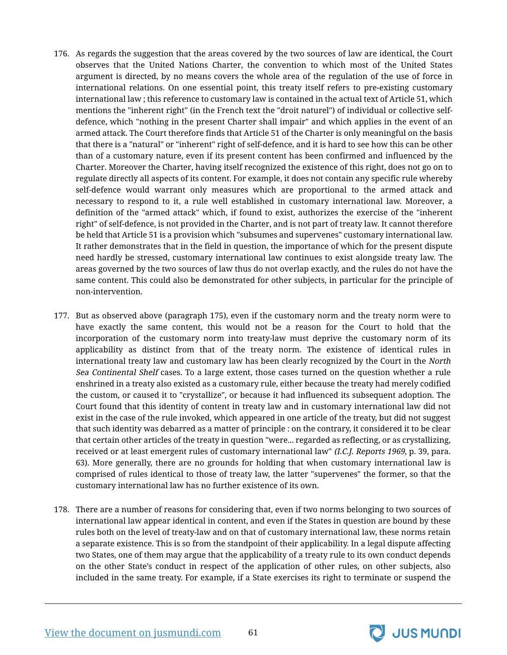- 176. As regards the suggestion that the areas covered by the two sources of law are identical, the Court observes that the United Nations Charter, the convention to which most of the United States argument is directed, by no means covers the whole area of the regulation of the use of force in international relations. On one essential point, this treaty itself refers to pre-existing customary international law ; this reference to customary law is contained in the actual text of Article 51, which mentions the "inherent right" (in the French text the "droit naturel") of individual or collective selfdefence, which "nothing in the present Charter shall impair" and which applies in the event of an armed attack. The Court therefore finds that Article 51 of the Charter is only meaningful on the basis that there is a "natural" or "inherent" right of self-defence, and it is hard to see how this can be other than of a customary nature, even if its present content has been confirmed and influenced by the Charter. Moreover the Charter, having itself recognized the existence of this right, does not go on to regulate directly all aspects of its content. For example, it does not contain any specific rule whereby self-defence would warrant only measures which are proportional to the armed attack and necessary to respond to it, a rule well established in customary international law. Moreover, a definition of the "armed attack" which, if found to exist, authorizes the exercise of the "inherent right" of self-defence, is not provided in the Charter, and is not part of treaty law. It cannot therefore be held that Article 51 is a provision which "subsumes and supervenes" customary international law. It rather demonstrates that in the field in question, the importance of which for the present dispute need hardly be stressed, customary international law continues to exist alongside treaty law. The areas governed by the two sources of law thus do not overlap exactly, and the rules do not have the same content. This could also be demonstrated for other subjects, in particular for the principle of non-intervention.
- 177. But as observed above (paragraph 175), even if the customary norm and the treaty norm were to have exactly the same content, this would not be a reason for the Court to hold that the incorporation of the customary norm into treaty-law must deprive the customary norm of its applicability as distinct from that of the treaty norm. The existence of identical rules in international treaty law and customary law has been clearly recognized by the Court in the North Sea Continental Shelf cases. To a large extent, those cases turned on the question whether a rule enshrined in a treaty also existed as a customary rule, either because the treaty had merely codified the custom, or caused it to "crystallize", or because it had influenced its subsequent adoption. The Court found that this identity of content in treaty law and in customary international law did not exist in the case of the rule invoked, which appeared in one article of the treaty, but did not suggest that such identity was debarred as a matter of principle : on the contrary, it considered it to be clear that certain other articles of the treaty in question "were... regarded as reflecting, or as crystallizing, received or at least emergent rules of customary international law" (I.C.J. Reports 1969, p. 39, para. 63). More generally, there are no grounds for holding that when customary international law is comprised of rules identical to those of treaty law, the latter "supervenes" the former, so that the customary international law has no further existence of its own.
- 178. There are a number of reasons for considering that, even if two norms belonging to two sources of international law appear identical in content, and even if the States in question are bound by these rules both on the level of treaty-law and on that of customary international law, these norms retain a separate existence. This is so from the standpoint of their applicability. In a legal dispute affecting two States, one of them may argue that the applicability of a treaty rule to its own conduct depends on the other State's conduct in respect of the application of other rules, on other subjects, also included in the same treaty. For example, if a State exercises its right to terminate or suspend the

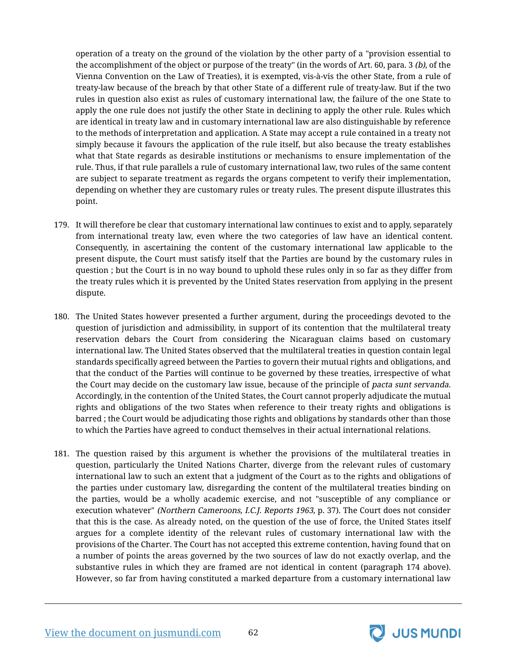operation of a treaty on the ground of the violation by the other party of a "provision essential to the accomplishment of the object or purpose of the treaty" (in the words of Art. 60, para. 3  $(b)$ , of the Vienna Convention on the Law of Treaties), it is exempted, vis-à-vis the other State, from a rule of treaty-law because of the breach by that other State of a different rule of treaty-law. But if the two rules in question also exist as rules of customary international law, the failure of the one State to apply the one rule does not justify the other State in declining to apply the other rule. Rules which are identical in treaty law and in customary international law are also distinguishable by reference to the methods of interpretation and application. A State may accept a rule contained in a treaty not simply because it favours the application of the rule itself, but also because the treaty establishes what that State regards as desirable institutions or mechanisms to ensure implementation of the rule. Thus, if that rule parallels a rule of customary international law, two rules of the same content are subject to separate treatment as regards the organs competent to verify their implementation, depending on whether they are customary rules or treaty rules. The present dispute illustrates this point.

- 179. It will therefore be clear that customary international law continues to exist and to apply, separately from international treaty law, even where the two categories of law have an identical content. Consequently, in ascertaining the content of the customary international law applicable to the present dispute, the Court must satisfy itself that the Parties are bound by the customary rules in question ; but the Court is in no way bound to uphold these rules only in so far as they differ from the treaty rules which it is prevented by the United States reservation from applying in the present dispute.
- 180. The United States however presented a further argument, during the proceedings devoted to the question of jurisdiction and admissibility, in support of its contention that the multilateral treaty reservation debars the Court from considering the Nicaraguan claims based on customary international law. The United States observed that the multilateral treaties in question contain legal standards specifically agreed between the Parties to govern their mutual rights and obligations, and that the conduct of the Parties will continue to be governed by these treaties, irrespective of what the Court may decide on the customary law issue, because of the principle of pacta sunt servanda. Accordingly, in the contention of the United States, the Court cannot properly adjudicate the mutual rights and obligations of the two States when reference to their treaty rights and obligations is barred ; the Court would be adjudicating those rights and obligations by standards other than those to which the Parties have agreed to conduct themselves in their actual international relations.
- 181. The question raised by this argument is whether the provisions of the multilateral treaties in question, particularly the United Nations Charter, diverge from the relevant rules of customary international law to such an extent that a judgment of the Court as to the rights and obligations of the parties under customary law, disregarding the content of the multilateral treaties binding on the parties, would be a wholly academic exercise, and not "susceptible of any compliance or execution whatever" (Northern Cameroons, I.C.J. Reports 1963, p. 37). The Court does not consider that this is the case. As already noted, on the question of the use of force, the United States itself argues for a complete identity of the relevant rules of customary international law with the provisions of the Charter. The Court has not accepted this extreme contention, having found that on a number of points the areas governed by the two sources of law do not exactly overlap, and the substantive rules in which they are framed are not identical in content (paragraph 174 above). However, so far from having constituted a marked departure from a customary international law



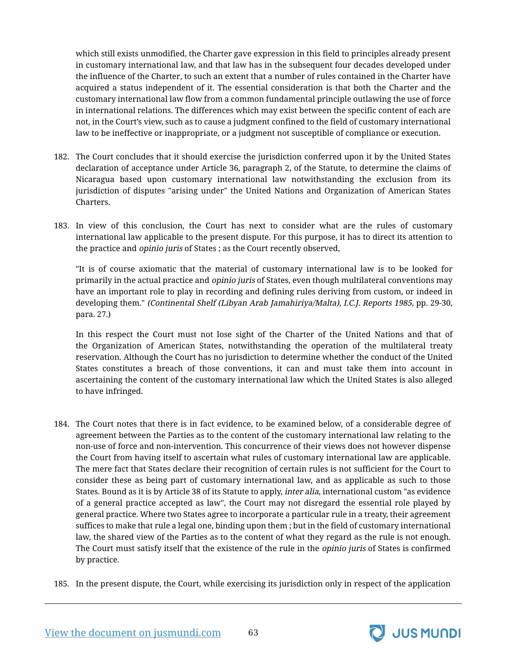which still exists unmodified, the Charter gave expression in this field to principles already present in customary international law, and that law has in the subsequent four decades developed under the influence of the Charter, to such an extent that a number of rules contained in the Charter have acquired a status independent of it. The essential consideration is that both the Charter and the customary international law flow from a common fundamental principle outlawing the use of force in international relations. The differences which may exist between the specific content of each are not, in the Court's view, such as to cause a judgment confined to the field of customary international law to be ineffective or inappropriate, or a judgment not susceptible of compliance or execution.

- 182. The Court concludes that it should exercise the jurisdiction conferred upon it by the United States declaration of acceptance under Article 36, paragraph 2, of the Statute, to determine the claims of Nicaragua based upon customary international law notwithstanding the exclusion from its jurisdiction of disputes "arising under" the United Nations and Organization of American States Charters.
- 183. In view of this conclusion, the Court has next to consider what are the rules of customary international law applicable to the present dispute. For this purpose, it has to direct its attention to the practice and opinio juris of States ; as the Court recently observed,

"It is of course axiomatic that the material of customary international law is to be looked for primarily in the actual practice and *opinio juris* of States, even though multilateral conventions may have an important role to play in recording and defining rules deriving from custom, or indeed in developing them." (Continental Shelf (Libyan Arab Jamahiriya/Malta), I.C.J. Reports 1985, pp. 29-30, para. 27.)

In this respect the Court must not lose sight of the Charter of the United Nations and that of the Organization of American States, notwithstanding the operation of the multilateral treaty reservation. Although the Court has no jurisdiction to determine whether the conduct of the United States constitutes a breach of those conventions, it can and must take them into account in ascertaining the content of the customary international law which the United States is also alleged to have infringed.

- 184. The Court notes that there is in fact evidence, to be examined below, of a considerable degree of agreement between the Parties as to the content of the customary international law relating to the non-use of force and non-intervention. This concurrence of their views does not however dispense the Court from having itself to ascertain what rules of customary international law are applicable. The mere fact that States declare their recognition of certain rules is not sufficient for the Court to consider these as being part of customary international law, and as applicable as such to those States. Bound as it is by Article 38 of its Statute to apply, *inter alia*, international custom "as evidence of a general practice accepted as law", the Court may not disregard the essential role played by general practice. Where two States agree to incorporate a particular rule in a treaty, their agreement suffices to make that rule a legal one, binding upon them ; but in the field of customary international law, the shared view of the Parties as to the content of what they regard as the rule is not enough. The Court must satisfy itself that the existence of the rule in the *opinio juris* of States is confirmed by practice.
- 185. In the present dispute, the Court, while exercising its jurisdiction only in respect of the application

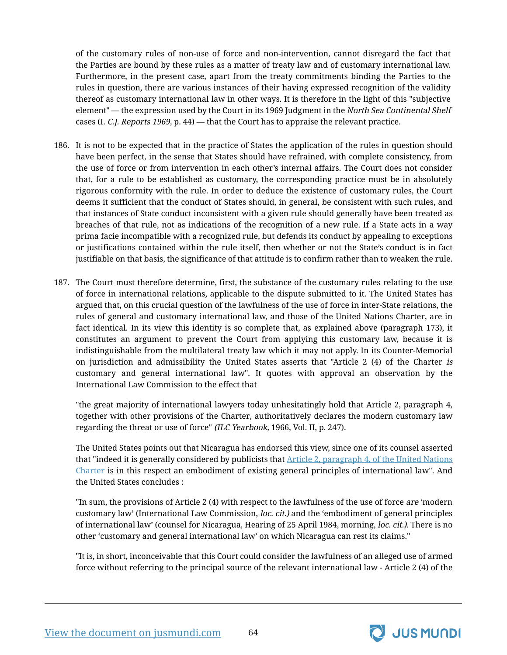of the customary rules of non-use of force and non-intervention, cannot disregard the fact that the Parties are bound by these rules as a matter of treaty law and of customary international law. Furthermore, in the present case, apart from the treaty commitments binding the Parties to the rules in question, there are various instances of their having expressed recognition of the validity thereof as customary international law in other ways. It is therefore in the light of this "subjective element" — the expression used by the Court in its 1969 Judgment in the North Sea Continental Shelf cases (I. C.J. Reports 1969, p. 44) — that the Court has to appraise the relevant practice.

- 186. It is not to be expected that in the practice of States the application of the rules in question should have been perfect, in the sense that States should have refrained, with complete consistency, from the use of force or from intervention in each other's internal affairs. The Court does not consider that, for a rule to be established as customary, the corresponding practice must be in absolutely rigorous conformity with the rule. In order to deduce the existence of customary rules, the Court deems it sufficient that the conduct of States should, in general, be consistent with such rules, and that instances of State conduct inconsistent with a given rule should generally have been treated as breaches of that rule, not as indications of the recognition of a new rule. If a State acts in a way prima facie incompatible with a recognized rule, but defends its conduct by appealing to exceptions or justifications contained within the rule itself, then whether or not the State's conduct is in fact justifiable on that basis, the significance of that attitude is to confirm rather than to weaken the rule.
- 187. The Court must therefore determine, first, the substance of the customary rules relating to the use of force in international relations, applicable to the dispute submitted to it. The United States has argued that, on this crucial question of the lawfulness of the use of force in inter-State relations, the rules of general and customary international law, and those of the United Nations Charter, are in fact identical. In its view this identity is so complete that, as explained above (paragraph 173), it constitutes an argument to prevent the Court from applying this customary law, because it is indistinguishable from the multilateral treaty law which it may not apply. In its Counter-Memorial on jurisdiction and admissibility the United States asserts that "Article 2 (4) of the Charter is customary and general international law". It quotes with approval an observation by the International Law Commission to the effect that

"the great majority of international lawyers today unhesitatingly hold that Article 2, paragraph 4, together with other provisions of the Charter, authoritatively declares the modern customary law regarding the threat or use of force" (ILC Yearbook, 1966, Vol. II, p. 247).

The United States points out that Nicaragua has endorsed this view, since one of its counsel asserted that "indeed it is generally considered by publicists that [Article 2, paragraph 4, of the United Nations](https://jusmundi.com/en/document/h/QU40cHZUZkJRUURFNUNJWUNndHJFcWhNYjU4bjZhdUJzZHFrbFNOL1J5WEVMalpaUjBGY2dOWWJ3TDlBVndvL014ZVg4SXpoektzUSsyaUl4bS9nbWo5NU9TZm1SWlZGUE9RM3MzcmpuOGVJdHNsMlR6Nm1NTk5EaTE2TzJtZDk=) [Charter](https://jusmundi.com/en/document/h/QU40cHZUZkJRUURFNUNJWUNndHJFcWhNYjU4bjZhdUJzZHFrbFNOL1J5WEVMalpaUjBGY2dOWWJ3TDlBVndvL014ZVg4SXpoektzUSsyaUl4bS9nbWo5NU9TZm1SWlZGUE9RM3MzcmpuOGVJdHNsMlR6Nm1NTk5EaTE2TzJtZDk=) is in this respect an embodiment of existing general principles of international law". And the United States concludes :

"In sum, the provisions of Article 2 (4) with respect to the lawfulness of the use of force are 'modern customary law' (International Law Commission, loc. cit.) and the 'embodiment of general principles of international law' (counsel for Nicaragua, Hearing of 25 April 1984, morning, loc. cit.). There is no other 'customary and general international law' on which Nicaragua can rest its claims."

"It is, in short, inconceivable that this Court could consider the lawfulness of an alleged use of armed force without referring to the principal source of the relevant international law - Article 2 (4) of the

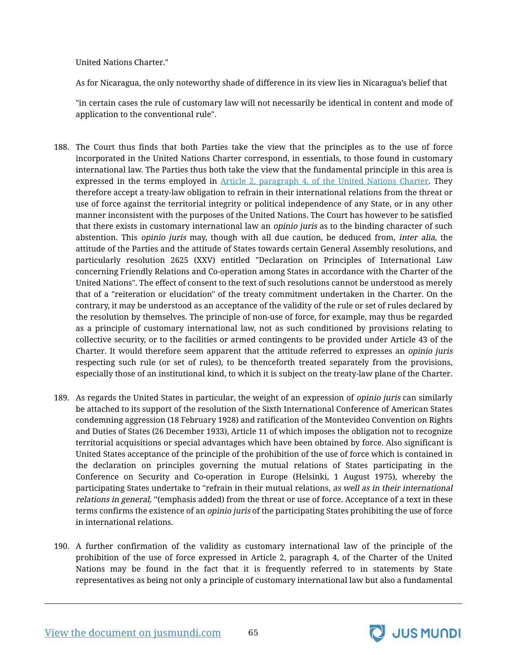United Nations Charter."

As for Nicaragua, the only noteworthy shade of difference in its view lies in Nicaragua's belief that

"in certain cases the rule of customary law will not necessarily be identical in content and mode of application to the conventional rule".

- 188. The Court thus finds that both Parties take the view that the principles as to the use of force incorporated in the United Nations Charter correspond, in essentials, to those found in customary international law. The Parties thus both take the view that the fundamental principle in this area is expressed in the terms employed in [Article 2, paragraph 4, of the United Nations Charter.](https://jusmundi.com/en/document/h/QU40cHZUZkJRUURFNUNJWUNndHJFcWhNYjU4bjZhdUJzZHFrbFNOL1J5WEVMalpaUjBGY2dOWWJ3TDlBVndvL014ZVg4SXpoektzUSsyaUl4bS9nbWo5NU9TZm1SWlZGUE9RM3MzcmpuOGVJdHNsMlR6Nm1NTk5EaTE2TzJtZDk=) They therefore accept a treaty-law obligation to refrain in their international relations from the threat or use of force against the territorial integrity or political independence of any State, or in any other manner inconsistent with the purposes of the United Nations. The Court has however to be satisfied that there exists in customary international law an *opinio juris* as to the binding character of such abstention. This *opinio juris* may, though with all due caution, be deduced from, *inter alia*, the attitude of the Parties and the attitude of States towards certain General Assembly resolutions, and particularly resolution 2625 (XXV) entitled "Declaration on Principles of International Law concerning Friendly Relations and Co-operation among States in accordance with the Charter of the United Nations". The effect of consent to the text of such resolutions cannot be understood as merely that of a "reiteration or elucidation" of the treaty commitment undertaken in the Charter. On the contrary, it may be understood as an acceptance of the validity of the rule or set of rules declared by the resolution by themselves. The principle of non-use of force, for example, may thus be regarded as a principle of customary international law, not as such conditioned by provisions relating to collective security, or to the facilities or armed contingents to be provided under Article 43 of the Charter. It would therefore seem apparent that the attitude referred to expresses an *opinio juris* respecting such rule (or set of rules), to be thenceforth treated separately from the provisions, especially those of an institutional kind, to which it is subject on the treaty-law plane of the Charter.
- 189. As regards the United States in particular, the weight of an expression of *opinio juris* can similarly be attached to its support of the resolution of the Sixth International Conference of American States condemning aggression (18 February 1928) and ratification of the Montevideo Convention on Rights and Duties of States (26 December 1933), Article 11 of which imposes the obligation not to recognize territorial acquisitions or special advantages which have been obtained by force. Also significant is United States acceptance of the principle of the prohibition of the use of force which is contained in the declaration on principles governing the mutual relations of States participating in the Conference on Security and Co-operation in Europe (Helsinki, 1 August 1975), whereby the participating States undertake to "refrain in their mutual relations, as well as in their international relations in general, "(emphasis added) from the threat or use of force. Acceptance of a text in these terms confirms the existence of an *opinio juris* of the participating States prohibiting the use of force in international relations.
- 190. A further confirmation of the validity as customary international law of the principle of the prohibition of the use of force expressed in Article 2, paragraph 4, of the Charter of the United Nations may be found in the fact that it is frequently referred to in statements by State representatives as being not only a principle of customary international law but also a fundamental

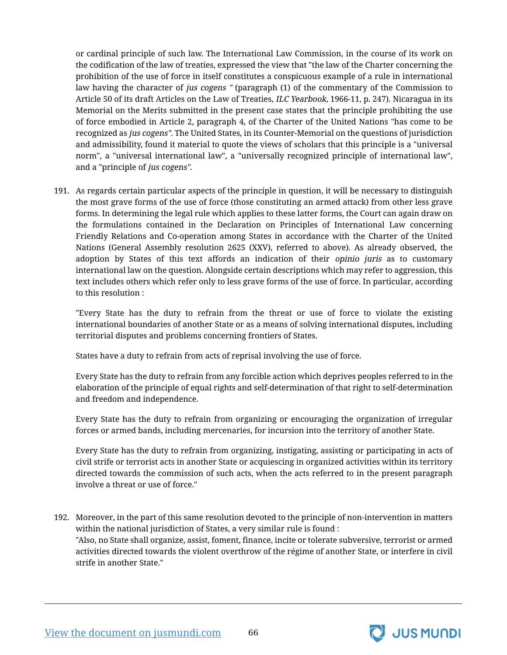or cardinal principle of such law. The International Law Commission, in the course of its work on the codification of the law of treaties, expressed the view that "the law of the Charter concerning the prohibition of the use of force in itself constitutes a conspicuous example of a rule in international law having the character of jus cogens " (paragraph (1) of the commentary of the Commission to Article 50 of its draft Articles on the Law of Treaties, ILC Yearbook, 1966-11, p. 247). Nicaragua in its Memorial on the Merits submitted in the present case states that the principle prohibiting the use of force embodied in Article 2, paragraph 4, of the Charter of the United Nations "has come to be recognized as jus cogens". The United States, in its Counter-Memorial on the questions of jurisdiction and admissibility, found it material to quote the views of scholars that this principle is a "universal norm", a "universal international law", a "universally recognized principle of international law", and a "principle of jus cogens".

191. As regards certain particular aspects of the principle in question, it will be necessary to distinguish the most grave forms of the use of force (those constituting an armed attack) from other less grave forms. In determining the legal rule which applies to these latter forms, the Court can again draw on the formulations contained in the Declaration on Principles of International Law concerning Friendly Relations and Co-operation among States in accordance with the Charter of the United Nations (General Assembly resolution 2625 (XXV), referred to above). As already observed, the adoption by States of this text affords an indication of their *opinio juris* as to customary international law on the question. Alongside certain descriptions which may refer to aggression, this text includes others which refer only to less grave forms of the use of force. In particular, according to this resolution :

"Every State has the duty to refrain from the threat or use of force to violate the existing international boundaries of another State or as a means of solving international disputes, including territorial disputes and problems concerning frontiers of States.

States have a duty to refrain from acts of reprisal involving the use of force.

Every State has the duty to refrain from any forcible action which deprives peoples referred to in the elaboration of the principle of equal rights and self-determination of that right to self-determination and freedom and independence.

Every State has the duty to refrain from organizing or encouraging the organization of irregular forces or armed bands, including mercenaries, for incursion into the territory of another State.

Every State has the duty to refrain from organizing, instigating, assisting or participating in acts of civil strife or terrorist acts in another State or acquiescing in organized activities within its territory directed towards the commission of such acts, when the acts referred to in the present paragraph involve a threat or use of force."

192. Moreover, in the part of this same resolution devoted to the principle of non-intervention in matters within the national jurisdiction of States, a very similar rule is found : "Also, no State shall organize, assist, foment, finance, incite or tolerate subversive, terrorist or armed activities directed towards the violent overthrow of the régime of another State, or interfere in civil strife in another State."



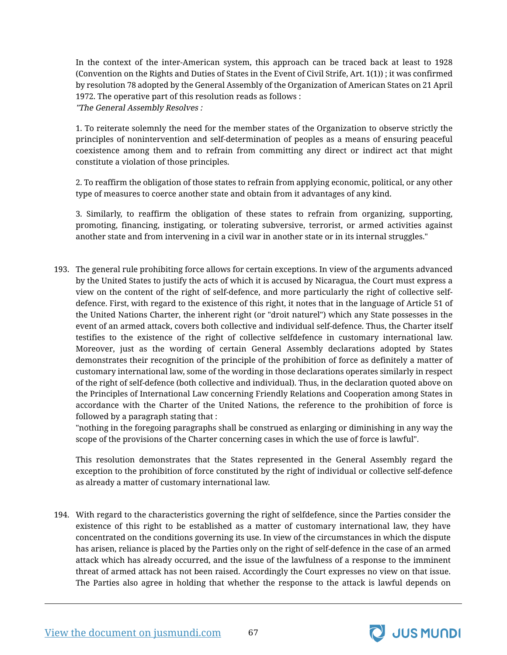In the context of the inter-American system, this approach can be traced back at least to 1928 (Convention on the Rights and Duties of States in the Event of Civil Strife, Art. 1(1)) ; it was confirmed by resolution 78 adopted by the General Assembly of the Organization of American States on 21 April 1972. The operative part of this resolution reads as follows : "The General Assembly Resolves :

1. To reiterate solemnly the need for the member states of the Organization to observe strictly the principles of nonintervention and self-determination of peoples as a means of ensuring peaceful coexistence among them and to refrain from committing any direct or indirect act that might constitute a violation of those principles.

2. To reaffirm the obligation of those states to refrain from applying economic, political, or any other type of measures to coerce another state and obtain from it advantages of any kind.

3. Similarly, to reaffirm the obligation of these states to refrain from organizing, supporting, promoting, financing, instigating, or tolerating subversive, terrorist, or armed activities against another state and from intervening in a civil war in another state or in its internal struggles."

193. The general rule prohibiting force allows for certain exceptions. In view of the arguments advanced by the United States to justify the acts of which it is accused by Nicaragua, the Court must express a view on the content of the right of self-defence, and more particularly the right of collective selfdefence. First, with regard to the existence of this right, it notes that in the language of Article 51 of the United Nations Charter, the inherent right (or "droit naturel") which any State possesses in the event of an armed attack, covers both collective and individual self-defence. Thus, the Charter itself testifies to the existence of the right of collective selfdefence in customary international law. Moreover, just as the wording of certain General Assembly declarations adopted by States demonstrates their recognition of the principle of the prohibition of force as definitely a matter of customary international law, some of the wording in those declarations operates similarly in respect of the right of self-defence (both collective and individual). Thus, in the declaration quoted above on the Principles of International Law concerning Friendly Relations and Cooperation among States in accordance with the Charter of the United Nations, the reference to the prohibition of force is followed by a paragraph stating that :

"nothing in the foregoing paragraphs shall be construed as enlarging or diminishing in any way the scope of the provisions of the Charter concerning cases in which the use of force is lawful".

This resolution demonstrates that the States represented in the General Assembly regard the exception to the prohibition of force constituted by the right of individual or collective self-defence as already a matter of customary international law.

194. With regard to the characteristics governing the right of selfdefence, since the Parties consider the existence of this right to be established as a matter of customary international law, they have concentrated on the conditions governing its use. In view of the circumstances in which the dispute has arisen, reliance is placed by the Parties only on the right of self-defence in the case of an armed attack which has already occurred, and the issue of the lawfulness of a response to the imminent threat of armed attack has not been raised. Accordingly the Court expresses no view on that issue. The Parties also agree in holding that whether the response to the attack is lawful depends on

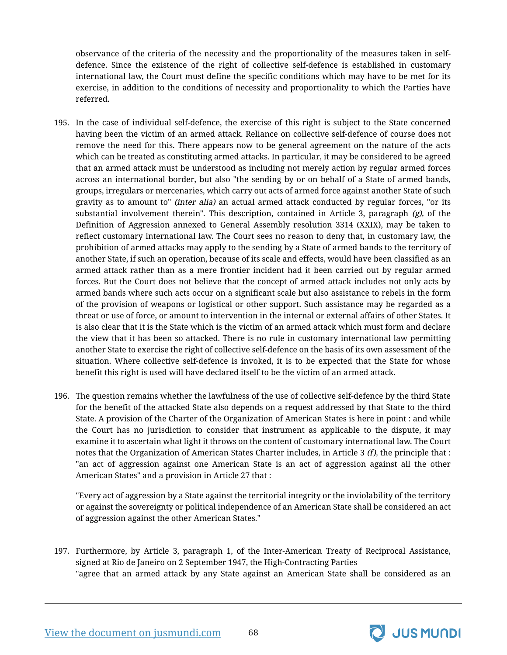observance of the criteria of the necessity and the proportionality of the measures taken in selfdefence. Since the existence of the right of collective self-defence is established in customary international law, the Court must define the specific conditions which may have to be met for its exercise, in addition to the conditions of necessity and proportionality to which the Parties have referred.

- 195. In the case of individual self-defence, the exercise of this right is subject to the State concerned having been the victim of an armed attack. Reliance on collective self-defence of course does not remove the need for this. There appears now to be general agreement on the nature of the acts which can be treated as constituting armed attacks. In particular, it may be considered to be agreed that an armed attack must be understood as including not merely action by regular armed forces across an international border, but also "the sending by or on behalf of a State of armed bands, groups, irregulars or mercenaries, which carry out acts of armed force against another State of such gravity as to amount to" *(inter alia)* an actual armed attack conducted by regular forces, "or its substantial involvement therein". This description, contained in Article 3, paragraph  $(g)$ , of the Definition of Aggression annexed to General Assembly resolution 3314 (XXIX), may be taken to reflect customary international law. The Court sees no reason to deny that, in customary law, the prohibition of armed attacks may apply to the sending by a State of armed bands to the territory of another State, if such an operation, because of its scale and effects, would have been classified as an armed attack rather than as a mere frontier incident had it been carried out by regular armed forces. But the Court does not believe that the concept of armed attack includes not only acts by armed bands where such acts occur on a significant scale but also assistance to rebels in the form of the provision of weapons or logistical or other support. Such assistance may be regarded as a threat or use of force, or amount to intervention in the internal or external affairs of other States. It is also clear that it is the State which is the victim of an armed attack which must form and declare the view that it has been so attacked. There is no rule in customary international law permitting another State to exercise the right of collective self-defence on the basis of its own assessment of the situation. Where collective self-defence is invoked, it is to be expected that the State for whose benefit this right is used will have declared itself to be the victim of an armed attack.
- 196. The question remains whether the lawfulness of the use of collective self-defence by the third State for the benefit of the attacked State also depends on a request addressed by that State to the third State. A provision of the Charter of the Organization of American States is here in point : and while the Court has no jurisdiction to consider that instrument as applicable to the dispute, it may examine it to ascertain what light it throws on the content of customary international law. The Court notes that the Organization of American States Charter includes, in Article 3 (f), the principle that : "an act of aggression against one American State is an act of aggression against all the other American States" and a provision in Article 27 that :

"Every act of aggression by a State against the territorial integrity or the inviolability of the territory or against the sovereignty or political independence of an American State shall be considered an act of aggression against the other American States."

197. Furthermore, by Article 3, paragraph 1, of the Inter-American Treaty of Reciprocal Assistance, signed at Rio de Janeiro on 2 September 1947, the High-Contracting Parties "agree that an armed attack by any State against an American State shall be considered as an

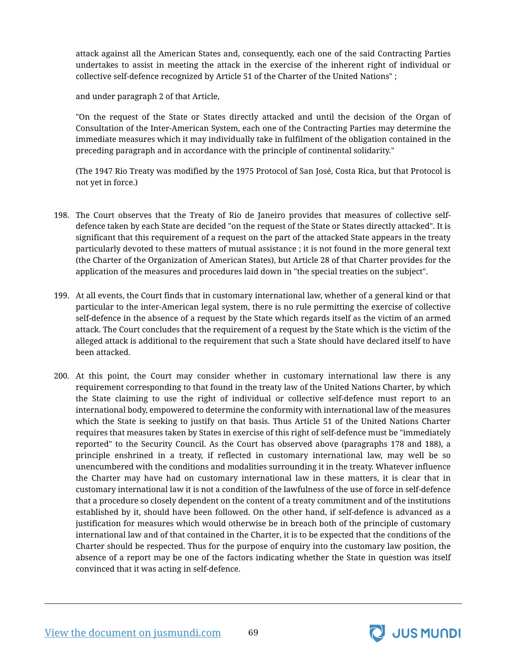attack against all the American States and, consequently, each one of the said Contracting Parties undertakes to assist in meeting the attack in the exercise of the inherent right of individual or collective self-defence recognized by Article 51 of the Charter of the United Nations" ;

and under paragraph 2 of that Article,

"On the request of the State or States directly attacked and until the decision of the Organ of Consultation of the Inter-American System, each one of the Contracting Parties may determine the immediate measures which it may individually take in fulfilment of the obligation contained in the preceding paragraph and in accordance with the principle of continental solidarity."

(The 1947 Rio Treaty was modified by the 1975 Protocol of San José, Costa Rica, but that Protocol is not yet in force.)

- 198. The Court observes that the Treaty of Rio de Janeiro provides that measures of collective selfdefence taken by each State are decided "on the request of the State or States directly attacked". It is significant that this requirement of a request on the part of the attacked State appears in the treaty particularly devoted to these matters of mutual assistance ; it is not found in the more general text (the Charter of the Organization of American States), but Article 28 of that Charter provides for the application of the measures and procedures laid down in "the special treaties on the subject".
- 199. At all events, the Court finds that in customary international law, whether of a general kind or that particular to the inter-American legal system, there is no rule permitting the exercise of collective self-defence in the absence of a request by the State which regards itself as the victim of an armed attack. The Court concludes that the requirement of a request by the State which is the victim of the alleged attack is additional to the requirement that such a State should have declared itself to have been attacked.
- 200. At this point, the Court may consider whether in customary international law there is any requirement corresponding to that found in the treaty law of the United Nations Charter, by which the State claiming to use the right of individual or collective self-defence must report to an international body, empowered to determine the conformity with international law of the measures which the State is seeking to justify on that basis. Thus Article 51 of the United Nations Charter requires that measures taken by States in exercise of this right of self-defence must be "immediately reported" to the Security Council. As the Court has observed above (paragraphs 178 and 188), a principle enshrined in a treaty, if reflected in customary international law, may well be so unencumbered with the conditions and modalities surrounding it in the treaty. Whatever influence the Charter may have had on customary international law in these matters, it is clear that in customary international law it is not a condition of the lawfulness of the use of force in self-defence that a procedure so closely dependent on the content of a treaty commitment and of the institutions established by it, should have been followed. On the other hand, if self-defence is advanced as a justification for measures which would otherwise be in breach both of the principle of customary international law and of that contained in the Charter, it is to be expected that the conditions of the Charter should be respected. Thus for the purpose of enquiry into the customary law position, the absence of a report may be one of the factors indicating whether the State in question was itself convinced that it was acting in self-defence.

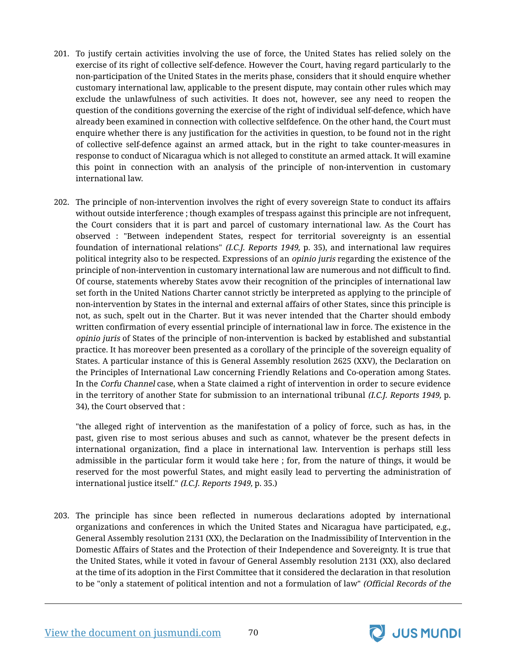- 201. To justify certain activities involving the use of force, the United States has relied solely on the exercise of its right of collective self-defence. However the Court, having regard particularly to the non-participation of the United States in the merits phase, considers that it should enquire whether customary international law, applicable to the present dispute, may contain other rules which may exclude the unlawfulness of such activities. It does not, however, see any need to reopen the question of the conditions governing the exercise of the right of individual self-defence, which have already been examined in connection with collective selfdefence. On the other hand, the Court must enquire whether there is any justification for the activities in question, to be found not in the right of collective self-defence against an armed attack, but in the right to take counter-measures in response to conduct of Nicaragua which is not alleged to constitute an armed attack. It will examine this point in connection with an analysis of the principle of non-intervention in customary international law.
- 202. The principle of non-intervention involves the right of every sovereign State to conduct its affairs without outside interference ; though examples of trespass against this principle are not infrequent, the Court considers that it is part and parcel of customary international law. As the Court has observed : "Between independent States, respect for territorial sovereignty is an essential foundation of international relations" (*I.C.J. Reports 1949*, p. 35), and international law requires political integrity also to be respected. Expressions of an *opinio juris* regarding the existence of the principle of non-intervention in customary international law are numerous and not difficult to find. Of course, statements whereby States avow their recognition of the principles of international law set forth in the United Nations Charter cannot strictly be interpreted as applying to the principle of non-intervention by States in the internal and external affairs of other States, since this principle is not, as such, spelt out in the Charter. But it was never intended that the Charter should embody written confirmation of every essential principle of international law in force. The existence in the opinio juris of States of the principle of non-intervention is backed by established and substantial practice. It has moreover been presented as a corollary of the principle of the sovereign equality of States. A particular instance of this is General Assembly resolution 2625 (XXV), the Declaration on the Principles of International Law concerning Friendly Relations and Co-operation among States. In the Corfu Channel case, when a State claimed a right of intervention in order to secure evidence in the territory of another State for submission to an international tribunal (I.C.J. Reports 1949, p. 34), the Court observed that :

"the alleged right of intervention as the manifestation of a policy of force, such as has, in the past, given rise to most serious abuses and such as cannot, whatever be the present defects in international organization, find a place in international law. Intervention is perhaps still less admissible in the particular form it would take here ; for, from the nature of things, it would be reserved for the most powerful States, and might easily lead to perverting the administration of international justice itself." (I.C.J. Reports 1949, p. 35.)

203. The principle has since been reflected in numerous declarations adopted by international organizations and conferences in which the United States and Nicaragua have participated, e.g., General Assembly resolution 2131 (XX), the Declaration on the Inadmissibility of Intervention in the Domestic Affairs of States and the Protection of their Independence and Sovereignty. It is true that the United States, while it voted in favour of General Assembly resolution 2131 (XX), also declared at the time of its adoption in the First Committee that it considered the declaration in that resolution to be "only a statement of political intention and not a formulation of law" (Official Records of the

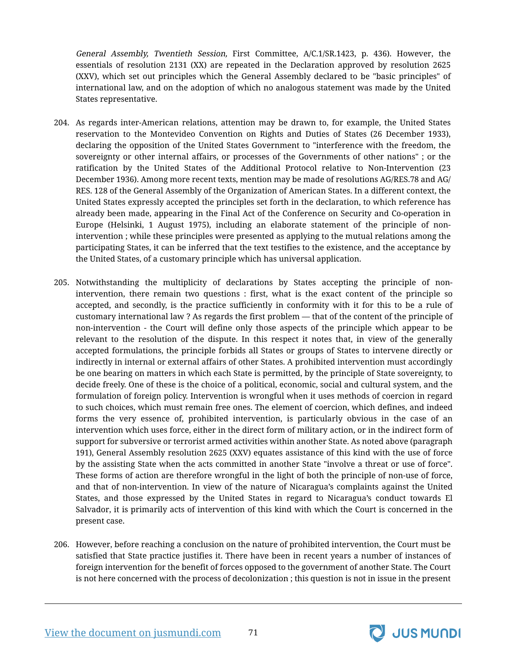General Assembly, Twentieth Session, First Committee, A/C.1/SR.1423, p. 436). However, the essentials of resolution 2131 (XX) are repeated in the Declaration approved by resolution 2625 (XXV), which set out principles which the General Assembly declared to be "basic principles" of international law, and on the adoption of which no analogous statement was made by the United States representative.

- 204. As regards inter-American relations, attention may be drawn to, for example, the United States reservation to the Montevideo Convention on Rights and Duties of States (26 December 1933), declaring the opposition of the United States Government to "interference with the freedom, the sovereignty or other internal affairs, or processes of the Governments of other nations" ; or the ratification by the United States of the Additional Protocol relative to Non-Intervention (23 December 1936). Among more recent texts, mention may be made of resolutions AG/RES.78 and AG/ RES. 128 of the General Assembly of the Organization of American States. In a different context, the United States expressly accepted the principles set forth in the declaration, to which reference has already been made, appearing in the Final Act of the Conference on Security and Co-operation in Europe (Helsinki, 1 August 1975), including an elaborate statement of the principle of nonintervention ; while these principles were presented as applying to the mutual relations among the participating States, it can be inferred that the text testifies to the existence, and the acceptance by the United States, of a customary principle which has universal application.
- 205. Notwithstanding the multiplicity of declarations by States accepting the principle of nonintervention, there remain two questions : first, what is the exact content of the principle so accepted, and secondly, is the practice sufficiently in conformity with it for this to be a rule of customary international law ? As regards the first problem — that of the content of the principle of non-intervention - the Court will define only those aspects of the principle which appear to be relevant to the resolution of the dispute. In this respect it notes that, in view of the generally accepted formulations, the principle forbids all States or groups of States to intervene directly or indirectly in internal or external affairs of other States. A prohibited intervention must accordingly be one bearing on matters in which each State is permitted, by the principle of State sovereignty, to decide freely. One of these is the choice of a political, economic, social and cultural system, and the formulation of foreign policy. Intervention is wrongful when it uses methods of coercion in regard to such choices, which must remain free ones. The element of coercion, which defines, and indeed forms the very essence of, prohibited intervention, is particularly obvious in the case of an intervention which uses force, either in the direct form of military action, or in the indirect form of support for subversive or terrorist armed activities within another State. As noted above (paragraph 191), General Assembly resolution 2625 (XXV) equates assistance of this kind with the use of force by the assisting State when the acts committed in another State "involve a threat or use of force". These forms of action are therefore wrongful in the light of both the principle of non-use of force, and that of non-intervention. In view of the nature of Nicaragua's complaints against the United States, and those expressed by the United States in regard to Nicaragua's conduct towards El Salvador, it is primarily acts of intervention of this kind with which the Court is concerned in the present case.
- 206. However, before reaching a conclusion on the nature of prohibited intervention, the Court must be satisfied that State practice justifies it. There have been in recent years a number of instances of foreign intervention for the benefit of forces opposed to the government of another State. The Court is not here concerned with the process of decolonization ; this question is not in issue in the present



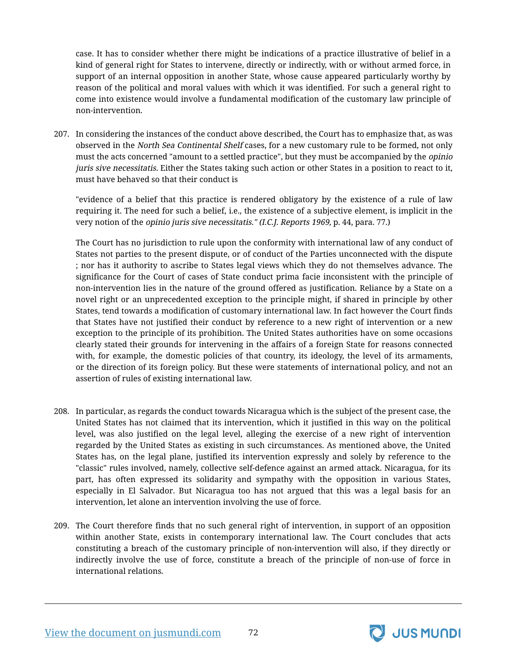case. It has to consider whether there might be indications of a practice illustrative of belief in a kind of general right for States to intervene, directly or indirectly, with or without armed force, in support of an internal opposition in another State, whose cause appeared particularly worthy by reason of the political and moral values with which it was identified. For such a general right to come into existence would involve a fundamental modification of the customary law principle of non-intervention.

207. In considering the instances of the conduct above described, the Court has to emphasize that, as was observed in the North Sea Continental Shelf cases, for a new customary rule to be formed, not only must the acts concerned "amount to a settled practice", but they must be accompanied by the *opinio* juris sive necessitatis. Either the States taking such action or other States in a position to react to it, must have behaved so that their conduct is

"evidence of a belief that this practice is rendered obligatory by the existence of a rule of law requiring it. The need for such a belief, i.e., the existence of a subjective element, is implicit in the very notion of the opinio juris sive necessitatis." (I.C.J. Reports 1969, p. 44, para. 77.)

The Court has no jurisdiction to rule upon the conformity with international law of any conduct of States not parties to the present dispute, or of conduct of the Parties unconnected with the dispute ; nor has it authority to ascribe to States legal views which they do not themselves advance. The significance for the Court of cases of State conduct prima facie inconsistent with the principle of non-intervention lies in the nature of the ground offered as justification. Reliance by a State on a novel right or an unprecedented exception to the principle might, if shared in principle by other States, tend towards a modification of customary international law. In fact however the Court finds that States have not justified their conduct by reference to a new right of intervention or a new exception to the principle of its prohibition. The United States authorities have on some occasions clearly stated their grounds for intervening in the affairs of a foreign State for reasons connected with, for example, the domestic policies of that country, its ideology, the level of its armaments, or the direction of its foreign policy. But these were statements of international policy, and not an assertion of rules of existing international law.

- 208. In particular, as regards the conduct towards Nicaragua which is the subject of the present case, the United States has not claimed that its intervention, which it justified in this way on the political level, was also justified on the legal level, alleging the exercise of a new right of intervention regarded by the United States as existing in such circumstances. As mentioned above, the United States has, on the legal plane, justified its intervention expressly and solely by reference to the "classic" rules involved, namely, collective self-defence against an armed attack. Nicaragua, for its part, has often expressed its solidarity and sympathy with the opposition in various States, especially in El Salvador. But Nicaragua too has not argued that this was a legal basis for an intervention, let alone an intervention involving the use of force.
- 209. The Court therefore finds that no such general right of intervention, in support of an opposition within another State, exists in contemporary international law. The Court concludes that acts constituting a breach of the customary principle of non-intervention will also, if they directly or indirectly involve the use of force, constitute a breach of the principle of non-use of force in international relations.

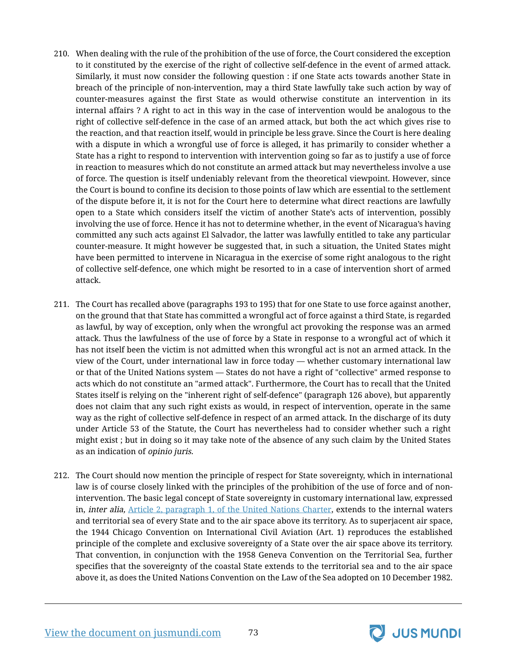- 210. When dealing with the rule of the prohibition of the use of force, the Court considered the exception to it constituted by the exercise of the right of collective self-defence in the event of armed attack. Similarly, it must now consider the following question : if one State acts towards another State in breach of the principle of non-intervention, may a third State lawfully take such action by way of counter-measures against the first State as would otherwise constitute an intervention in its internal affairs ? A right to act in this way in the case of intervention would be analogous to the right of collective self-defence in the case of an armed attack, but both the act which gives rise to the reaction, and that reaction itself, would in principle be less grave. Since the Court is here dealing with a dispute in which a wrongful use of force is alleged, it has primarily to consider whether a State has a right to respond to intervention with intervention going so far as to justify a use of force in reaction to measures which do not constitute an armed attack but may nevertheless involve a use of force. The question is itself undeniably relevant from the theoretical viewpoint. However, since the Court is bound to confine its decision to those points of law which are essential to the settlement of the dispute before it, it is not for the Court here to determine what direct reactions are lawfully open to a State which considers itself the victim of another State's acts of intervention, possibly involving the use of force. Hence it has not to determine whether, in the event of Nicaragua's having committed any such acts against El Salvador, the latter was lawfully entitled to take any particular counter-measure. It might however be suggested that, in such a situation, the United States might have been permitted to intervene in Nicaragua in the exercise of some right analogous to the right of collective self-defence, one which might be resorted to in a case of intervention short of armed attack.
- 211. The Court has recalled above (paragraphs 193 to 195) that for one State to use force against another, on the ground that that State has committed a wrongful act of force against a third State, is regarded as lawful, by way of exception, only when the wrongful act provoking the response was an armed attack. Thus the lawfulness of the use of force by a State in response to a wrongful act of which it has not itself been the victim is not admitted when this wrongful act is not an armed attack. In the view of the Court, under international law in force today — whether customary international law or that of the United Nations system — States do not have a right of "collective" armed response to acts which do not constitute an "armed attack". Furthermore, the Court has to recall that the United States itself is relying on the "inherent right of self-defence" (paragraph 126 above), but apparently does not claim that any such right exists as would, in respect of intervention, operate in the same way as the right of collective self-defence in respect of an armed attack. In the discharge of its duty under Article 53 of the Statute, the Court has nevertheless had to consider whether such a right might exist ; but in doing so it may take note of the absence of any such claim by the United States as an indication of opinio juris.
- 212. The Court should now mention the principle of respect for State sovereignty, which in international law is of course closely linked with the principles of the prohibition of the use of force and of nonintervention. The basic legal concept of State sovereignty in customary international law, expressed in, inter alia, [Article 2, paragraph 1, of the United Nations Charter](https://jusmundi.com/en/document/h/QU40cHZUZkJRUURFNUNJWUNndHJFcWhNYjU4bjZhdUJzZHFrbFNOL1J5WEVMalpaUjBGY2dOWWJ3TDlBVndvL014ZVg4SXpoektzUSsyaUl4bS9nbWlENFA3ekN1QXlidnVwTTQzRFRuZEM4RmVEK3BuU1dXK3RRcVZZMStnVnA=), extends to the internal waters and territorial sea of every State and to the air space above its territory. As to superjacent air space, the 1944 Chicago Convention on International Civil Aviation (Art. 1) reproduces the established principle of the complete and exclusive sovereignty of a State over the air space above its territory. That convention, in conjunction with the 1958 Geneva Convention on the Territorial Sea, further specifies that the sovereignty of the coastal State extends to the territorial sea and to the air space above it, as does the United Nations Convention on the Law of the Sea adopted on 10 December 1982.



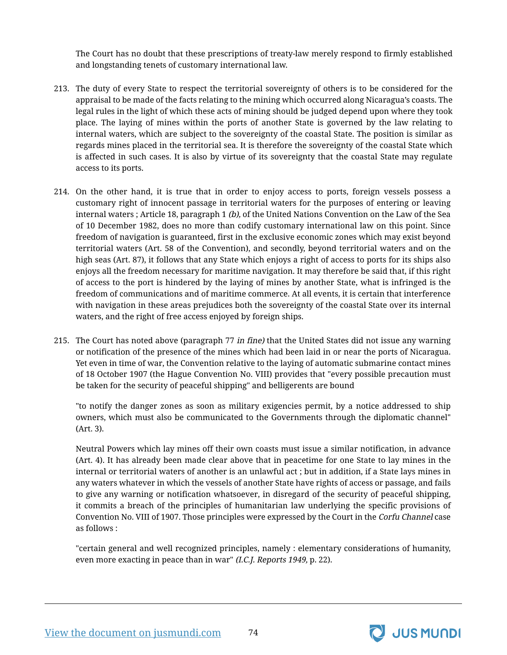The Court has no doubt that these prescriptions of treaty-law merely respond to firmly established and longstanding tenets of customary international law.

- 213. The duty of every State to respect the territorial sovereignty of others is to be considered for the appraisal to be made of the facts relating to the mining which occurred along Nicaragua's coasts. The legal rules in the light of which these acts of mining should be judged depend upon where they took place. The laying of mines within the ports of another State is governed by the law relating to internal waters, which are subject to the sovereignty of the coastal State. The position is similar as regards mines placed in the territorial sea. It is therefore the sovereignty of the coastal State which is affected in such cases. It is also by virtue of its sovereignty that the coastal State may regulate access to its ports.
- 214. On the other hand, it is true that in order to enjoy access to ports, foreign vessels possess a customary right of innocent passage in territorial waters for the purposes of entering or leaving internal waters ; Article 18, paragraph 1  $(b)$ , of the United Nations Convention on the Law of the Sea of 10 December 1982, does no more than codify customary international law on this point. Since freedom of navigation is guaranteed, first in the exclusive economic zones which may exist beyond territorial waters (Art. 58 of the Convention), and secondly, beyond territorial waters and on the high seas (Art. 87), it follows that any State which enjoys a right of access to ports for its ships also enjoys all the freedom necessary for maritime navigation. It may therefore be said that, if this right of access to the port is hindered by the laying of mines by another State, what is infringed is the freedom of communications and of maritime commerce. At all events, it is certain that interference with navigation in these areas prejudices both the sovereignty of the coastal State over its internal waters, and the right of free access enjoyed by foreign ships.
- 215. The Court has noted above (paragraph 77 *in fine)* that the United States did not issue any warning or notification of the presence of the mines which had been laid in or near the ports of Nicaragua. Yet even in time of war, the Convention relative to the laying of automatic submarine contact mines of 18 October 1907 (the Hague Convention No. VIII) provides that "every possible precaution must be taken for the security of peaceful shipping" and belligerents are bound

"to notify the danger zones as soon as military exigencies permit, by a notice addressed to ship owners, which must also be communicated to the Governments through the diplomatic channel" (Art. 3).

Neutral Powers which lay mines off their own coasts must issue a similar notification, in advance (Art. 4). It has already been made clear above that in peacetime for one State to lay mines in the internal or territorial waters of another is an unlawful act ; but in addition, if a State lays mines in any waters whatever in which the vessels of another State have rights of access or passage, and fails to give any warning or notification whatsoever, in disregard of the security of peaceful shipping, it commits a breach of the principles of humanitarian law underlying the specific provisions of Convention No. VIII of 1907. Those principles were expressed by the Court in the Corfu Channel case as follows :

"certain general and well recognized principles, namely : elementary considerations of humanity, even more exacting in peace than in war" (I.C.J. Reports 1949, p. 22).

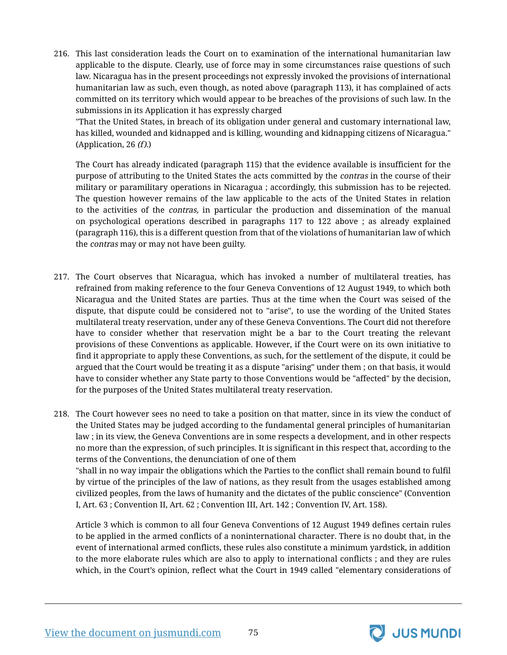216. This last consideration leads the Court on to examination of the international humanitarian law applicable to the dispute. Clearly, use of force may in some circumstances raise questions of such law. Nicaragua has in the present proceedings not expressly invoked the provisions of international humanitarian law as such, even though, as noted above (paragraph 113), it has complained of acts committed on its territory which would appear to be breaches of the provisions of such law. In the submissions in its Application it has expressly charged

"That the United States, in breach of its obligation under general and customary international law, has killed, wounded and kidnapped and is killing, wounding and kidnapping citizens of Nicaragua." (Application, 26  $(f)$ .)

The Court has already indicated (paragraph 115) that the evidence available is insufficient for the purpose of attributing to the United States the acts committed by the contras in the course of their military or paramilitary operations in Nicaragua ; accordingly, this submission has to be rejected. The question however remains of the law applicable to the acts of the United States in relation to the activities of the contras, in particular the production and dissemination of the manual on psychological operations described in paragraphs 117 to 122 above ; as already explained (paragraph 116), this is a different question from that of the violations of humanitarian law of which the contras may or may not have been guilty.

- 217. The Court observes that Nicaragua, which has invoked a number of multilateral treaties, has refrained from making reference to the four Geneva Conventions of 12 August 1949, to which both Nicaragua and the United States are parties. Thus at the time when the Court was seised of the dispute, that dispute could be considered not to "arise", to use the wording of the United States multilateral treaty reservation, under any of these Geneva Conventions. The Court did not therefore have to consider whether that reservation might be a bar to the Court treating the relevant provisions of these Conventions as applicable. However, if the Court were on its own initiative to find it appropriate to apply these Conventions, as such, for the settlement of the dispute, it could be argued that the Court would be treating it as a dispute "arising" under them ; on that basis, it would have to consider whether any State party to those Conventions would be "affected" by the decision, for the purposes of the United States multilateral treaty reservation.
- 218. The Court however sees no need to take a position on that matter, since in its view the conduct of the United States may be judged according to the fundamental general principles of humanitarian law ; in its view, the Geneva Conventions are in some respects a development, and in other respects no more than the expression, of such principles. It is significant in this respect that, according to the terms of the Conventions, the denunciation of one of them

"shall in no way impair the obligations which the Parties to the conflict shall remain bound to fulfil by virtue of the principles of the law of nations, as they result from the usages established among civilized peoples, from the laws of humanity and the dictates of the public conscience" (Convention I, Art. 63 ; Convention II, Art. 62 ; Convention III, Art. 142 ; Convention IV, Art. 158).

Article 3 which is common to all four Geneva Conventions of 12 August 1949 defines certain rules to be applied in the armed conflicts of a noninternational character. There is no doubt that, in the event of international armed conflicts, these rules also constitute a minimum yardstick, in addition to the more elaborate rules which are also to apply to international conflicts ; and they are rules which, in the Court's opinion, reflect what the Court in 1949 called "elementary considerations of

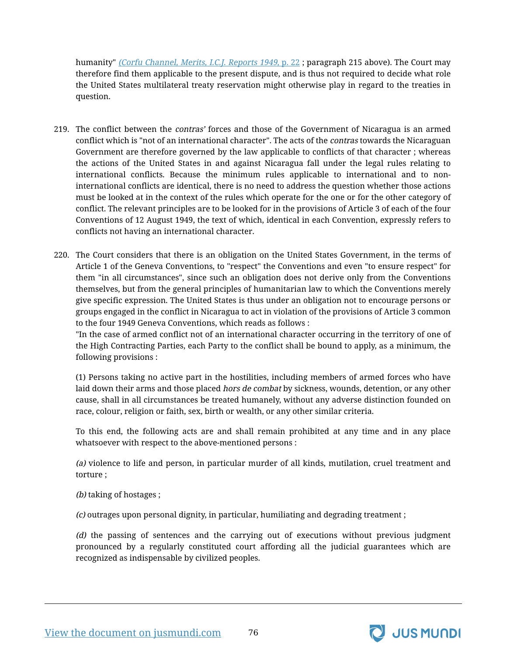humanity" *(Corfu [Channel,](https://jusmundi.com/en/document/h/ZjRhbDl3akNRM013NlE2T0RBNXVJVlBFTkpkdUJyRWp6aElSZFpOYWkvV2JCbGhRc0xFcmwrMW5BVTNSQWNaRkE3VzhoNWhrYlVtanhZdkVSVUw1WmxrSHZXN2kzOFRhbXpVZ2k0dXZTKzR0TVVYQXdQRjJSandTOXEzb1JSWjl5N3pzNnZZd28waFkrNmFjdFRVMmZWVis4WEFNWW5qZmRDcXdaaVFuTmIrWnI3dzEyK3gwSFBlRUlsZ3hOc1A1d0sxZXFVSjhmY3FpVFJXNGFnVytpMlNnTCtzZUpSMnZRMDIrY3R5NEtJYTBvRkl5a2NBZVNaRzdpb3dJazlRUFNKc2ZjQ0l2V1lWQU9STVRGek1UUVNaVVhFb0x4MHVQTjhQc3o3RWNYaUk9) Merits, I.C.J. Reports 1949, p. 22*; paragraph 215 above). The Court may therefore find them applicable to the present dispute, and is thus not required to decide what role the United States multilateral treaty reservation might otherwise play in regard to the treaties in question.

- 219. The conflict between the *contras'* forces and those of the Government of Nicaragua is an armed conflict which is "not of an international character". The acts of the *contras* towards the Nicaraguan Government are therefore governed by the law applicable to conflicts of that character ; whereas the actions of the United States in and against Nicaragua fall under the legal rules relating to international conflicts. Because the minimum rules applicable to international and to noninternational conflicts are identical, there is no need to address the question whether those actions must be looked at in the context of the rules which operate for the one or for the other category of conflict. The relevant principles are to be looked for in the provisions of Article 3 of each of the four Conventions of 12 August 1949, the text of which, identical in each Convention, expressly refers to conflicts not having an international character.
- 220. The Court considers that there is an obligation on the United States Government, in the terms of Article 1 of the Geneva Conventions, to "respect" the Conventions and even "to ensure respect" for them "in all circumstances", since such an obligation does not derive only from the Conventions themselves, but from the general principles of humanitarian law to which the Conventions merely give specific expression. The United States is thus under an obligation not to encourage persons or groups engaged in the conflict in Nicaragua to act in violation of the provisions of Article 3 common to the four 1949 Geneva Conventions, which reads as follows :

"In the case of armed conflict not of an international character occurring in the territory of one of the High Contracting Parties, each Party to the conflict shall be bound to apply, as a minimum, the following provisions :

(1) Persons taking no active part in the hostilities, including members of armed forces who have laid down their arms and those placed hors de combat by sickness, wounds, detention, or any other cause, shall in all circumstances be treated humanely, without any adverse distinction founded on race, colour, religion or faith, sex, birth or wealth, or any other similar criteria.

To this end, the following acts are and shall remain prohibited at any time and in any place whatsoever with respect to the above-mentioned persons :

(a) violence to life and person, in particular murder of all kinds, mutilation, cruel treatment and torture ;

(b) taking of hostages ;

(c) outrages upon personal dignity, in particular, humiliating and degrading treatment ;

(d) the passing of sentences and the carrying out of executions without previous judgment pronounced by a regularly constituted court affording all the judicial guarantees which are recognized as indispensable by civilized peoples.



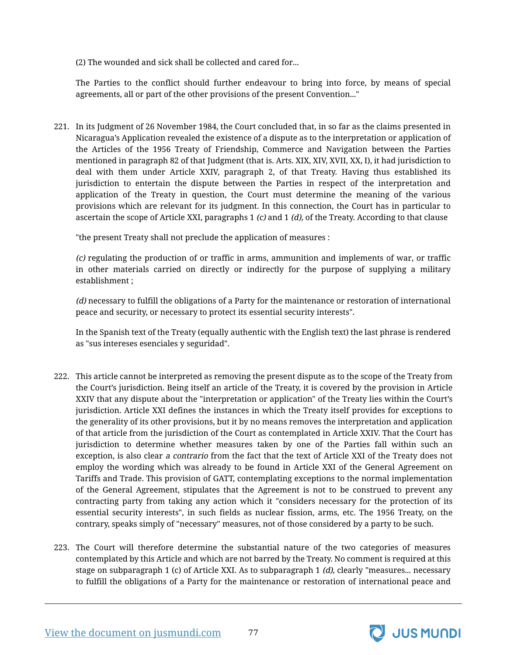(2) The wounded and sick shall be collected and cared for...

The Parties to the conflict should further endeavour to bring into force, by means of special agreements, all or part of the other provisions of the present Convention..."

221. In its Judgment of 26 November 1984, the Court concluded that, in so far as the claims presented in Nicaragua's Application revealed the existence of a dispute as to the interpretation or application of the Articles of the 1956 Treaty of Friendship, Commerce and Navigation between the Parties mentioned in paragraph 82 of that Judgment (that is. Arts. XIX, XIV, XVII, XX, I), it had jurisdiction to deal with them under Article XXIV, paragraph 2, of that Treaty. Having thus established its jurisdiction to entertain the dispute between the Parties in respect of the interpretation and application of the Treaty in question, the Court must determine the meaning of the various provisions which are relevant for its judgment. In this connection, the Court has in particular to ascertain the scope of Article XXI, paragraphs  $1$  (c) and  $1$  (d), of the Treaty. According to that clause

"the present Treaty shall not preclude the application of measures :

(c) regulating the production of or traffic in arms, ammunition and implements of war, or traffic in other materials carried on directly or indirectly for the purpose of supplying a military establishment ;

(d) necessary to fulfill the obligations of a Party for the maintenance or restoration of international peace and security, or necessary to protect its essential security interests".

In the Spanish text of the Treaty (equally authentic with the English text) the last phrase is rendered as "sus intereses esenciales y seguridad".

- 222. This article cannot be interpreted as removing the present dispute as to the scope of the Treaty from the Court's jurisdiction. Being itself an article of the Treaty, it is covered by the provision in Article XXIV that any dispute about the "interpretation or application" of the Treaty lies within the Court's jurisdiction. Article XXI defines the instances in which the Treaty itself provides for exceptions to the generality of its other provisions, but it by no means removes the interpretation and application of that article from the jurisdiction of the Court as contemplated in Article XXIV. That the Court has jurisdiction to determine whether measures taken by one of the Parties fall within such an exception, is also clear <sup>a</sup> contrario from the fact that the text of Article XXI of the Treaty does not employ the wording which was already to be found in Article XXI of the General Agreement on Tariffs and Trade. This provision of GATT, contemplating exceptions to the normal implementation of the General Agreement, stipulates that the Agreement is not to be construed to prevent any contracting party from taking any action which it "considers necessary for the protection of its essential security interests", in such fields as nuclear fission, arms, etc. The 1956 Treaty, on the contrary, speaks simply of "necessary" measures, not of those considered by a party to be such.
- 223. The Court will therefore determine the substantial nature of the two categories of measures contemplated by this Article and which are not barred by the Treaty. No comment is required at this stage on subparagraph 1 (c) of Article XXI. As to subparagraph  $1$  (d), clearly "measures... necessary to fulfill the obligations of a Party for the maintenance or restoration of international peace and

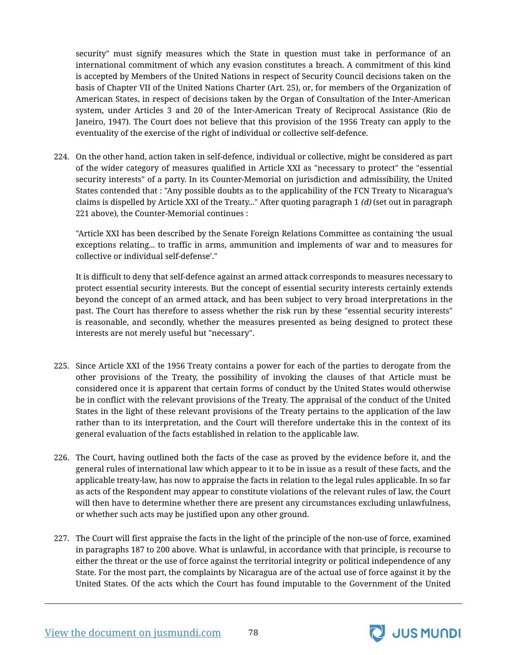security" must signify measures which the State in question must take in performance of an international commitment of which any evasion constitutes a breach. A commitment of this kind is accepted by Members of the United Nations in respect of Security Council decisions taken on the basis of Chapter VII of the United Nations Charter (Art. 25), or, for members of the Organization of American States, in respect of decisions taken by the Organ of Consultation of the Inter-American system, under Articles 3 and 20 of the Inter-American Treaty of Reciprocal Assistance (Rio de Janeiro, 1947). The Court does not believe that this provision of the 1956 Treaty can apply to the eventuality of the exercise of the right of individual or collective self-defence.

224. On the other hand, action taken in self-defence, individual or collective, might be considered as part of the wider category of measures qualified in Article XXI as "necessary to protect" the "essential security interests" of a party. In its Counter-Memorial on jurisdiction and admissibility, the United States contended that : "Any possible doubts as to the applicability of the FCN Treaty to Nicaragua's claims is dispelled by Article XXI of the Treaty..." After quoting paragraph  $1$  (d) (set out in paragraph 221 above), the Counter-Memorial continues :

"Article XXI has been described by the Senate Foreign Relations Committee as containing 'the usual exceptions relating... to traffic in arms, ammunition and implements of war and to measures for collective or individual self-defense'."

It is difficult to deny that self-defence against an armed attack corresponds to measures necessary to protect essential security interests. But the concept of essential security interests certainly extends beyond the concept of an armed attack, and has been subject to very broad interpretations in the past. The Court has therefore to assess whether the risk run by these "essential security interests" is reasonable, and secondly, whether the measures presented as being designed to protect these interests are not merely useful but "necessary".

- 225. Since Article XXI of the 1956 Treaty contains a power for each of the parties to derogate from the other provisions of the Treaty, the possibility of invoking the clauses of that Article must be considered once it is apparent that certain forms of conduct by the United States would otherwise be in conflict with the relevant provisions of the Treaty. The appraisal of the conduct of the United States in the light of these relevant provisions of the Treaty pertains to the application of the law rather than to its interpretation, and the Court will therefore undertake this in the context of its general evaluation of the facts established in relation to the applicable law.
- 226. The Court, having outlined both the facts of the case as proved by the evidence before it, and the general rules of international law which appear to it to be in issue as a result of these facts, and the applicable treaty-law, has now to appraise the facts in relation to the legal rules applicable. In so far as acts of the Respondent may appear to constitute violations of the relevant rules of law, the Court will then have to determine whether there are present any circumstances excluding unlawfulness, or whether such acts may be justified upon any other ground.
- 227. The Court will first appraise the facts in the light of the principle of the non-use of force, examined in paragraphs 187 to 200 above. What is unlawful, in accordance with that principle, is recourse to either the threat or the use of force against the territorial integrity or political independence of any State. For the most part, the complaints by Nicaragua are of the actual use of force against it by the United States. Of the acts which the Court has found imputable to the Government of the United

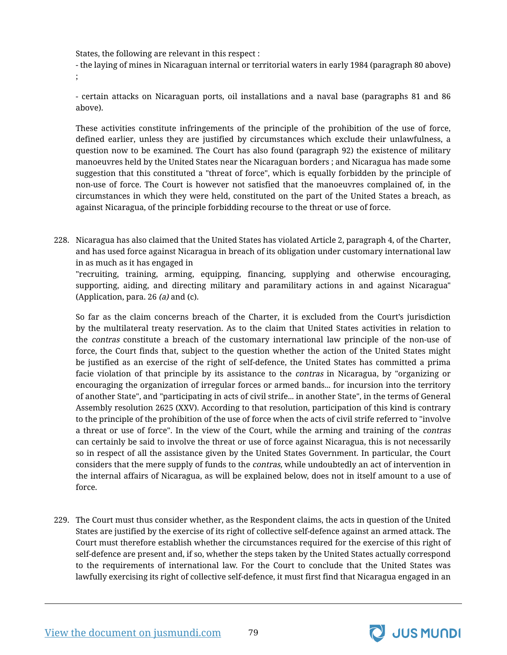States, the following are relevant in this respect :

- the laying of mines in Nicaraguan internal or territorial waters in early 1984 (paragraph 80 above) ;

- certain attacks on Nicaraguan ports, oil installations and a naval base (paragraphs 81 and 86 above).

These activities constitute infringements of the principle of the prohibition of the use of force, defined earlier, unless they are justified by circumstances which exclude their unlawfulness, a question now to be examined. The Court has also found (paragraph 92) the existence of military manoeuvres held by the United States near the Nicaraguan borders ; and Nicaragua has made some suggestion that this constituted a "threat of force", which is equally forbidden by the principle of non-use of force. The Court is however not satisfied that the manoeuvres complained of, in the circumstances in which they were held, constituted on the part of the United States a breach, as against Nicaragua, of the principle forbidding recourse to the threat or use of force.

228. Nicaragua has also claimed that the United States has violated Article 2, paragraph 4, of the Charter, and has used force against Nicaragua in breach of its obligation under customary international law in as much as it has engaged in

"recruiting, training, arming, equipping, financing, supplying and otherwise encouraging, supporting, aiding, and directing military and paramilitary actions in and against Nicaragua" (Application, para. 26  $(a)$  and  $(c)$ .

So far as the claim concerns breach of the Charter, it is excluded from the Court's jurisdiction by the multilateral treaty reservation. As to the claim that United States activities in relation to the contras constitute a breach of the customary international law principle of the non-use of force, the Court finds that, subject to the question whether the action of the United States might be justified as an exercise of the right of self-defence, the United States has committed a prima facie violation of that principle by its assistance to the *contras* in Nicaragua, by "organizing or encouraging the organization of irregular forces or armed bands... for incursion into the territory of another State", and "participating in acts of civil strife... in another State", in the terms of General Assembly resolution 2625 (XXV). According to that resolution, participation of this kind is contrary to the principle of the prohibition of the use of force when the acts of civil strife referred to "involve a threat or use of force". In the view of the Court, while the arming and training of the contras can certainly be said to involve the threat or use of force against Nicaragua, this is not necessarily so in respect of all the assistance given by the United States Government. In particular, the Court considers that the mere supply of funds to the *contras*, while undoubtedly an act of intervention in the internal affairs of Nicaragua, as will be explained below, does not in itself amount to a use of force.

229. The Court must thus consider whether, as the Respondent claims, the acts in question of the United States are justified by the exercise of its right of collective self-defence against an armed attack. The Court must therefore establish whether the circumstances required for the exercise of this right of self-defence are present and, if so, whether the steps taken by the United States actually correspond to the requirements of international law. For the Court to conclude that the United States was lawfully exercising its right of collective self-defence, it must first find that Nicaragua engaged in an

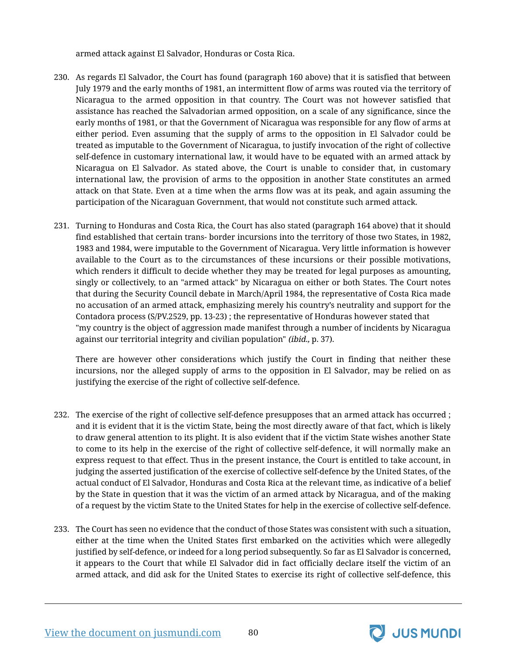armed attack against El Salvador, Honduras or Costa Rica.

- 230. As regards El Salvador, the Court has found (paragraph 160 above) that it is satisfied that between July 1979 and the early months of 1981, an intermittent flow of arms was routed via the territory of Nicaragua to the armed opposition in that country. The Court was not however satisfied that assistance has reached the Salvadorian armed opposition, on a scale of any significance, since the early months of 1981, or that the Government of Nicaragua was responsible for any flow of arms at either period. Even assuming that the supply of arms to the opposition in El Salvador could be treated as imputable to the Government of Nicaragua, to justify invocation of the right of collective self-defence in customary international law, it would have to be equated with an armed attack by Nicaragua on El Salvador. As stated above, the Court is unable to consider that, in customary international law, the provision of arms to the opposition in another State constitutes an armed attack on that State. Even at a time when the arms flow was at its peak, and again assuming the participation of the Nicaraguan Government, that would not constitute such armed attack.
- 231. Turning to Honduras and Costa Rica, the Court has also stated (paragraph 164 above) that it should find established that certain trans- border incursions into the territory of those two States, in 1982, 1983 and 1984, were imputable to the Government of Nicaragua. Very little information is however available to the Court as to the circumstances of these incursions or their possible motivations, which renders it difficult to decide whether they may be treated for legal purposes as amounting, singly or collectively, to an "armed attack" by Nicaragua on either or both States. The Court notes that during the Security Council debate in March/April 1984, the representative of Costa Rica made no accusation of an armed attack, emphasizing merely his country's neutrality and support for the Contadora process (S/PV.2529, pp. 13-23) ; the representative of Honduras however stated that "my country is the object of aggression made manifest through a number of incidents by Nicaragua against our territorial integrity and civilian population" (ibid., p. 37).

There are however other considerations which justify the Court in finding that neither these incursions, nor the alleged supply of arms to the opposition in El Salvador, may be relied on as justifying the exercise of the right of collective self-defence.

- 232. The exercise of the right of collective self-defence presupposes that an armed attack has occurred ; and it is evident that it is the victim State, being the most directly aware of that fact, which is likely to draw general attention to its plight. It is also evident that if the victim State wishes another State to come to its help in the exercise of the right of collective self-defence, it will normally make an express request to that effect. Thus in the present instance, the Court is entitled to take account, in judging the asserted justification of the exercise of collective self-defence by the United States, of the actual conduct of El Salvador, Honduras and Costa Rica at the relevant time, as indicative of a belief by the State in question that it was the victim of an armed attack by Nicaragua, and of the making of a request by the victim State to the United States for help in the exercise of collective self-defence.
- 233. The Court has seen no evidence that the conduct of those States was consistent with such a situation, either at the time when the United States first embarked on the activities which were allegedly justified by self-defence, or indeed for a long period subsequently. So far as El Salvador is concerned, it appears to the Court that while El Salvador did in fact officially declare itself the victim of an armed attack, and did ask for the United States to exercise its right of collective self-defence, this

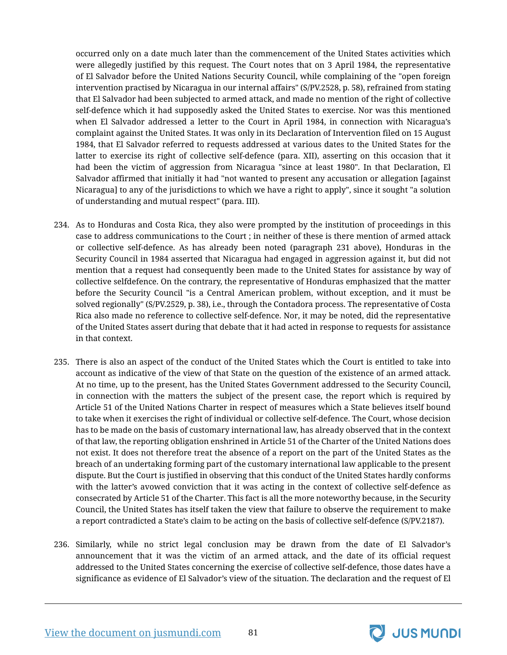occurred only on a date much later than the commencement of the United States activities which were allegedly justified by this request. The Court notes that on 3 April 1984, the representative of El Salvador before the United Nations Security Council, while complaining of the "open foreign intervention practised by Nicaragua in our internal affairs" (S/PV.2528, p. 58), refrained from stating that El Salvador had been subjected to armed attack, and made no mention of the right of collective self-defence which it had supposedly asked the United States to exercise. Nor was this mentioned when El Salvador addressed a letter to the Court in April 1984, in connection with Nicaragua's complaint against the United States. It was only in its Declaration of Intervention filed on 15 August 1984, that El Salvador referred to requests addressed at various dates to the United States for the latter to exercise its right of collective self-defence (para. XII), asserting on this occasion that it had been the victim of aggression from Nicaragua "since at least 1980". In that Declaration, El Salvador affirmed that initially it had "not wanted to present any accusation or allegation [against Nicaragua] to any of the jurisdictions to which we have a right to apply", since it sought "a solution of understanding and mutual respect" (para. III).

- 234. As to Honduras and Costa Rica, they also were prompted by the institution of proceedings in this case to address communications to the Court ; in neither of these is there mention of armed attack or collective self-defence. As has already been noted (paragraph 231 above), Honduras in the Security Council in 1984 asserted that Nicaragua had engaged in aggression against it, but did not mention that a request had consequently been made to the United States for assistance by way of collective selfdefence. On the contrary, the representative of Honduras emphasized that the matter before the Security Council "is a Central American problem, without exception, and it must be solved regionally" (S/PV.2529, p. 38), i.e., through the Contadora process. The representative of Costa Rica also made no reference to collective self-defence. Nor, it may be noted, did the representative of the United States assert during that debate that it had acted in response to requests for assistance in that context.
- 235. There is also an aspect of the conduct of the United States which the Court is entitled to take into account as indicative of the view of that State on the question of the existence of an armed attack. At no time, up to the present, has the United States Government addressed to the Security Council, in connection with the matters the subject of the present case, the report which is required by Article 51 of the United Nations Charter in respect of measures which a State believes itself bound to take when it exercises the right of individual or collective self-defence. The Court, whose decision has to be made on the basis of customary international law, has already observed that in the context of that law, the reporting obligation enshrined in Article 51 of the Charter of the United Nations does not exist. It does not therefore treat the absence of a report on the part of the United States as the breach of an undertaking forming part of the customary international law applicable to the present dispute. But the Court is justified in observing that this conduct of the United States hardly conforms with the latter's avowed conviction that it was acting in the context of collective self-defence as consecrated by Article 51 of the Charter. This fact is all the more noteworthy because, in the Security Council, the United States has itself taken the view that failure to observe the requirement to make a report contradicted a State's claim to be acting on the basis of collective self-defence (S/PV.2187).
- 236. Similarly, while no strict legal conclusion may be drawn from the date of El Salvador's announcement that it was the victim of an armed attack, and the date of its official request addressed to the United States concerning the exercise of collective self-defence, those dates have a significance as evidence of El Salvador's view of the situation. The declaration and the request of El

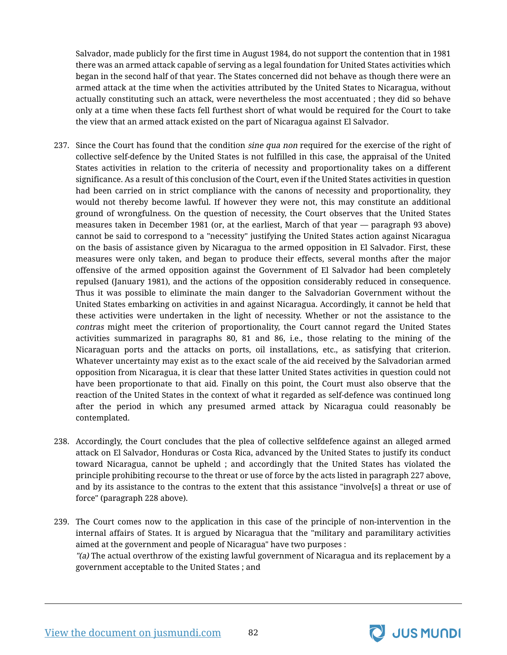Salvador, made publicly for the first time in August 1984, do not support the contention that in 1981 there was an armed attack capable of serving as a legal foundation for United States activities which began in the second half of that year. The States concerned did not behave as though there were an armed attack at the time when the activities attributed by the United States to Nicaragua, without actually constituting such an attack, were nevertheless the most accentuated ; they did so behave only at a time when these facts fell furthest short of what would be required for the Court to take the view that an armed attack existed on the part of Nicaragua against El Salvador.

- 237. Since the Court has found that the condition *sine qua non* required for the exercise of the right of collective self-defence by the United States is not fulfilled in this case, the appraisal of the United States activities in relation to the criteria of necessity and proportionality takes on a different significance. As a result of this conclusion of the Court, even if the United States activities in question had been carried on in strict compliance with the canons of necessity and proportionality, they would not thereby become lawful. If however they were not, this may constitute an additional ground of wrongfulness. On the question of necessity, the Court observes that the United States measures taken in December 1981 (or, at the earliest, March of that year — paragraph 93 above) cannot be said to correspond to a "necessity" justifying the United States action against Nicaragua on the basis of assistance given by Nicaragua to the armed opposition in El Salvador. First, these measures were only taken, and began to produce their effects, several months after the major offensive of the armed opposition against the Government of El Salvador had been completely repulsed (January 1981), and the actions of the opposition considerably reduced in consequence. Thus it was possible to eliminate the main danger to the Salvadorian Government without the United States embarking on activities in and against Nicaragua. Accordingly, it cannot be held that these activities were undertaken in the light of necessity. Whether or not the assistance to the contras might meet the criterion of proportionality, the Court cannot regard the United States activities summarized in paragraphs 80, 81 and 86, i.e., those relating to the mining of the Nicaraguan ports and the attacks on ports, oil installations, etc., as satisfying that criterion. Whatever uncertainty may exist as to the exact scale of the aid received by the Salvadorian armed opposition from Nicaragua, it is clear that these latter United States activities in question could not have been proportionate to that aid. Finally on this point, the Court must also observe that the reaction of the United States in the context of what it regarded as self-defence was continued long after the period in which any presumed armed attack by Nicaragua could reasonably be contemplated.
- 238. Accordingly, the Court concludes that the plea of collective selfdefence against an alleged armed attack on El Salvador, Honduras or Costa Rica, advanced by the United States to justify its conduct toward Nicaragua, cannot be upheld ; and accordingly that the United States has violated the principle prohibiting recourse to the threat or use of force by the acts listed in paragraph 227 above, and by its assistance to the contras to the extent that this assistance "involve[s] a threat or use of force" (paragraph 228 above).
- 239. The Court comes now to the application in this case of the principle of non-intervention in the internal affairs of States. It is argued by Nicaragua that the "military and paramilitary activities aimed at the government and people of Nicaragua" have two purposes : "(a) The actual overthrow of the existing lawful government of Nicaragua and its replacement by a government acceptable to the United States ; and

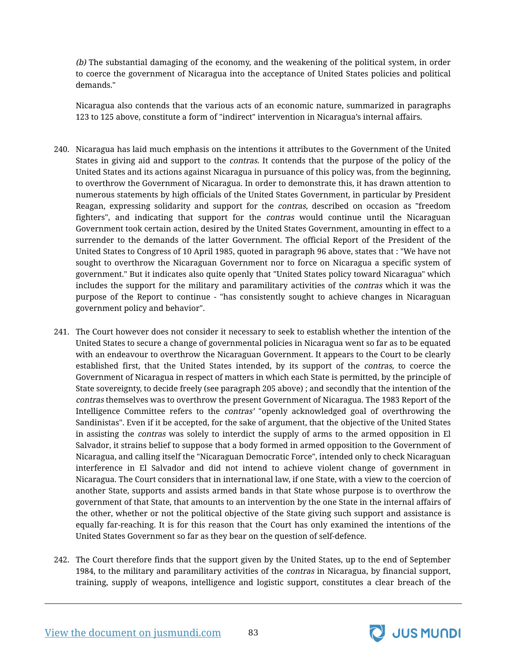(b) The substantial damaging of the economy, and the weakening of the political system, in order to coerce the government of Nicaragua into the acceptance of United States policies and political demands."

Nicaragua also contends that the various acts of an economic nature, summarized in paragraphs 123 to 125 above, constitute a form of "indirect" intervention in Nicaragua's internal affairs.

- 240. Nicaragua has laid much emphasis on the intentions it attributes to the Government of the United States in giving aid and support to the contras. It contends that the purpose of the policy of the United States and its actions against Nicaragua in pursuance of this policy was, from the beginning, to overthrow the Government of Nicaragua. In order to demonstrate this, it has drawn attention to numerous statements by high officials of the United States Government, in particular by President Reagan, expressing solidarity and support for the contras, described on occasion as "freedom fighters", and indicating that support for the *contras* would continue until the Nicaraguan Government took certain action, desired by the United States Government, amounting in effect to a surrender to the demands of the latter Government. The official Report of the President of the United States to Congress of 10 April 1985, quoted in paragraph 96 above, states that : "We have not sought to overthrow the Nicaraguan Government nor to force on Nicaragua a specific system of government." But it indicates also quite openly that "United States policy toward Nicaragua" which includes the support for the military and paramilitary activities of the contras which it was the purpose of the Report to continue - "has consistently sought to achieve changes in Nicaraguan government policy and behavior".
- 241. The Court however does not consider it necessary to seek to establish whether the intention of the United States to secure a change of governmental policies in Nicaragua went so far as to be equated with an endeavour to overthrow the Nicaraguan Government. It appears to the Court to be clearly established first, that the United States intended, by its support of the *contras*, to coerce the Government of Nicaragua in respect of matters in which each State is permitted, by the principle of State sovereignty, to decide freely (see paragraph 205 above) ; and secondly that the intention of the contras themselves was to overthrow the present Government of Nicaragua. The 1983 Report of the Intelligence Committee refers to the contras' "openly acknowledged goal of overthrowing the Sandinistas". Even if it be accepted, for the sake of argument, that the objective of the United States in assisting the contras was solely to interdict the supply of arms to the armed opposition in El Salvador, it strains belief to suppose that a body formed in armed opposition to the Government of Nicaragua, and calling itself the "Nicaraguan Democratic Force", intended only to check Nicaraguan interference in El Salvador and did not intend to achieve violent change of government in Nicaragua. The Court considers that in international law, if one State, with a view to the coercion of another State, supports and assists armed bands in that State whose purpose is to overthrow the government of that State, that amounts to an intervention by the one State in the internal affairs of the other, whether or not the political objective of the State giving such support and assistance is equally far-reaching. It is for this reason that the Court has only examined the intentions of the United States Government so far as they bear on the question of self-defence.
- 242. The Court therefore finds that the support given by the United States, up to the end of September 1984, to the military and paramilitary activities of the *contras* in Nicaragua, by financial support, training, supply of weapons, intelligence and logistic support, constitutes a clear breach of the

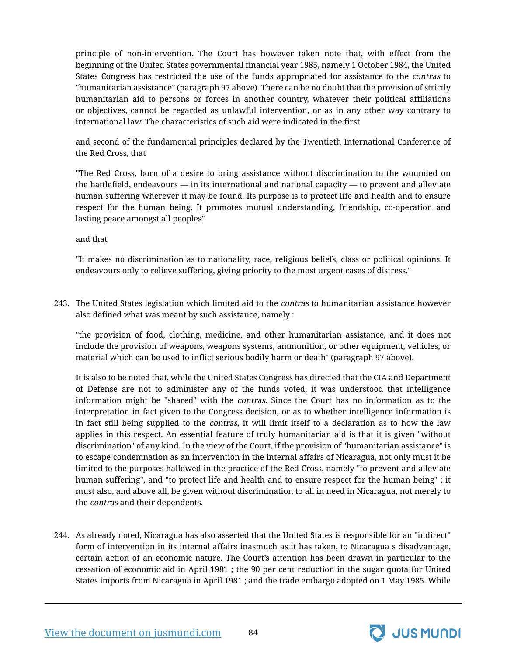principle of non-intervention. The Court has however taken note that, with effect from the beginning of the United States governmental financial year 1985, namely 1 October 1984, the United States Congress has restricted the use of the funds appropriated for assistance to the contras to "humanitarian assistance" (paragraph 97 above). There can be no doubt that the provision of strictly humanitarian aid to persons or forces in another country, whatever their political affiliations or objectives, cannot be regarded as unlawful intervention, or as in any other way contrary to international law. The characteristics of such aid were indicated in the first

and second of the fundamental principles declared by the Twentieth International Conference of the Red Cross, that

"The Red Cross, born of a desire to bring assistance without discrimination to the wounded on the battlefield, endeavours  $-$  in its international and national capacity  $-$  to prevent and alleviate human suffering wherever it may be found. Its purpose is to protect life and health and to ensure respect for the human being. It promotes mutual understanding, friendship, co-operation and lasting peace amongst all peoples"

and that

"It makes no discrimination as to nationality, race, religious beliefs, class or political opinions. It endeavours only to relieve suffering, giving priority to the most urgent cases of distress."

243. The United States legislation which limited aid to the *contras* to humanitarian assistance however also defined what was meant by such assistance, namely :

"the provision of food, clothing, medicine, and other humanitarian assistance, and it does not include the provision of weapons, weapons systems, ammunition, or other equipment, vehicles, or material which can be used to inflict serious bodily harm or death" (paragraph 97 above).

It is also to be noted that, while the United States Congress has directed that the CIA and Department of Defense are not to administer any of the funds voted, it was understood that intelligence information might be "shared" with the contras. Since the Court has no information as to the interpretation in fact given to the Congress decision, or as to whether intelligence information is in fact still being supplied to the *contras*, it will limit itself to a declaration as to how the law applies in this respect. An essential feature of truly humanitarian aid is that it is given "without discrimination" of any kind. In the view of the Court, if the provision of "humanitarian assistance" is to escape condemnation as an intervention in the internal affairs of Nicaragua, not only must it be limited to the purposes hallowed in the practice of the Red Cross, namely "to prevent and alleviate human suffering", and "to protect life and health and to ensure respect for the human being" ; it must also, and above all, be given without discrimination to all in need in Nicaragua, not merely to the contras and their dependents.

244. As already noted, Nicaragua has also asserted that the United States is responsible for an "indirect" form of intervention in its internal affairs inasmuch as it has taken, to Nicaragua s disadvantage, certain action of an economic nature. The Court's attention has been drawn in particular to the cessation of economic aid in April 1981 ; the 90 per cent reduction in the sugar quota for United States imports from Nicaragua in April 1981 ; and the trade embargo adopted on 1 May 1985. While

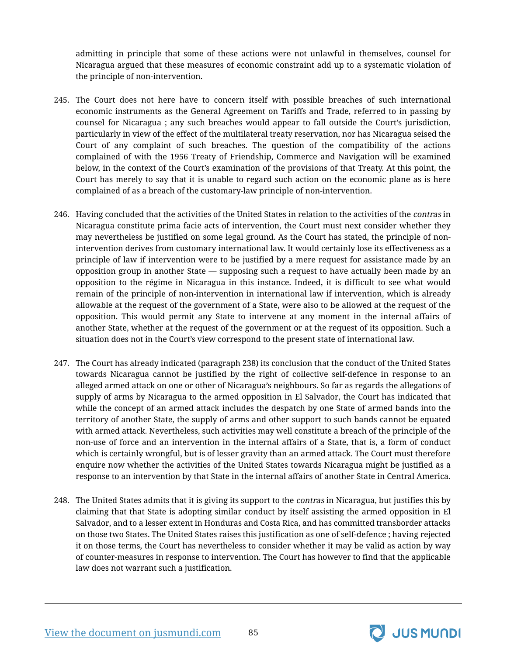admitting in principle that some of these actions were not unlawful in themselves, counsel for Nicaragua argued that these measures of economic constraint add up to a systematic violation of the principle of non-intervention.

- 245. The Court does not here have to concern itself with possible breaches of such international economic instruments as the General Agreement on Tariffs and Trade, referred to in passing by counsel for Nicaragua ; any such breaches would appear to fall outside the Court's jurisdiction, particularly in view of the effect of the multilateral treaty reservation, nor has Nicaragua seised the Court of any complaint of such breaches. The question of the compatibility of the actions complained of with the 1956 Treaty of Friendship, Commerce and Navigation will be examined below, in the context of the Court's examination of the provisions of that Treaty. At this point, the Court has merely to say that it is unable to regard such action on the economic plane as is here complained of as a breach of the customary-law principle of non-intervention.
- 246. Having concluded that the activities of the United States in relation to the activities of the *contras* in Nicaragua constitute prima facie acts of intervention, the Court must next consider whether they may nevertheless be justified on some legal ground. As the Court has stated, the principle of nonintervention derives from customary international law. It would certainly lose its effectiveness as a principle of law if intervention were to be justified by a mere request for assistance made by an opposition group in another State — supposing such a request to have actually been made by an opposition to the régime in Nicaragua in this instance. Indeed, it is difficult to see what would remain of the principle of non-intervention in international law if intervention, which is already allowable at the request of the government of a State, were also to be allowed at the request of the opposition. This would permit any State to intervene at any moment in the internal affairs of another State, whether at the request of the government or at the request of its opposition. Such a situation does not in the Court's view correspond to the present state of international law.
- 247. The Court has already indicated (paragraph 238) its conclusion that the conduct of the United States towards Nicaragua cannot be justified by the right of collective self-defence in response to an alleged armed attack on one or other of Nicaragua's neighbours. So far as regards the allegations of supply of arms by Nicaragua to the armed opposition in El Salvador, the Court has indicated that while the concept of an armed attack includes the despatch by one State of armed bands into the territory of another State, the supply of arms and other support to such bands cannot be equated with armed attack. Nevertheless, such activities may well constitute a breach of the principle of the non-use of force and an intervention in the internal affairs of a State, that is, a form of conduct which is certainly wrongful, but is of lesser gravity than an armed attack. The Court must therefore enquire now whether the activities of the United States towards Nicaragua might be justified as a response to an intervention by that State in the internal affairs of another State in Central America.
- 248. The United States admits that it is giving its support to the *contras* in Nicaragua, but justifies this by claiming that that State is adopting similar conduct by itself assisting the armed opposition in El Salvador, and to a lesser extent in Honduras and Costa Rica, and has committed transborder attacks on those two States. The United States raises this justification as one of self-defence ; having rejected it on those terms, the Court has nevertheless to consider whether it may be valid as action by way of counter-measures in response to intervention. The Court has however to find that the applicable law does not warrant such a justification.

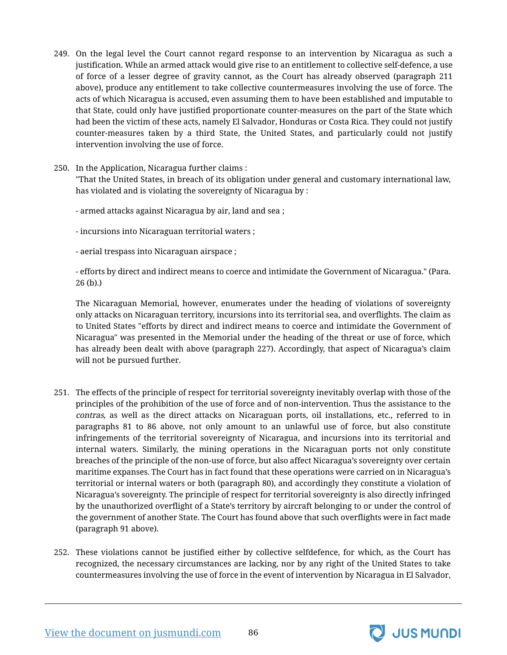- 249. On the legal level the Court cannot regard response to an intervention by Nicaragua as such a justification. While an armed attack would give rise to an entitlement to collective self-defence, a use of force of a lesser degree of gravity cannot, as the Court has already observed (paragraph 211 above), produce any entitlement to take collective countermeasures involving the use of force. The acts of which Nicaragua is accused, even assuming them to have been established and imputable to that State, could only have justified proportionate counter-measures on the part of the State which had been the victim of these acts, namely El Salvador, Honduras or Costa Rica. They could not justify counter-measures taken by a third State, the United States, and particularly could not justify intervention involving the use of force.
- 250. In the Application, Nicaragua further claims : "That the United States, in breach of its obligation under general and customary international law, has violated and is violating the sovereignty of Nicaragua by :
	- armed attacks against Nicaragua by air, land and sea ;
	- incursions into Nicaraguan territorial waters ;
	- aerial trespass into Nicaraguan airspace ;

- efforts by direct and indirect means to coerce and intimidate the Government of Nicaragua." (Para. 26 (b).)

The Nicaraguan Memorial, however, enumerates under the heading of violations of sovereignty only attacks on Nicaraguan territory, incursions into its territorial sea, and overflights. The claim as to United States "efforts by direct and indirect means to coerce and intimidate the Government of Nicaragua" was presented in the Memorial under the heading of the threat or use of force, which has already been dealt with above (paragraph 227). Accordingly, that aspect of Nicaragua's claim will not be pursued further.

- 251. The effects of the principle of respect for territorial sovereignty inevitably overlap with those of the principles of the prohibition of the use of force and of non-intervention. Thus the assistance to the contras, as well as the direct attacks on Nicaraguan ports, oil installations, etc., referred to in paragraphs 81 to 86 above, not only amount to an unlawful use of force, but also constitute infringements of the territorial sovereignty of Nicaragua, and incursions into its territorial and internal waters. Similarly, the mining operations in the Nicaraguan ports not only constitute breaches of the principle of the non-use of force, but also affect Nicaragua's sovereignty over certain maritime expanses. The Court has in fact found that these operations were carried on in Nicaragua's territorial or internal waters or both (paragraph 80), and accordingly they constitute a violation of Nicaragua's sovereignty. The principle of respect for territorial sovereignty is also directly infringed by the unauthorized overflight of a State's territory by aircraft belonging to or under the control of the government of another State. The Court has found above that such overflights were in fact made (paragraph 91 above).
- 252. These violations cannot be justified either by collective selfdefence, for which, as the Court has recognized, the necessary circumstances are lacking, nor by any right of the United States to take countermeasures involving the use of force in the event of intervention by Nicaragua in El Salvador,

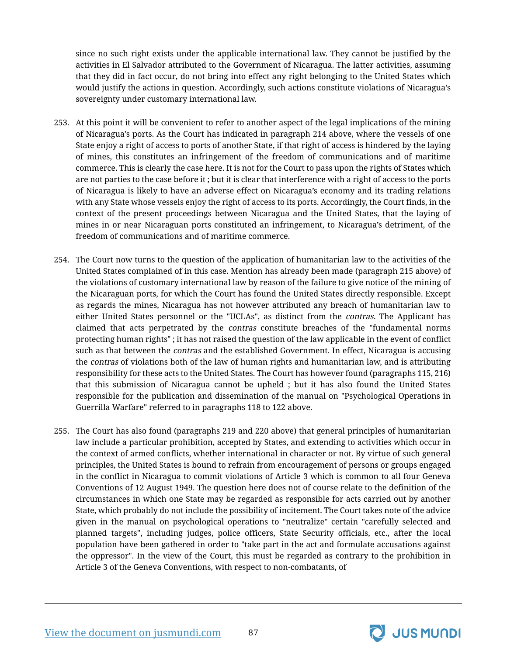since no such right exists under the applicable international law. They cannot be justified by the activities in El Salvador attributed to the Government of Nicaragua. The latter activities, assuming that they did in fact occur, do not bring into effect any right belonging to the United States which would justify the actions in question. Accordingly, such actions constitute violations of Nicaragua's sovereignty under customary international law.

- 253. At this point it will be convenient to refer to another aspect of the legal implications of the mining of Nicaragua's ports. As the Court has indicated in paragraph 214 above, where the vessels of one State enjoy a right of access to ports of another State, if that right of access is hindered by the laying of mines, this constitutes an infringement of the freedom of communications and of maritime commerce. This is clearly the case here. It is not for the Court to pass upon the rights of States which are not parties to the case before it ; but it is clear that interference with a right of access to the ports of Nicaragua is likely to have an adverse effect on Nicaragua's economy and its trading relations with any State whose vessels enjoy the right of access to its ports. Accordingly, the Court finds, in the context of the present proceedings between Nicaragua and the United States, that the laying of mines in or near Nicaraguan ports constituted an infringement, to Nicaragua's detriment, of the freedom of communications and of maritime commerce.
- 254. The Court now turns to the question of the application of humanitarian law to the activities of the United States complained of in this case. Mention has already been made (paragraph 215 above) of the violations of customary international law by reason of the failure to give notice of the mining of the Nicaraguan ports, for which the Court has found the United States directly responsible. Except as regards the mines, Nicaragua has not however attributed any breach of humanitarian law to either United States personnel or the "UCLAs", as distinct from the *contras*. The Applicant has claimed that acts perpetrated by the *contras* constitute breaches of the "fundamental norms protecting human rights" ; it has not raised the question of the law applicable in the event of conflict such as that between the *contras* and the established Government. In effect, Nicaragua is accusing the *contras* of violations both of the law of human rights and humanitarian law, and is attributing responsibility for these acts to the United States. The Court has however found (paragraphs 115, 216) that this submission of Nicaragua cannot be upheld ; but it has also found the United States responsible for the publication and dissemination of the manual on "Psychological Operations in Guerrilla Warfare" referred to in paragraphs 118 to 122 above.
- 255. The Court has also found (paragraphs 219 and 220 above) that general principles of humanitarian law include a particular prohibition, accepted by States, and extending to activities which occur in the context of armed conflicts, whether international in character or not. By virtue of such general principles, the United States is bound to refrain from encouragement of persons or groups engaged in the conflict in Nicaragua to commit violations of Article 3 which is common to all four Geneva Conventions of 12 August 1949. The question here does not of course relate to the definition of the circumstances in which one State may be regarded as responsible for acts carried out by another State, which probably do not include the possibility of incitement. The Court takes note of the advice given in the manual on psychological operations to "neutralize" certain "carefully selected and planned targets", including judges, police officers, State Security officials, etc., after the local population have been gathered in order to "take part in the act and formulate accusations against the oppressor". In the view of the Court, this must be regarded as contrary to the prohibition in Article 3 of the Geneva Conventions, with respect to non-combatants, of



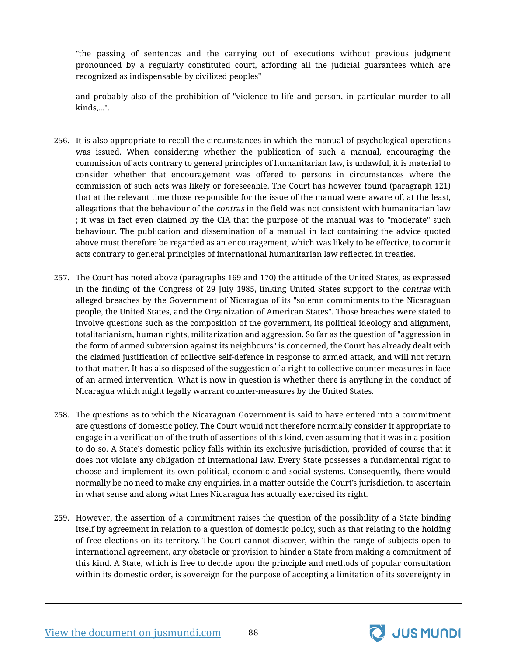"the passing of sentences and the carrying out of executions without previous judgment pronounced by a regularly constituted court, affording all the judicial guarantees which are recognized as indispensable by civilized peoples"

and probably also of the prohibition of "violence to life and person, in particular murder to all kinds,...".

- 256. It is also appropriate to recall the circumstances in which the manual of psychological operations was issued. When considering whether the publication of such a manual, encouraging the commission of acts contrary to general principles of humanitarian law, is unlawful, it is material to consider whether that encouragement was offered to persons in circumstances where the commission of such acts was likely or foreseeable. The Court has however found (paragraph 121) that at the relevant time those responsible for the issue of the manual were aware of, at the least, allegations that the behaviour of the contras in the field was not consistent with humanitarian law ; it was in fact even claimed by the CIA that the purpose of the manual was to "moderate" such behaviour. The publication and dissemination of a manual in fact containing the advice quoted above must therefore be regarded as an encouragement, which was likely to be effective, to commit acts contrary to general principles of international humanitarian law reflected in treaties.
- 257. The Court has noted above (paragraphs 169 and 170) the attitude of the United States, as expressed in the finding of the Congress of 29 July 1985, linking United States support to the contras with alleged breaches by the Government of Nicaragua of its "solemn commitments to the Nicaraguan people, the United States, and the Organization of American States". Those breaches were stated to involve questions such as the composition of the government, its political ideology and alignment, totalitarianism, human rights, militarization and aggression. So far as the question of "aggression in the form of armed subversion against its neighbours" is concerned, the Court has already dealt with the claimed justification of collective self-defence in response to armed attack, and will not return to that matter. It has also disposed of the suggestion of a right to collective counter-measures in face of an armed intervention. What is now in question is whether there is anything in the conduct of Nicaragua which might legally warrant counter-measures by the United States.
- 258. The questions as to which the Nicaraguan Government is said to have entered into a commitment are questions of domestic policy. The Court would not therefore normally consider it appropriate to engage in a verification of the truth of assertions of this kind, even assuming that it was in a position to do so. A State's domestic policy falls within its exclusive jurisdiction, provided of course that it does not violate any obligation of international law. Every State possesses a fundamental right to choose and implement its own political, economic and social systems. Consequently, there would normally be no need to make any enquiries, in a matter outside the Court's jurisdiction, to ascertain in what sense and along what lines Nicaragua has actually exercised its right.
- 259. However, the assertion of a commitment raises the question of the possibility of a State binding itself by agreement in relation to a question of domestic policy, such as that relating to the holding of free elections on its territory. The Court cannot discover, within the range of subjects open to international agreement, any obstacle or provision to hinder a State from making a commitment of this kind. A State, which is free to decide upon the principle and methods of popular consultation within its domestic order, is sovereign for the purpose of accepting a limitation of its sovereignty in

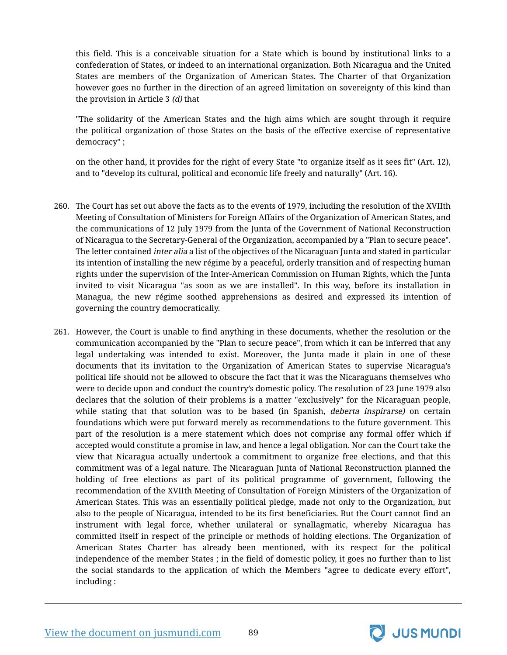this field. This is a conceivable situation for a State which is bound by institutional links to a confederation of States, or indeed to an international organization. Both Nicaragua and the United States are members of the Organization of American States. The Charter of that Organization however goes no further in the direction of an agreed limitation on sovereignty of this kind than the provision in Article 3 (d) that

"The solidarity of the American States and the high aims which are sought through it require the political organization of those States on the basis of the effective exercise of representative democracy" ;

on the other hand, it provides for the right of every State "to organize itself as it sees fit" (Art. 12), and to "develop its cultural, political and economic life freely and naturally" (Art. 16).

- 260. The Court has set out above the facts as to the events of 1979, including the resolution of the XVIIth Meeting of Consultation of Ministers for Foreign Affairs of the Organization of American States, and the communications of 12 July 1979 from the Junta of the Government of National Reconstruction of Nicaragua to the Secretary-General of the Organization, accompanied by a "Plan to secure peace". The letter contained *inter alia* a list of the objectives of the Nicaraguan Junta and stated in particular its intention of installing the new régime by a peaceful, orderly transition and of respecting human rights under the supervision of the Inter-American Commission on Human Rights, which the Junta invited to visit Nicaragua "as soon as we are installed". In this way, before its installation in Managua, the new régime soothed apprehensions as desired and expressed its intention of governing the country democratically.
- 261. However, the Court is unable to find anything in these documents, whether the resolution or the communication accompanied by the "Plan to secure peace", from which it can be inferred that any legal undertaking was intended to exist. Moreover, the Junta made it plain in one of these documents that its invitation to the Organization of American States to supervise Nicaragua's political life should not be allowed to obscure the fact that it was the Nicaraguans themselves who were to decide upon and conduct the country's domestic policy. The resolution of 23 June 1979 also declares that the solution of their problems is a matter "exclusively" for the Nicaraguan people, while stating that that solution was to be based (in Spanish, *deberta inspirarse*) on certain foundations which were put forward merely as recommendations to the future government. This part of the resolution is a mere statement which does not comprise any formal offer which if accepted would constitute a promise in law, and hence a legal obligation. Nor can the Court take the view that Nicaragua actually undertook a commitment to organize free elections, and that this commitment was of a legal nature. The Nicaraguan Junta of National Reconstruction planned the holding of free elections as part of its political programme of government, following the recommendation of the XVIIth Meeting of Consultation of Foreign Ministers of the Organization of American States. This was an essentially political pledge, made not only to the Organization, but also to the people of Nicaragua, intended to be its first beneficiaries. But the Court cannot find an instrument with legal force, whether unilateral or synallagmatic, whereby Nicaragua has committed itself in respect of the principle or methods of holding elections. The Organization of American States Charter has already been mentioned, with its respect for the political independence of the member States ; in the field of domestic policy, it goes no further than to list the social standards to the application of which the Members "agree to dedicate every effort", including :

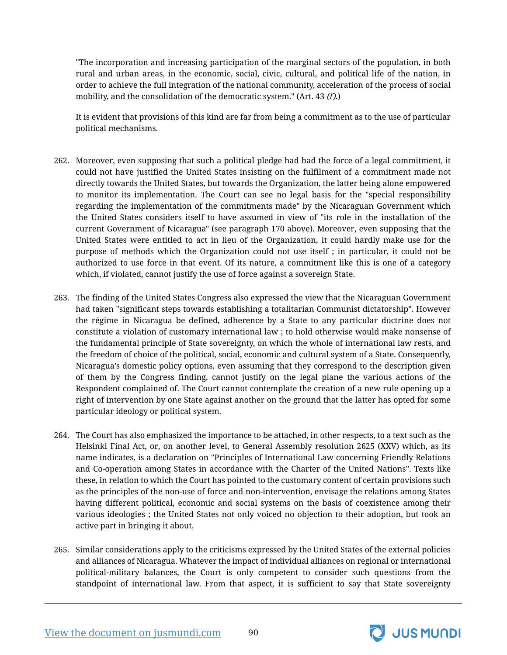"The incorporation and increasing participation of the marginal sectors of the population, in both rural and urban areas, in the economic, social, civic, cultural, and political life of the nation, in order to achieve the full integration of the national community, acceleration of the process of social mobility, and the consolidation of the democratic system." (Art. 43 (f).)

It is evident that provisions of this kind are far from being a commitment as to the use of particular political mechanisms.

- 262. Moreover, even supposing that such a political pledge had had the force of a legal commitment, it could not have justified the United States insisting on the fulfilment of a commitment made not directly towards the United States, but towards the Organization, the latter being alone empowered to monitor its implementation. The Court can see no legal basis for the "special responsibility regarding the implementation of the commitments made" by the Nicaraguan Government which the United States considers itself to have assumed in view of "its role in the installation of the current Government of Nicaragua" (see paragraph 170 above). Moreover, even supposing that the United States were entitled to act in lieu of the Organization, it could hardly make use for the purpose of methods which the Organization could not use itself ; in particular, it could not be authorized to use force in that event. Of its nature, a commitment like this is one of a category which, if violated, cannot justify the use of force against a sovereign State.
- 263. The finding of the United States Congress also expressed the view that the Nicaraguan Government had taken "significant steps towards establishing a totalitarian Communist dictatorship". However the régime in Nicaragua be defined, adherence by a State to any particular doctrine does not constitute a violation of customary international law ; to hold otherwise would make nonsense of the fundamental principle of State sovereignty, on which the whole of international law rests, and the freedom of choice of the political, social, economic and cultural system of a State. Consequently, Nicaragua's domestic policy options, even assuming that they correspond to the description given of them by the Congress finding, cannot justify on the legal plane the various actions of the Respondent complained of. The Court cannot contemplate the creation of a new rule opening up a right of intervention by one State against another on the ground that the latter has opted for some particular ideology or political system.
- 264. The Court has also emphasized the importance to be attached, in other respects, to a text such as the Helsinki Final Act, or, on another level, to General Assembly resolution 2625 (XXV) which, as its name indicates, is a declaration on "Principles of International Law concerning Friendly Relations and Co-operation among States in accordance with the Charter of the United Nations". Texts like these, in relation to which the Court has pointed to the customary content of certain provisions such as the principles of the non-use of force and non-intervention, envisage the relations among States having different political, economic and social systems on the basis of coexistence among their various ideologies ; the United States not only voiced no objection to their adoption, but took an active part in bringing it about.
- 265. Similar considerations apply to the criticisms expressed by the United States of the external policies and alliances of Nicaragua. Whatever the impact of individual alliances on regional or international political-military balances, the Court is only competent to consider such questions from the standpoint of international law. From that aspect, it is sufficient to say that State sovereignty

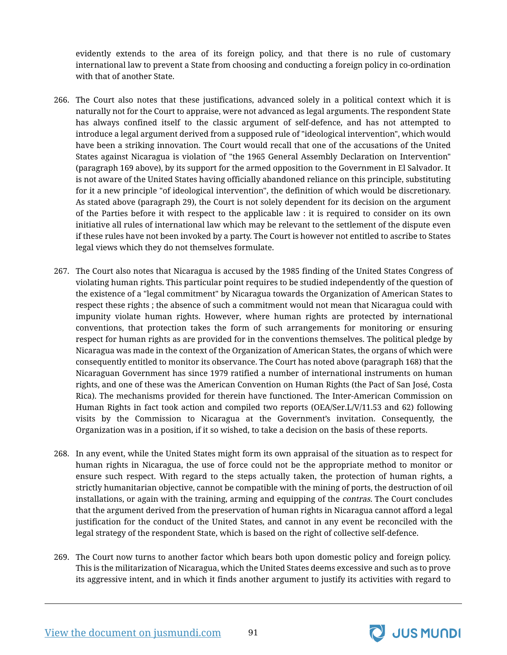evidently extends to the area of its foreign policy, and that there is no rule of customary international law to prevent a State from choosing and conducting a foreign policy in co-ordination with that of another State.

- 266. The Court also notes that these justifications, advanced solely in a political context which it is naturally not for the Court to appraise, were not advanced as legal arguments. The respondent State has always confined itself to the classic argument of self-defence, and has not attempted to introduce a legal argument derived from a supposed rule of "ideological intervention", which would have been a striking innovation. The Court would recall that one of the accusations of the United States against Nicaragua is violation of "the 1965 General Assembly Declaration on Intervention" (paragraph 169 above), by its support for the armed opposition to the Government in El Salvador. It is not aware of the United States having officially abandoned reliance on this principle, substituting for it a new principle "of ideological intervention", the definition of which would be discretionary. As stated above (paragraph 29), the Court is not solely dependent for its decision on the argument of the Parties before it with respect to the applicable law : it is required to consider on its own initiative all rules of international law which may be relevant to the settlement of the dispute even if these rules have not been invoked by a party. The Court is however not entitled to ascribe to States legal views which they do not themselves formulate.
- 267. The Court also notes that Nicaragua is accused by the 1985 finding of the United States Congress of violating human rights. This particular point requires to be studied independently of the question of the existence of a "legal commitment" by Nicaragua towards the Organization of American States to respect these rights ; the absence of such a commitment would not mean that Nicaragua could with impunity violate human rights. However, where human rights are protected by international conventions, that protection takes the form of such arrangements for monitoring or ensuring respect for human rights as are provided for in the conventions themselves. The political pledge by Nicaragua was made in the context of the Organization of American States, the organs of which were consequently entitled to monitor its observance. The Court has noted above (paragraph 168) that the Nicaraguan Government has since 1979 ratified a number of international instruments on human rights, and one of these was the American Convention on Human Rights (the Pact of San José, Costa Rica). The mechanisms provided for therein have functioned. The Inter-American Commission on Human Rights in fact took action and compiled two reports (OEA/Ser.L/V/11.53 and 62) following visits by the Commission to Nicaragua at the Government's invitation. Consequently, the Organization was in a position, if it so wished, to take a decision on the basis of these reports.
- 268. In any event, while the United States might form its own appraisal of the situation as to respect for human rights in Nicaragua, the use of force could not be the appropriate method to monitor or ensure such respect. With regard to the steps actually taken, the protection of human rights, a strictly humanitarian objective, cannot be compatible with the mining of ports, the destruction of oil installations, or again with the training, arming and equipping of the *contras*. The Court concludes that the argument derived from the preservation of human rights in Nicaragua cannot afford a legal justification for the conduct of the United States, and cannot in any event be reconciled with the legal strategy of the respondent State, which is based on the right of collective self-defence.
- 269. The Court now turns to another factor which bears both upon domestic policy and foreign policy. This is the militarization of Nicaragua, which the United States deems excessive and such as to prove its aggressive intent, and in which it finds another argument to justify its activities with regard to

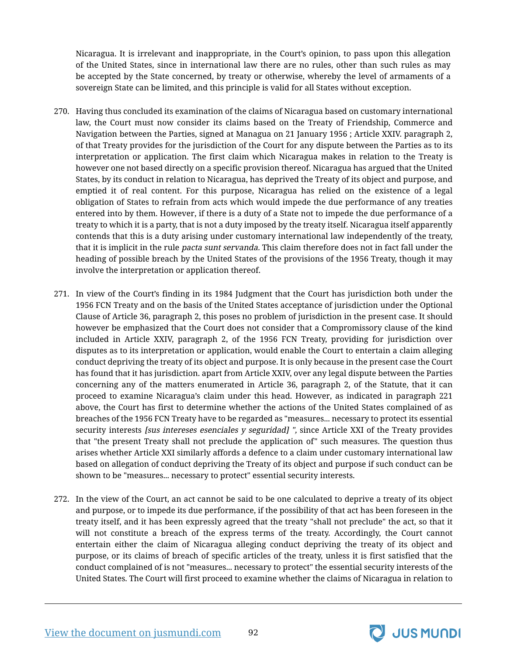Nicaragua. It is irrelevant and inappropriate, in the Court's opinion, to pass upon this allegation of the United States, since in international law there are no rules, other than such rules as may be accepted by the State concerned, by treaty or otherwise, whereby the level of armaments of a sovereign State can be limited, and this principle is valid for all States without exception.

- 270. Having thus concluded its examination of the claims of Nicaragua based on customary international law, the Court must now consider its claims based on the Treaty of Friendship, Commerce and Navigation between the Parties, signed at Managua on 21 January 1956 ; Article XXIV. paragraph 2, of that Treaty provides for the jurisdiction of the Court for any dispute between the Parties as to its interpretation or application. The first claim which Nicaragua makes in relation to the Treaty is however one not based directly on a specific provision thereof. Nicaragua has argued that the United States, by its conduct in relation to Nicaragua, has deprived the Treaty of its object and purpose, and emptied it of real content. For this purpose, Nicaragua has relied on the existence of a legal obligation of States to refrain from acts which would impede the due performance of any treaties entered into by them. However, if there is a duty of a State not to impede the due performance of a treaty to which it is a party, that is not a duty imposed by the treaty itself. Nicaragua itself apparently contends that this is a duty arising under customary international law independently of the treaty, that it is implicit in the rule pacta sunt servanda. This claim therefore does not in fact fall under the heading of possible breach by the United States of the provisions of the 1956 Treaty, though it may involve the interpretation or application thereof.
- 271. In view of the Court's finding in its 1984 Judgment that the Court has jurisdiction both under the 1956 FCN Treaty and on the basis of the United States acceptance of jurisdiction under the Optional Clause of Article 36, paragraph 2, this poses no problem of jurisdiction in the present case. It should however be emphasized that the Court does not consider that a Compromissory clause of the kind included in Article XXIV, paragraph 2, of the 1956 FCN Treaty, providing for jurisdiction over disputes as to its interpretation or application, would enable the Court to entertain a claim alleging conduct depriving the treaty of its object and purpose. It is only because in the present case the Court has found that it has jurisdiction. apart from Article XXIV, over any legal dispute between the Parties concerning any of the matters enumerated in Article 36, paragraph 2, of the Statute, that it can proceed to examine Nicaragua's claim under this head. However, as indicated in paragraph 221 above, the Court has first to determine whether the actions of the United States complained of as breaches of the 1956 FCN Treaty have to be regarded as "measures... necessary to protect its essential security interests *[sus intereses esenciales y seguridad]* ", since Article XXI of the Treaty provides that "the present Treaty shall not preclude the application of" such measures. The question thus arises whether Article XXI similarly affords a defence to a claim under customary international law based on allegation of conduct depriving the Treaty of its object and purpose if such conduct can be shown to be "measures... necessary to protect" essential security interests.
- 272. In the view of the Court, an act cannot be said to be one calculated to deprive a treaty of its object and purpose, or to impede its due performance, if the possibility of that act has been foreseen in the treaty itself, and it has been expressly agreed that the treaty "shall not preclude" the act, so that it will not constitute a breach of the express terms of the treaty. Accordingly, the Court cannot entertain either the claim of Nicaragua alleging conduct depriving the treaty of its object and purpose, or its claims of breach of specific articles of the treaty, unless it is first satisfied that the conduct complained of is not "measures... necessary to protect" the essential security interests of the United States. The Court will first proceed to examine whether the claims of Nicaragua in relation to



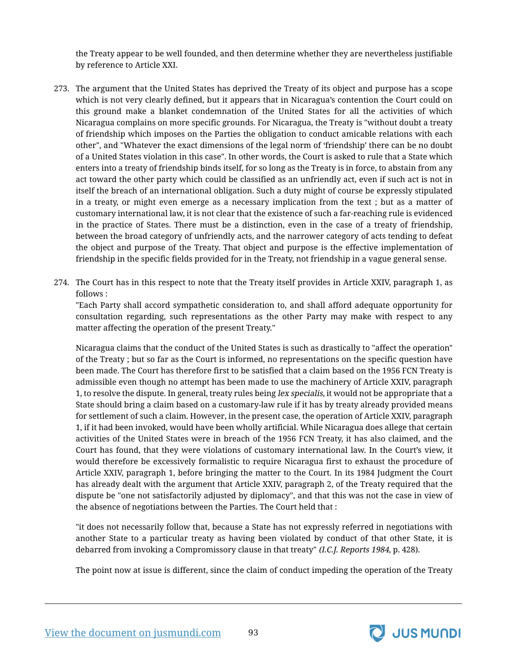the Treaty appear to be well founded, and then determine whether they are nevertheless justifiable by reference to Article XXI.

- 273. The argument that the United States has deprived the Treaty of its object and purpose has a scope which is not very clearly defined, but it appears that in Nicaragua's contention the Court could on this ground make a blanket condemnation of the United States for all the activities of which Nicaragua complains on more specific grounds. For Nicaragua, the Treaty is "without doubt a treaty of friendship which imposes on the Parties the obligation to conduct amicable relations with each other", and "Whatever the exact dimensions of the legal norm of 'friendship' there can be no doubt of a United States violation in this case". In other words, the Court is asked to rule that a State which enters into a treaty of friendship binds itself, for so long as the Treaty is in force, to abstain from any act toward the other party which could be classified as an unfriendly act, even if such act is not in itself the breach of an international obligation. Such a duty might of course be expressly stipulated in a treaty, or might even emerge as a necessary implication from the text ; but as a matter of customary international law, it is not clear that the existence of such a far-reaching rule is evidenced in the practice of States. There must be a distinction, even in the case of a treaty of friendship, between the broad category of unfriendly acts, and the narrower category of acts tending to defeat the object and purpose of the Treaty. That object and purpose is the effective implementation of friendship in the specific fields provided for in the Treaty, not friendship in a vague general sense.
- 274. The Court has in this respect to note that the Treaty itself provides in Article XXIV, paragraph 1, as follows :

"Each Party shall accord sympathetic consideration to, and shall afford adequate opportunity for consultation regarding, such representations as the other Party may make with respect to any matter affecting the operation of the present Treaty."

Nicaragua claims that the conduct of the United States is such as drastically to "affect the operation" of the Treaty ; but so far as the Court is informed, no representations on the specific question have been made. The Court has therefore first to be satisfied that a claim based on the 1956 FCN Treaty is admissible even though no attempt has been made to use the machinery of Article XXIV, paragraph 1, to resolve the dispute. In general, treaty rules being lex specialis, it would not be appropriate that a State should bring a claim based on a customary-law rule if it has by treaty already provided means for settlement of such a claim. However, in the present case, the operation of Article XXIV, paragraph 1, if it had been invoked, would have been wholly artificial. While Nicaragua does allege that certain activities of the United States were in breach of the 1956 FCN Treaty, it has also claimed, and the Court has found, that they were violations of customary international law. In the Court's view, it would therefore be excessively formalistic to require Nicaragua first to exhaust the procedure of Article XXIV, paragraph 1, before bringing the matter to the Court. In its 1984 Judgment the Court has already dealt with the argument that Article XXIV, paragraph 2, of the Treaty required that the dispute be "one not satisfactorily adjusted by diplomacy", and that this was not the case in view of the absence of negotiations between the Parties. The Court held that :

"it does not necessarily follow that, because a State has not expressly referred in negotiations with another State to a particular treaty as having been violated by conduct of that other State, it is debarred from invoking a Compromissory clause in that treaty" (I.C.J. Reports 1984, p. 428).

The point now at issue is different, since the claim of conduct impeding the operation of the Treaty

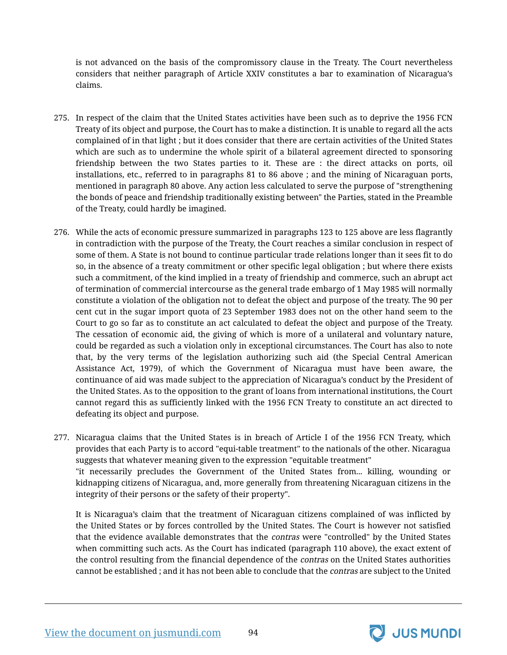is not advanced on the basis of the compromissory clause in the Treaty. The Court nevertheless considers that neither paragraph of Article XXIV constitutes a bar to examination of Nicaragua's claims.

- 275. In respect of the claim that the United States activities have been such as to deprive the 1956 FCN Treaty of its object and purpose, the Court has to make a distinction. It is unable to regard all the acts complained of in that light ; but it does consider that there are certain activities of the United States which are such as to undermine the whole spirit of a bilateral agreement directed to sponsoring friendship between the two States parties to it. These are : the direct attacks on ports, oil installations, etc., referred to in paragraphs 81 to 86 above ; and the mining of Nicaraguan ports, mentioned in paragraph 80 above. Any action less calculated to serve the purpose of "strengthening the bonds of peace and friendship traditionally existing between" the Parties, stated in the Preamble of the Treaty, could hardly be imagined.
- 276. While the acts of economic pressure summarized in paragraphs 123 to 125 above are less flagrantly in contradiction with the purpose of the Treaty, the Court reaches a similar conclusion in respect of some of them. A State is not bound to continue particular trade relations longer than it sees fit to do so, in the absence of a treaty commitment or other specific legal obligation ; but where there exists such a commitment, of the kind implied in a treaty of friendship and commerce, such an abrupt act of termination of commercial intercourse as the general trade embargo of 1 May 1985 will normally constitute a violation of the obligation not to defeat the object and purpose of the treaty. The 90 per cent cut in the sugar import quota of 23 September 1983 does not on the other hand seem to the Court to go so far as to constitute an act calculated to defeat the object and purpose of the Treaty. The cessation of economic aid, the giving of which is more of a unilateral and voluntary nature, could be regarded as such a violation only in exceptional circumstances. The Court has also to note that, by the very terms of the legislation authorizing such aid (the Special Central American Assistance Act, 1979), of which the Government of Nicaragua must have been aware, the continuance of aid was made subject to the appreciation of Nicaragua's conduct by the President of the United States. As to the opposition to the grant of loans from international institutions, the Court cannot regard this as sufficiently linked with the 1956 FCN Treaty to constitute an act directed to defeating its object and purpose.
- 277. Nicaragua claims that the United States is in breach of Article I of the 1956 FCN Treaty, which provides that each Party is to accord "equi-table treatment" to the nationals of the other. Nicaragua suggests that whatever meaning given to the expression "equitable treatment" "it necessarily precludes the Government of the United States from... killing, wounding or kidnapping citizens of Nicaragua, and, more generally from threatening Nicaraguan citizens in the integrity of their persons or the safety of their property".

It is Nicaragua's claim that the treatment of Nicaraguan citizens complained of was inflicted by the United States or by forces controlled by the United States. The Court is however not satisfied that the evidence available demonstrates that the *contras* were "controlled" by the United States when committing such acts. As the Court has indicated (paragraph 110 above), the exact extent of the control resulting from the financial dependence of the *contras* on the United States authorities cannot be established; and it has not been able to conclude that the *contras* are subject to the United



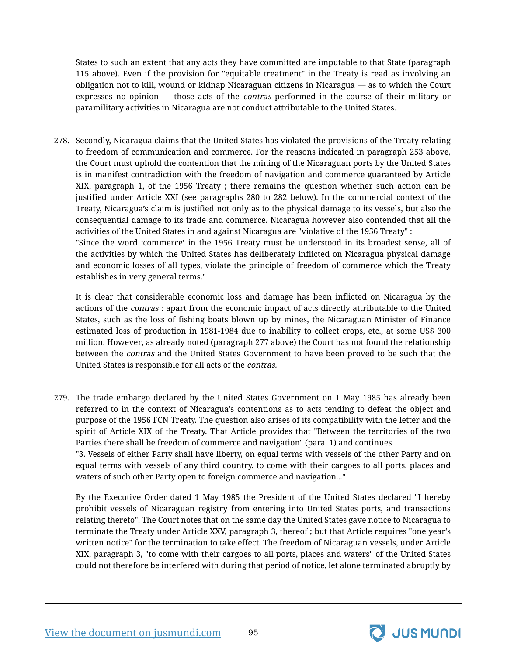States to such an extent that any acts they have committed are imputable to that State (paragraph 115 above). Even if the provision for "equitable treatment" in the Treaty is read as involving an obligation not to kill, wound or kidnap Nicaraguan citizens in Nicaragua — as to which the Court expresses no opinion - those acts of the *contras* performed in the course of their military or paramilitary activities in Nicaragua are not conduct attributable to the United States.

278. Secondly, Nicaragua claims that the United States has violated the provisions of the Treaty relating to freedom of communication and commerce. For the reasons indicated in paragraph 253 above, the Court must uphold the contention that the mining of the Nicaraguan ports by the United States is in manifest contradiction with the freedom of navigation and commerce guaranteed by Article XIX, paragraph 1, of the 1956 Treaty ; there remains the question whether such action can be justified under Article XXI (see paragraphs 280 to 282 below). In the commercial context of the Treaty, Nicaragua's claim is justified not only as to the physical damage to its vessels, but also the consequential damage to its trade and commerce. Nicaragua however also contended that all the activities of the United States in and against Nicaragua are "violative of the 1956 Treaty" : "Since the word 'commerce' in the 1956 Treaty must be understood in its broadest sense, all of

the activities by which the United States has deliberately inflicted on Nicaragua physical damage and economic losses of all types, violate the principle of freedom of commerce which the Treaty establishes in very general terms."

It is clear that considerable economic loss and damage has been inflicted on Nicaragua by the actions of the contras : apart from the economic impact of acts directly attributable to the United States, such as the loss of fishing boats blown up by mines, the Nicaraguan Minister of Finance estimated loss of production in 1981-1984 due to inability to collect crops, etc., at some US\$ 300 million. However, as already noted (paragraph 277 above) the Court has not found the relationship between the contras and the United States Government to have been proved to be such that the United States is responsible for all acts of the contras.

279. The trade embargo declared by the United States Government on 1 May 1985 has already been referred to in the context of Nicaragua's contentions as to acts tending to defeat the object and purpose of the 1956 FCN Treaty. The question also arises of its compatibility with the letter and the spirit of Article XIX of the Treaty. That Article provides that "Between the territories of the two Parties there shall be freedom of commerce and navigation" (para. 1) and continues "3. Vessels of either Party shall have liberty, on equal terms with vessels of the other Party and on equal terms with vessels of any third country, to come with their cargoes to all ports, places and waters of such other Party open to foreign commerce and navigation..."

By the Executive Order dated 1 May 1985 the President of the United States declared "I hereby prohibit vessels of Nicaraguan registry from entering into United States ports, and transactions relating thereto". The Court notes that on the same day the United States gave notice to Nicaragua to terminate the Treaty under Article XXV, paragraph 3, thereof ; but that Article requires "one year's written notice" for the termination to take effect. The freedom of Nicaraguan vessels, under Article XIX, paragraph 3, "to come with their cargoes to all ports, places and waters" of the United States could not therefore be interfered with during that period of notice, let alone terminated abruptly by

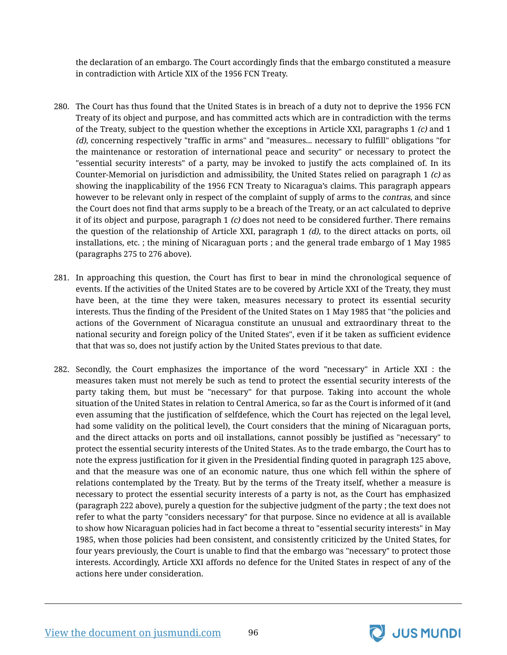the declaration of an embargo. The Court accordingly finds that the embargo constituted a measure in contradiction with Article XIX of the 1956 FCN Treaty.

- 280. The Court has thus found that the United States is in breach of a duty not to deprive the 1956 FCN Treaty of its object and purpose, and has committed acts which are in contradiction with the terms of the Treaty, subject to the question whether the exceptions in Article XXI, paragraphs 1 (c) and 1 (d), concerning respectively "traffic in arms" and "measures... necessary to fulfill" obligations "for the maintenance or restoration of international peace and security" or necessary to protect the "essential security interests" of a party, may be invoked to justify the acts complained of. In its Counter-Memorial on jurisdiction and admissibility, the United States relied on paragraph 1 (c) as showing the inapplicability of the 1956 FCN Treaty to Nicaragua's claims. This paragraph appears however to be relevant only in respect of the complaint of supply of arms to the *contras*, and since the Court does not find that arms supply to be a breach of the Treaty, or an act calculated to deprive it of its object and purpose, paragraph  $1$  (c) does not need to be considered further. There remains the question of the relationship of Article XXI, paragraph  $1$  (d), to the direct attacks on ports, oil installations, etc. ; the mining of Nicaraguan ports ; and the general trade embargo of 1 May 1985 (paragraphs 275 to 276 above).
- 281. In approaching this question, the Court has first to bear in mind the chronological sequence of events. If the activities of the United States are to be covered by Article XXI of the Treaty, they must have been, at the time they were taken, measures necessary to protect its essential security interests. Thus the finding of the President of the United States on 1 May 1985 that "the policies and actions of the Government of Nicaragua constitute an unusual and extraordinary threat to the national security and foreign policy of the United States", even if it be taken as sufficient evidence that that was so, does not justify action by the United States previous to that date.
- 282. Secondly, the Court emphasizes the importance of the word "necessary" in Article XXI : the measures taken must not merely be such as tend to protect the essential security interests of the party taking them, but must be "necessary" for that purpose. Taking into account the whole situation of the United States in relation to Central America, so far as the Court is informed of it (and even assuming that the justification of selfdefence, which the Court has rejected on the legal level, had some validity on the political level), the Court considers that the mining of Nicaraguan ports, and the direct attacks on ports and oil installations, cannot possibly be justified as "necessary" to protect the essential security interests of the United States. As to the trade embargo, the Court has to note the express justification for it given in the Presidential finding quoted in paragraph 125 above, and that the measure was one of an economic nature, thus one which fell within the sphere of relations contemplated by the Treaty. But by the terms of the Treaty itself, whether a measure is necessary to protect the essential security interests of a party is not, as the Court has emphasized (paragraph 222 above), purely a question for the subjective judgment of the party ; the text does not refer to what the party "considers necessary" for that purpose. Since no evidence at all is available to show how Nicaraguan policies had in fact become a threat to "essential security interests" in May 1985, when those policies had been consistent, and consistently criticized by the United States, for four years previously, the Court is unable to find that the embargo was "necessary" to protect those interests. Accordingly, Article XXI affords no defence for the United States in respect of any of the actions here under consideration.

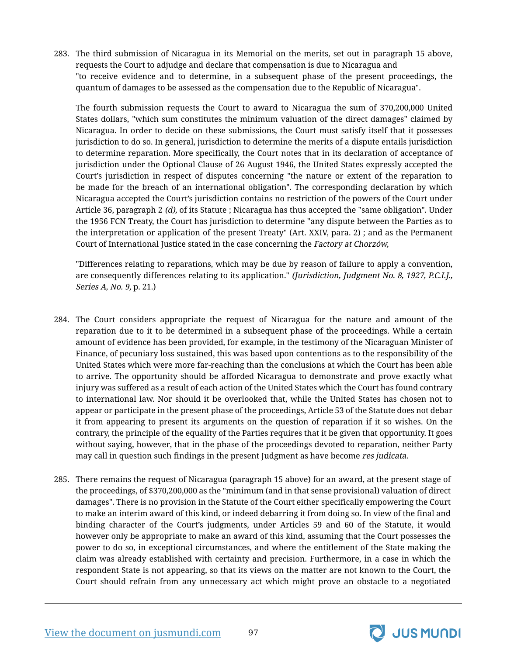283. The third submission of Nicaragua in its Memorial on the merits, set out in paragraph 15 above, requests the Court to adjudge and declare that compensation is due to Nicaragua and "to receive evidence and to determine, in a subsequent phase of the present proceedings, the quantum of damages to be assessed as the compensation due to the Republic of Nicaragua".

The fourth submission requests the Court to award to Nicaragua the sum of 370,200,000 United States dollars, "which sum constitutes the minimum valuation of the direct damages" claimed by Nicaragua. In order to decide on these submissions, the Court must satisfy itself that it possesses jurisdiction to do so. In general, jurisdiction to determine the merits of a dispute entails jurisdiction to determine reparation. More specifically, the Court notes that in its declaration of acceptance of jurisdiction under the Optional Clause of 26 August 1946, the United States expressly accepted the Court's jurisdiction in respect of disputes concerning "the nature or extent of the reparation to be made for the breach of an international obligation". The corresponding declaration by which Nicaragua accepted the Court's jurisdiction contains no restriction of the powers of the Court under Article 36, paragraph 2 (d), of its Statute ; Nicaragua has thus accepted the "same obligation". Under the 1956 FCN Treaty, the Court has jurisdiction to determine "any dispute between the Parties as to the interpretation or application of the present Treaty" (Art. XXIV, para. 2) ; and as the Permanent Court of International Justice stated in the case concerning the Factory at Chorzów,

"Differences relating to reparations, which may be due by reason of failure to apply a convention, are consequently differences relating to its application." (Jurisdiction, Judgment No. 8, 1927, P.C.I.J., Series A, No. 9, p. 21.)

- 284. The Court considers appropriate the request of Nicaragua for the nature and amount of the reparation due to it to be determined in a subsequent phase of the proceedings. While a certain amount of evidence has been provided, for example, in the testimony of the Nicaraguan Minister of Finance, of pecuniary loss sustained, this was based upon contentions as to the responsibility of the United States which were more far-reaching than the conclusions at which the Court has been able to arrive. The opportunity should be afforded Nicaragua to demonstrate and prove exactly what injury was suffered as a result of each action of the United States which the Court has found contrary to international law. Nor should it be overlooked that, while the United States has chosen not to appear or participate in the present phase of the proceedings, Article 53 of the Statute does not debar it from appearing to present its arguments on the question of reparation if it so wishes. On the contrary, the principle of the equality of the Parties requires that it be given that opportunity. It goes without saying, however, that in the phase of the proceedings devoted to reparation, neither Party may call in question such findings in the present Judgment as have become res judicata.
- 285. There remains the request of Nicaragua (paragraph 15 above) for an award, at the present stage of the proceedings, of \$370,200,000 as the "minimum (and in that sense provisional) valuation of direct damages". There is no provision in the Statute of the Court either specifically empowering the Court to make an interim award of this kind, or indeed debarring it from doing so. In view of the final and binding character of the Court's judgments, under Articles 59 and 60 of the Statute, it would however only be appropriate to make an award of this kind, assuming that the Court possesses the power to do so, in exceptional circumstances, and where the entitlement of the State making the claim was already established with certainty and precision. Furthermore, in a case in which the respondent State is not appearing, so that its views on the matter are not known to the Court, the Court should refrain from any unnecessary act which might prove an obstacle to a negotiated



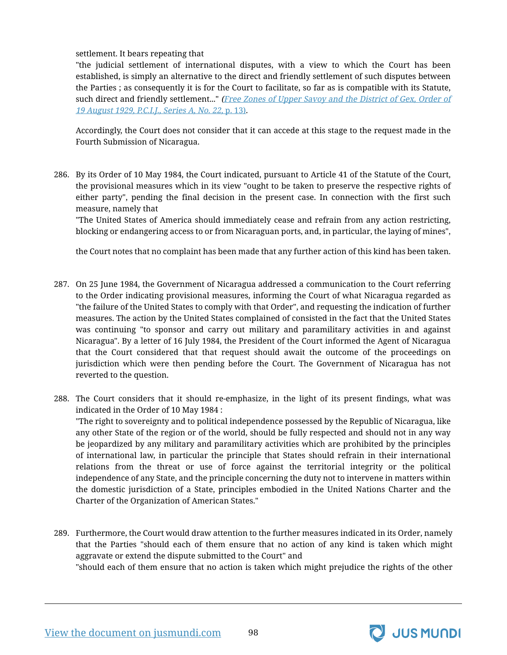settlement. It bears repeating that

"the judicial settlement of international disputes, with a view to which the Court has been established, is simply an alternative to the direct and friendly settlement of such disputes between the Parties ; as consequently it is for the Court to facilitate, so far as is compatible with its Statute, such direct and friendly settlement..." (Free Zones of [Upper](https://jusmundi.com/en/document/h/NDdmQnZNYUtYT0w3TFN3U3NTQnpjeE5UTDdWUTFvaDJZQjZ0Q1lWSVh6M1VZYXFDNjh1aTAxQmU5aHd0TDVrVmgxd09tZDJFQVYrY1dHK28wcEFpM2syUEQ4Mk9NdnloeW5lQktaajhJNWY1UVp6a0V0WjUwUDNLK2YzRnE2RWtYemRVRjJoVW5pR2pGd0tuMzl4cTlRPT0=) Savoy and the District of Gex, Order of [19 August 1929, P.C.I.J., Series A, No. 22,](https://jusmundi.com/en/document/h/NDdmQnZNYUtYT0w3TFN3U3NTQnpjeE5UTDdWUTFvaDJZQjZ0Q1lWSVh6M1VZYXFDNjh1aTAxQmU5aHd0TDVrVmgxd09tZDJFQVYrY1dHK28wcEFpM2syUEQ4Mk9NdnloeW5lQktaajhJNWY1UVp6a0V0WjUwUDNLK2YzRnE2RWtYemRVRjJoVW5pR2pGd0tuMzl4cTlRPT0=) p. 13).

Accordingly, the Court does not consider that it can accede at this stage to the request made in the Fourth Submission of Nicaragua.

286. By its Order of 10 May 1984, the Court indicated, pursuant to Article 41 of the Statute of the Court, the provisional measures which in its view "ought to be taken to preserve the respective rights of either party", pending the final decision in the present case. In connection with the first such measure, namely that

"The United States of America should immediately cease and refrain from any action restricting, blocking or endangering access to or from Nicaraguan ports, and, in particular, the laying of mines",

the Court notes that no complaint has been made that any further action of this kind has been taken.

- 287. On 25 June 1984, the Government of Nicaragua addressed a communication to the Court referring to the Order indicating provisional measures, informing the Court of what Nicaragua regarded as "the failure of the United States to comply with that Order", and requesting the indication of further measures. The action by the United States complained of consisted in the fact that the United States was continuing "to sponsor and carry out military and paramilitary activities in and against Nicaragua". By a letter of 16 July 1984, the President of the Court informed the Agent of Nicaragua that the Court considered that that request should await the outcome of the proceedings on jurisdiction which were then pending before the Court. The Government of Nicaragua has not reverted to the question.
- 288. The Court considers that it should re-emphasize, in the light of its present findings, what was indicated in the Order of 10 May 1984 : "The right to sovereignty and to political independence possessed by the Republic of Nicaragua, like any other State of the region or of the world, should be fully respected and should not in any way be jeopardized by any military and paramilitary activities which are prohibited by the principles of international law, in particular the principle that States should refrain in their international relations from the threat or use of force against the territorial integrity or the political independence of any State, and the principle concerning the duty not to intervene in matters within the domestic jurisdiction of a State, principles embodied in the United Nations Charter and the Charter of the Organization of American States."
- 289. Furthermore, the Court would draw attention to the further measures indicated in its Order, namely that the Parties "should each of them ensure that no action of any kind is taken which might aggravate or extend the dispute submitted to the Court" and "should each of them ensure that no action is taken which might prejudice the rights of the other



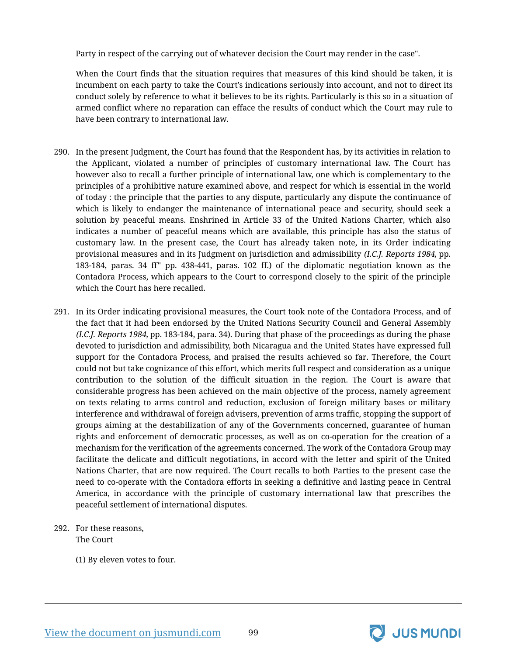Party in respect of the carrying out of whatever decision the Court may render in the case".

When the Court finds that the situation requires that measures of this kind should be taken, it is incumbent on each party to take the Court's indications seriously into account, and not to direct its conduct solely by reference to what it believes to be its rights. Particularly is this so in a situation of armed conflict where no reparation can efface the results of conduct which the Court may rule to have been contrary to international law.

- 290. In the present Judgment, the Court has found that the Respondent has, by its activities in relation to the Applicant, violated a number of principles of customary international law. The Court has however also to recall a further principle of international law, one which is complementary to the principles of a prohibitive nature examined above, and respect for which is essential in the world of today : the principle that the parties to any dispute, particularly any dispute the continuance of which is likely to endanger the maintenance of international peace and security, should seek a solution by peaceful means. Enshrined in Article 33 of the United Nations Charter, which also indicates a number of peaceful means which are available, this principle has also the status of customary law. In the present case, the Court has already taken note, in its Order indicating provisional measures and in its Judgment on jurisdiction and admissibility (I.C.J. Reports 1984, pp. 183-184, paras. 34 ff" pp. 438-441, paras. 102 ff.) of the diplomatic negotiation known as the Contadora Process, which appears to the Court to correspond closely to the spirit of the principle which the Court has here recalled.
- 291. In its Order indicating provisional measures, the Court took note of the Contadora Process, and of the fact that it had been endorsed by the United Nations Security Council and General Assembly (I.C.J. Reports 1984, pp. 183-184, para. 34). During that phase of the proceedings as during the phase devoted to jurisdiction and admissibility, both Nicaragua and the United States have expressed full support for the Contadora Process, and praised the results achieved so far. Therefore, the Court could not but take cognizance of this effort, which merits full respect and consideration as a unique contribution to the solution of the difficult situation in the region. The Court is aware that considerable progress has been achieved on the main objective of the process, namely agreement on texts relating to arms control and reduction, exclusion of foreign military bases or military interference and withdrawal of foreign advisers, prevention of arms traffic, stopping the support of groups aiming at the destabilization of any of the Governments concerned, guarantee of human rights and enforcement of democratic processes, as well as on co-operation for the creation of a mechanism for the verification of the agreements concerned. The work of the Contadora Group may facilitate the delicate and difficult negotiations, in accord with the letter and spirit of the United Nations Charter, that are now required. The Court recalls to both Parties to the present case the need to co-operate with the Contadora efforts in seeking a definitive and lasting peace in Central America, in accordance with the principle of customary international law that prescribes the peaceful settlement of international disputes.
- 292. For these reasons, The Court

(1) By eleven votes to four.

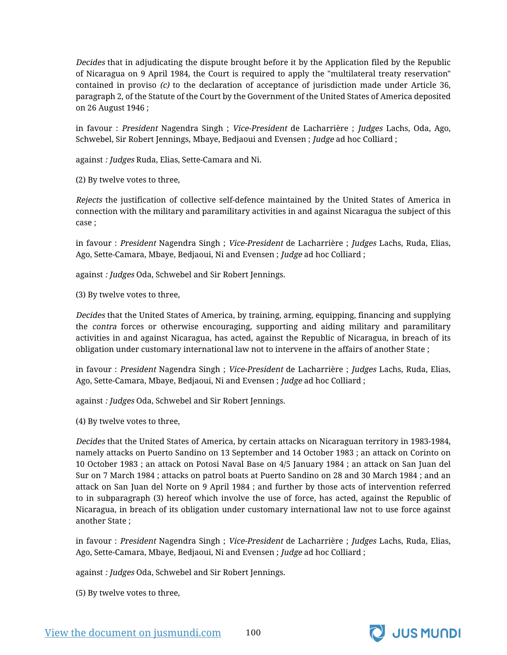Decides that in adjudicating the dispute brought before it by the Application filed by the Republic of Nicaragua on 9 April 1984, the Court is required to apply the "multilateral treaty reservation" contained in proviso (c) to the declaration of acceptance of jurisdiction made under Article 36, paragraph 2, of the Statute of the Court by the Government of the United States of America deposited on 26 August 1946 ;

in favour : President Nagendra Singh ; Vice-President de Lacharrière ; Judges Lachs, Oda, Ago, Schwebel, Sir Robert Jennings, Mbaye, Bedjaoui and Evensen ; Judge ad hoc Colliard ;

against : Judges Ruda, Elias, Sette-Camara and Ni.

(2) By twelve votes to three,

Rejects the justification of collective self-defence maintained by the United States of America in connection with the military and paramilitary activities in and against Nicaragua the subject of this case ;

in favour : President Nagendra Singh ; Vice-President de Lacharrière ; Judges Lachs, Ruda, Elias, Ago, Sette-Camara, Mbaye, Bedjaoui, Ni and Evensen ; Judge ad hoc Colliard ;

against : Judges Oda, Schwebel and Sir Robert Jennings.

(3) By twelve votes to three,

Decides that the United States of America, by training, arming, equipping, financing and supplying the *contra* forces or otherwise encouraging, supporting and aiding military and paramilitary activities in and against Nicaragua, has acted, against the Republic of Nicaragua, in breach of its obligation under customary international law not to intervene in the affairs of another State ;

in favour : President Nagendra Singh ; Vice-President de Lacharrière ; Judges Lachs, Ruda, Elias, Ago, Sette-Camara, Mbaye, Bedjaoui, Ni and Evensen ; *Judge* ad hoc Colliard ;

against : Judges Oda, Schwebel and Sir Robert Jennings.

(4) By twelve votes to three,

Decides that the United States of America, by certain attacks on Nicaraguan territory in 1983-1984, namely attacks on Puerto Sandino on 13 September and 14 October 1983 ; an attack on Corinto on 10 October 1983 ; an attack on Potosi Naval Base on 4/5 January 1984 ; an attack on San Juan del Sur on 7 March 1984 ; attacks on patrol boats at Puerto Sandino on 28 and 30 March 1984 ; and an attack on San Juan del Norte on 9 April 1984 ; and further by those acts of intervention referred to in subparagraph (3) hereof which involve the use of force, has acted, against the Republic of Nicaragua, in breach of its obligation under customary international law not to use force against another State ;

in favour : President Nagendra Singh ; Vice-President de Lacharrière ; Judges Lachs, Ruda, Elias, Ago, Sette-Camara, Mbaye, Bedjaoui, Ni and Evensen ; Judge ad hoc Colliard ;

against : Judges Oda, Schwebel and Sir Robert Jennings.

(5) By twelve votes to three,

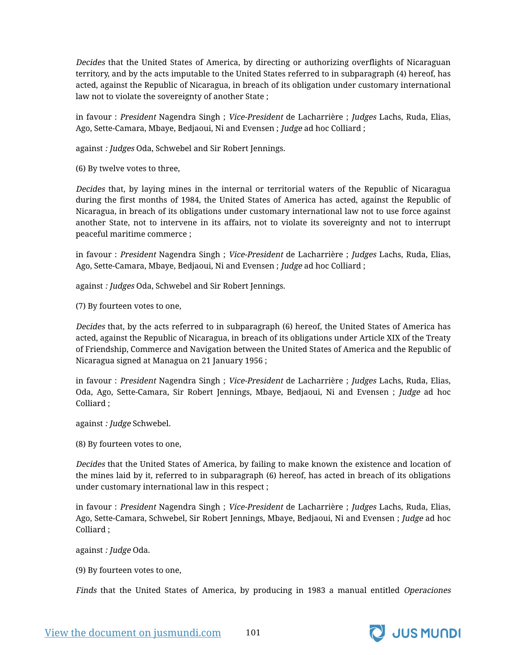Decides that the United States of America, by directing or authorizing overflights of Nicaraguan territory, and by the acts imputable to the United States referred to in subparagraph (4) hereof, has acted, against the Republic of Nicaragua, in breach of its obligation under customary international law not to violate the sovereignty of another State ;

in favour : President Nagendra Singh ; Vice-President de Lacharrière ; Judges Lachs, Ruda, Elias, Ago, Sette-Camara, Mbaye, Bedjaoui, Ni and Evensen ; Judge ad hoc Colliard ;

against : Judges Oda, Schwebel and Sir Robert Jennings.

(6) By twelve votes to three,

Decides that, by laying mines in the internal or territorial waters of the Republic of Nicaragua during the first months of 1984, the United States of America has acted, against the Republic of Nicaragua, in breach of its obligations under customary international law not to use force against another State, not to intervene in its affairs, not to violate its sovereignty and not to interrupt peaceful maritime commerce ;

in favour : President Nagendra Singh ; Vice-President de Lacharrière ; Judges Lachs, Ruda, Elias, Ago, Sette-Camara, Mbaye, Bedjaoui, Ni and Evensen ; Judge ad hoc Colliard ;

against : Judges Oda, Schwebel and Sir Robert Jennings.

(7) By fourteen votes to one,

Decides that, by the acts referred to in subparagraph (6) hereof, the United States of America has acted, against the Republic of Nicaragua, in breach of its obligations under Article XIX of the Treaty of Friendship, Commerce and Navigation between the United States of America and the Republic of Nicaragua signed at Managua on 21 January 1956 ;

in favour : President Nagendra Singh ; Vice-President de Lacharrière ; Judges Lachs, Ruda, Elias, Oda, Ago, Sette-Camara, Sir Robert Jennings, Mbaye, Bedjaoui, Ni and Evensen ; Judge ad hoc Colliard ;

against : Judge Schwebel.

(8) By fourteen votes to one,

Decides that the United States of America, by failing to make known the existence and location of the mines laid by it, referred to in subparagraph (6) hereof, has acted in breach of its obligations under customary international law in this respect ;

in favour : President Nagendra Singh ; Vice-President de Lacharrière ; Judges Lachs, Ruda, Elias, Ago, Sette-Camara, Schwebel, Sir Robert Jennings, Mbaye, Bedjaoui, Ni and Evensen ; Judge ad hoc Colliard ;

against : Judge Oda.

(9) By fourteen votes to one,

Finds that the United States of America, by producing in 1983 a manual entitled Operaciones

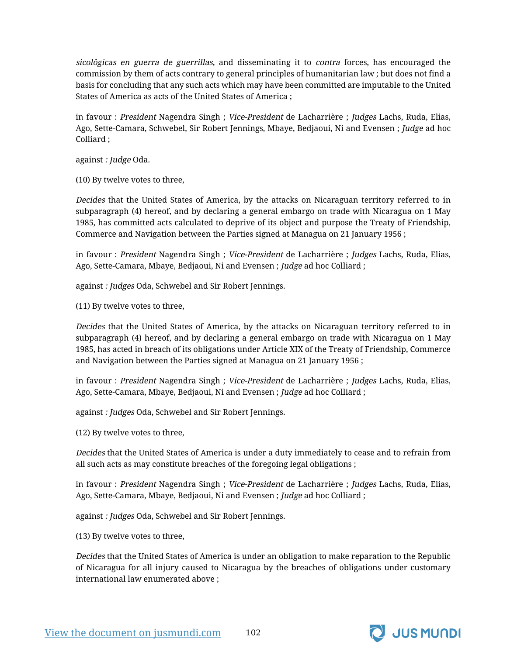sicolôgicas en guerra de guerrillas, and disseminating it to contra forces, has encouraged the commission by them of acts contrary to general principles of humanitarian law ; but does not find a basis for concluding that any such acts which may have been committed are imputable to the United States of America as acts of the United States of America ;

in favour : President Nagendra Singh ; Vice-President de Lacharrière ; Judges Lachs, Ruda, Elias, Ago, Sette-Camara, Schwebel, Sir Robert Jennings, Mbaye, Bedjaoui, Ni and Evensen ; Judge ad hoc Colliard ;

against : Judge Oda.

(10) By twelve votes to three,

Decides that the United States of America, by the attacks on Nicaraguan territory referred to in subparagraph (4) hereof, and by declaring a general embargo on trade with Nicaragua on 1 May 1985, has committed acts calculated to deprive of its object and purpose the Treaty of Friendship, Commerce and Navigation between the Parties signed at Managua on 21 January 1956 ;

in favour : President Nagendra Singh ; Vice-President de Lacharrière ; Judges Lachs, Ruda, Elias, Ago, Sette-Camara, Mbaye, Bedjaoui, Ni and Evensen ; Judge ad hoc Colliard ;

against : Judges Oda, Schwebel and Sir Robert Jennings.

(11) By twelve votes to three,

Decides that the United States of America, by the attacks on Nicaraguan territory referred to in subparagraph (4) hereof, and by declaring a general embargo on trade with Nicaragua on 1 May 1985, has acted in breach of its obligations under Article XIX of the Treaty of Friendship, Commerce and Navigation between the Parties signed at Managua on 21 January 1956 ;

in favour : President Nagendra Singh ; Vice-President de Lacharrière ; Judges Lachs, Ruda, Elias, Ago, Sette-Camara, Mbaye, Bedjaoui, Ni and Evensen ; Judge ad hoc Colliard ;

against : Judges Oda, Schwebel and Sir Robert Jennings.

(12) By twelve votes to three,

Decides that the United States of America is under a duty immediately to cease and to refrain from all such acts as may constitute breaches of the foregoing legal obligations ;

in favour : President Nagendra Singh ; Vice-President de Lacharrière ; Judges Lachs, Ruda, Elias, Ago, Sette-Camara, Mbaye, Bedjaoui, Ni and Evensen ; Judge ad hoc Colliard ;

against : Judges Oda, Schwebel and Sir Robert Jennings.

(13) By twelve votes to three,

Decides that the United States of America is under an obligation to make reparation to the Republic of Nicaragua for all injury caused to Nicaragua by the breaches of obligations under customary international law enumerated above ;